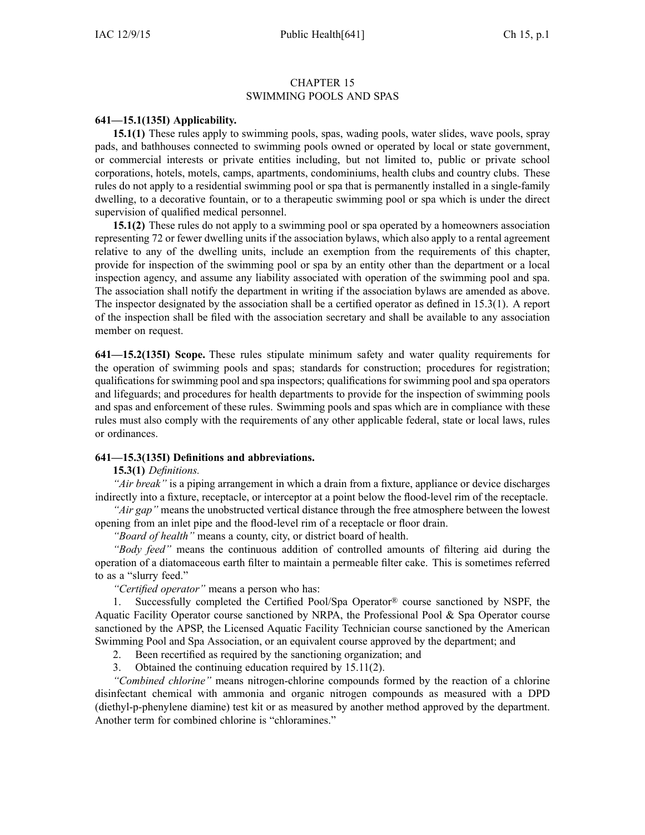#### CHAPTER 15 SWIMMING POOLS AND SPAS

## **641—15.1(135I) Applicability.**

**15.1(1)** These rules apply to swimming pools, spas, wading pools, water slides, wave pools, spray pads, and bathhouses connected to swimming pools owned or operated by local or state government, or commercial interests or private entities including, but not limited to, public or private school corporations, hotels, motels, camps, apartments, condominiums, health clubs and country clubs. These rules do not apply to <sup>a</sup> residential swimming pool or spa that is permanently installed in <sup>a</sup> single-family dwelling, to <sup>a</sup> decorative fountain, or to <sup>a</sup> therapeutic swimming pool or spa which is under the direct supervision of qualified medical personnel.

**15.1(2)** These rules do not apply to <sup>a</sup> swimming pool or spa operated by <sup>a</sup> homeowners association representing 72 or fewer dwelling units if the association bylaws, which also apply to <sup>a</sup> rental agreemen<sup>t</sup> relative to any of the dwelling units, include an exemption from the requirements of this chapter, provide for inspection of the swimming pool or spa by an entity other than the department or <sup>a</sup> local inspection agency, and assume any liability associated with operation of the swimming pool and spa. The association shall notify the department in writing if the association bylaws are amended as above. The inspector designated by the association shall be <sup>a</sup> certified operator as defined in 15.3(1). A repor<sup>t</sup> of the inspection shall be filed with the association secretary and shall be available to any association member on request.

**641—15.2(135I) Scope.** These rules stipulate minimum safety and water quality requirements for the operation of swimming pools and spas; standards for construction; procedures for registration; qualifications for swimming pool and spa inspectors; qualifications for swimming pool and spa operators and lifeguards; and procedures for health departments to provide for the inspection of swimming pools and spas and enforcement of these rules. Swimming pools and spas which are in compliance with these rules must also comply with the requirements of any other applicable federal, state or local laws, rules or ordinances.

## **641—15.3(135I) Definitions and abbreviations.**

## **15.3(1)** *Definitions.*

*"Air break"* is <sup>a</sup> piping arrangemen<sup>t</sup> in which <sup>a</sup> drain from <sup>a</sup> fixture, appliance or device discharges indirectly into <sup>a</sup> fixture, receptacle, or interceptor at <sup>a</sup> point below the flood-level rim of the receptacle.

*"Air gap"* means the unobstructed vertical distance through the free atmosphere between the lowest opening from an inlet pipe and the flood-level rim of <sup>a</sup> receptacle or floor drain.

*"Board of health"* means <sup>a</sup> county, city, or district board of health.

*"Body feed"* means the continuous addition of controlled amounts of filtering aid during the operation of <sup>a</sup> diatomaceous earth filter to maintain <sup>a</sup> permeable filter cake. This is sometimes referred to as <sup>a</sup> "slurry feed."

*"Certified operator"* means <sup>a</sup> person who has:

1. Successfully completed the Certified Pool/Spa Operator® course sanctioned by NSPF, the Aquatic Facility Operator course sanctioned by NRPA, the Professional Pool & Spa Operator course sanctioned by the APSP, the Licensed Aquatic Facility Technician course sanctioned by the American Swimming Pool and Spa Association, or an equivalent course approved by the department; and

2. Been recertified as required by the sanctioning organization; and

3. Obtained the continuing education required by 15.11(2).

*"Combined chlorine"* means nitrogen-chlorine compounds formed by the reaction of <sup>a</sup> chlorine disinfectant chemical with ammonia and organic nitrogen compounds as measured with <sup>a</sup> DPD (diethyl-p-phenylene diamine) test kit or as measured by another method approved by the department. Another term for combined chlorine is "chloramines."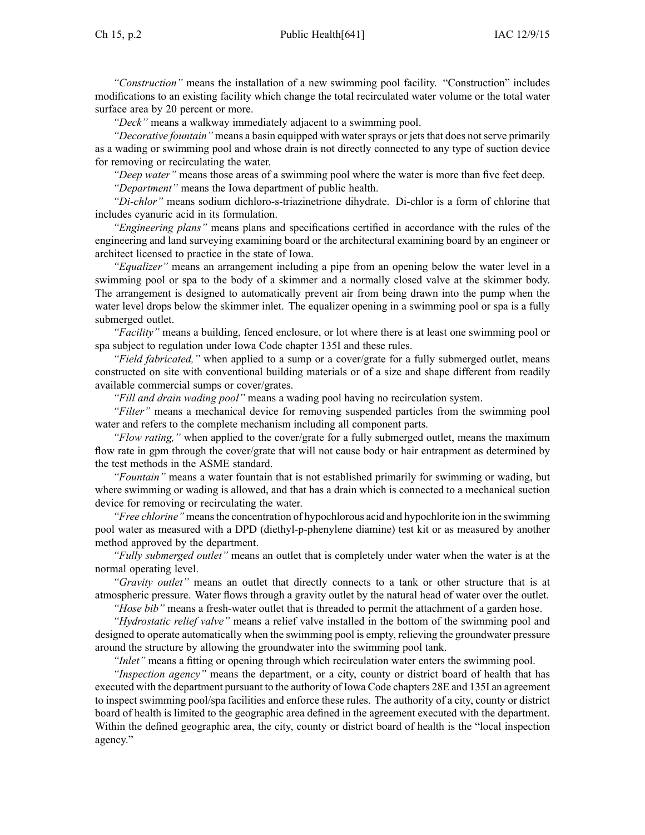*"Deck"* means <sup>a</sup> walkway immediately adjacent to <sup>a</sup> swimming pool.

*"Decorative fountain"* means a basin equipped with water sprays or jets that does not serve primarily as <sup>a</sup> wading or swimming pool and whose drain is not directly connected to any type of suction device for removing or recirculating the water.

*"Deep water"* means those areas of <sup>a</sup> swimming pool where the water is more than five feet deep. *"Department"* means the Iowa department of public health.

*"Di-chlor"* means sodium dichloro-s-triazinetrione dihydrate. Di-chlor is <sup>a</sup> form of chlorine that includes cyanuric acid in its formulation.

*"Engineering plans"* means plans and specifications certified in accordance with the rules of the engineering and land surveying examining board or the architectural examining board by an engineer or architect licensed to practice in the state of Iowa.

*"Equalizer"* means an arrangemen<sup>t</sup> including <sup>a</sup> pipe from an opening below the water level in <sup>a</sup> swimming pool or spa to the body of <sup>a</sup> skimmer and <sup>a</sup> normally closed valve at the skimmer body. The arrangemen<sup>t</sup> is designed to automatically preven<sup>t</sup> air from being drawn into the pump when the water level drops below the skimmer inlet. The equalizer opening in <sup>a</sup> swimming pool or spa is <sup>a</sup> fully submerged outlet.

*"Facility"* means <sup>a</sup> building, fenced enclosure, or lot where there is at least one swimming pool or spa subject to regulation under Iowa Code chapter 135I and these rules.

*"Field fabricated,"* when applied to <sup>a</sup> sump or <sup>a</sup> cover/grate for <sup>a</sup> fully submerged outlet, means constructed on site with conventional building materials or of <sup>a</sup> size and shape different from readily available commercial sumps or cover/grates.

*"Fill and drain wading pool"* means <sup>a</sup> wading pool having no recirculation system.

*"Filter"* means <sup>a</sup> mechanical device for removing suspended particles from the swimming pool water and refers to the complete mechanism including all componen<sup>t</sup> parts.

*"Flow rating,"* when applied to the cover/grate for <sup>a</sup> fully submerged outlet, means the maximum flow rate in gpm through the cover/grate that will not cause body or hair entrapment as determined by the test methods in the ASME standard.

*"Fountain"* means <sup>a</sup> water fountain that is not established primarily for swimming or wading, but where swimming or wading is allowed, and that has <sup>a</sup> drain which is connected to <sup>a</sup> mechanical suction device for removing or recirculating the water.

*"Free chlorine"* meansthe concentration of hypochlorous acid and hypochlorite ion in the swimming pool water as measured with <sup>a</sup> DPD (diethyl-p-phenylene diamine) test kit or as measured by another method approved by the department.

*"Fully submerged outlet"* means an outlet that is completely under water when the water is at the normal operating level.

*"Gravity outlet"* means an outlet that directly connects to <sup>a</sup> tank or other structure that is at atmospheric pressure. Water flows through <sup>a</sup> gravity outlet by the natural head of water over the outlet.

*"Hose bib"* means <sup>a</sup> fresh-water outlet that is threaded to permit the attachment of <sup>a</sup> garden hose.

*"Hydrostatic relief valve"* means <sup>a</sup> relief valve installed in the bottom of the swimming pool and designed to operate automatically when the swimming pool is empty, relieving the groundwater pressure around the structure by allowing the groundwater into the swimming pool tank.

*"Inlet"* means <sup>a</sup> fitting or opening through which recirculation water enters the swimming pool.

*"Inspection agency"* means the department, or <sup>a</sup> city, county or district board of health that has executed with the department pursuan<sup>t</sup> to the authority of Iowa Code chapters 28E and 135I an agreemen<sup>t</sup> to inspect swimming pool/spa facilities and enforce these rules. The authority of <sup>a</sup> city, county or district board of health is limited to the geographic area defined in the agreemen<sup>t</sup> executed with the department. Within the defined geographic area, the city, county or district board of health is the "local inspection agency."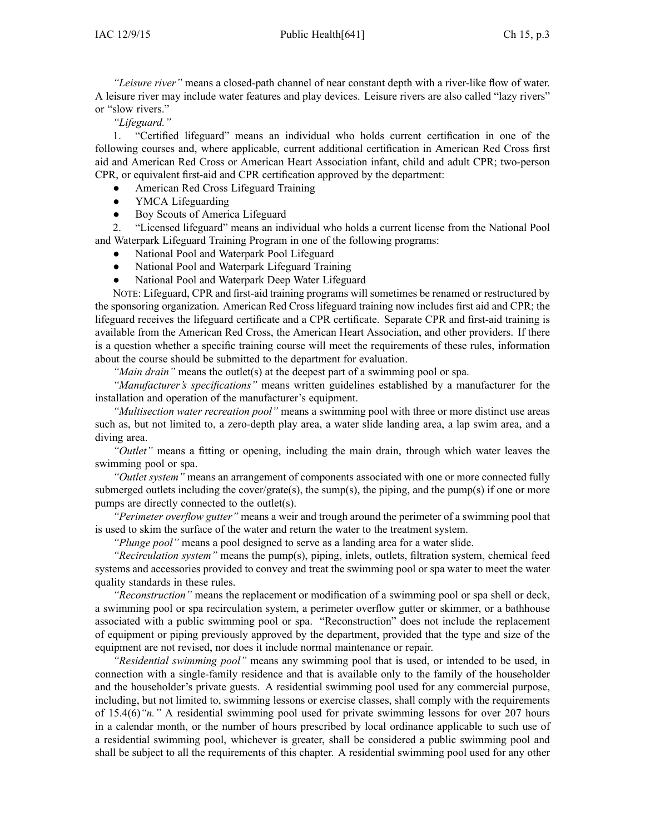*"Leisure river"* means <sup>a</sup> closed-path channel of near constant depth with <sup>a</sup> river-like flow of water. A leisure river may include water features and play devices. Leisure rivers are also called "lazy rivers" or "slow rivers."

*"Lifeguard."*

1. "Certified lifeguard" means an individual who holds current certification in one of the following courses and, where applicable, current additional certification in American Red Cross first aid and American Red Cross or American Heart Association infant, child and adult CPR; two-person CPR, or equivalent first-aid and CPR certification approved by the department:

- ●American Red Cross Lifeguard Training
- $\bullet$ YMCA Lifeguarding
- ●Boy Scouts of America Lifeguard

2. "Licensed lifeguard" means an individual who holds <sup>a</sup> current license from the National Pool and Waterpark Lifeguard Training Program in one of the following programs:

- ●National Pool and Waterpark Pool Lifeguard
- ●National Pool and Waterpark Lifeguard Training
- $\bullet$ National Pool and Waterpark Deep Water Lifeguard

NOTE: Lifeguard, CPR and first-aid training programs will sometimes be renamed or restructured by the sponsoring organization. American Red Cross lifeguard training now includes first aid and CPR; the lifeguard receives the lifeguard certificate and <sup>a</sup> CPR certificate. Separate CPR and first-aid training is available from the American Red Cross, the American Heart Association, and other providers. If there is <sup>a</sup> question whether <sup>a</sup> specific training course will meet the requirements of these rules, information about the course should be submitted to the department for evaluation.

*"Main drain"* means the outlet(s) at the deepest par<sup>t</sup> of <sup>a</sup> swimming pool or spa.

*"Manufacturer's specifications"* means written guidelines established by <sup>a</sup> manufacturer for the installation and operation of the manufacturer's equipment.

*"Multisection water recreation pool"* means <sup>a</sup> swimming pool with three or more distinct use areas such as, but not limited to, <sup>a</sup> zero-depth play area, <sup>a</sup> water slide landing area, <sup>a</sup> lap swim area, and <sup>a</sup> diving area.

*"Outlet"* means <sup>a</sup> fitting or opening, including the main drain, through which water leaves the swimming pool or spa.

*"Outlet system"* means an arrangemen<sup>t</sup> of components associated with one or more connected fully submerged outlets including the cover/grate(s), the sump(s), the piping, and the pump(s) if one or more pumps are directly connected to the outlet(s).

*"Perimeter overflow gutter"* means <sup>a</sup> weir and trough around the perimeter of <sup>a</sup> swimming pool that is used to skim the surface of the water and return the water to the treatment system.

*"Plunge pool"* means <sup>a</sup> pool designed to serve as <sup>a</sup> landing area for <sup>a</sup> water slide.

*"Recirculation system"* means the pump(s), piping, inlets, outlets, filtration system, chemical feed systems and accessories provided to convey and treat the swimming pool or spa water to meet the water quality standards in these rules.

*"Reconstruction"* means the replacement or modification of <sup>a</sup> swimming pool or spa shell or deck, <sup>a</sup> swimming pool or spa recirculation system, <sup>a</sup> perimeter overflow gutter or skimmer, or <sup>a</sup> bathhouse associated with <sup>a</sup> public swimming pool or spa. "Reconstruction" does not include the replacement of equipment or piping previously approved by the department, provided that the type and size of the equipment are not revised, nor does it include normal maintenance or repair.

*"Residential swimming pool"* means any swimming pool that is used, or intended to be used, in connection with <sup>a</sup> single-family residence and that is available only to the family of the householder and the householder's private guests. A residential swimming pool used for any commercial purpose, including, but not limited to, swimming lessons or exercise classes, shall comply with the requirements of 15.4(6)*"n."* A residential swimming pool used for private swimming lessons for over 207 hours in <sup>a</sup> calendar month, or the number of hours prescribed by local ordinance applicable to such use of <sup>a</sup> residential swimming pool, whichever is greater, shall be considered <sup>a</sup> public swimming pool and shall be subject to all the requirements of this chapter. A residential swimming pool used for any other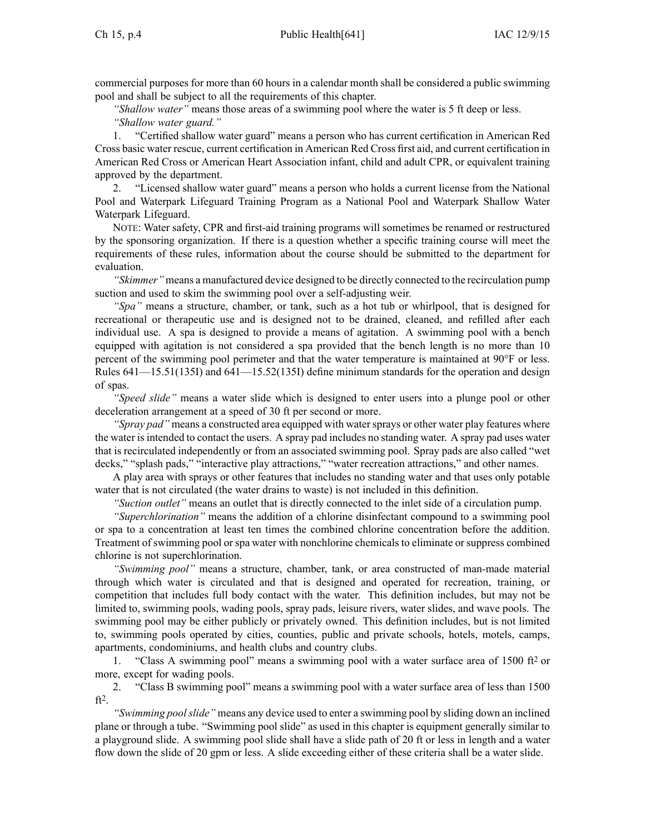commercial purposes for more than 60 hours in <sup>a</sup> calendar month shall be considered <sup>a</sup> public swimming pool and shall be subject to all the requirements of this chapter.

*"Shallow water"* means those areas of <sup>a</sup> swimming pool where the water is 5 ft deep or less. *"Shallow water guard."*

1. "Certified shallow water guard" means <sup>a</sup> person who has current certification in American Red Cross basic water rescue, current certification in American Red Cross first aid, and current certification in American Red Cross or American Heart Association infant, child and adult CPR, or equivalent training approved by the department.

2. "Licensed shallow water guard" means <sup>a</sup> person who holds <sup>a</sup> current license from the National Pool and Waterpark Lifeguard Training Program as a National Pool and Waterpark Shallow Water Waterpark Lifeguard.

NOTE: Water safety, CPR and first-aid training programs will sometimes be renamed or restructured by the sponsoring organization. If there is <sup>a</sup> question whether <sup>a</sup> specific training course will meet the requirements of these rules, information about the course should be submitted to the department for evaluation.

*"Skimmer"* means <sup>a</sup> manufactured device designed to be directly connected to the recirculation pump suction and used to skim the swimming pool over <sup>a</sup> self-adjusting weir.

*"Spa"* means <sup>a</sup> structure, chamber, or tank, such as <sup>a</sup> hot tub or whirlpool, that is designed for recreational or therapeutic use and is designed not to be drained, cleaned, and refilled after each individual use. A spa is designed to provide <sup>a</sup> means of agitation. A swimming pool with <sup>a</sup> bench equipped with agitation is not considered <sup>a</sup> spa provided that the bench length is no more than 10 percen<sup>t</sup> of the swimming pool perimeter and that the water temperature is maintained at 90°F or less. Rules 641—15.51(135I) and 641—15.52(135I) define minimum standards for the operation and design of spas.

*"Speed slide"* means <sup>a</sup> water slide which is designed to enter users into <sup>a</sup> plunge pool or other deceleration arrangemen<sup>t</sup> at <sup>a</sup> speed of 30 ft per second or more.

*"Spray pad"* means a constructed area equipped with water sprays or other water play features where the water isintended to contact the users. A spray pad includes no standing water. A spray pad uses water that is recirculated independently or from an associated swimming pool. Spray pads are also called "wet decks," "splash pads," "interactive play attractions," "water recreation attractions," and other names.

A play area with sprays or other features that includes no standing water and that uses only potable water that is not circulated (the water drains to waste) is not included in this definition.

*"Suction outlet"* means an outlet that is directly connected to the inlet side of <sup>a</sup> circulation pump.

*"Superchlorination"* means the addition of <sup>a</sup> chlorine disinfectant compound to <sup>a</sup> swimming pool or spa to <sup>a</sup> concentration at least ten times the combined chlorine concentration before the addition. Treatment of swimming pool or spa water with nonchlorine chemicals to eliminate or suppress combined chlorine is not superchlorination.

*"Swimming pool"* means <sup>a</sup> structure, chamber, tank, or area constructed of man-made material through which water is circulated and that is designed and operated for recreation, training, or competition that includes full body contact with the water. This definition includes, but may not be limited to, swimming pools, wading pools, spray pads, leisure rivers, water slides, and wave pools. The swimming pool may be either publicly or privately owned. This definition includes, but is not limited to, swimming pools operated by cities, counties, public and private schools, hotels, motels, camps, apartments, condominiums, and health clubs and country clubs.

1. "Class A swimming pool" means <sup>a</sup> swimming pool with <sup>a</sup> water surface area of 1500 ft<sup>2</sup> or more, excep<sup>t</sup> for wading pools.

2. "Class B swimming pool" means <sup>a</sup> swimming pool with <sup>a</sup> water surface area of less than 1500 ft<sup>2</sup> .

*"Swimming poolslide"* means any device used to enter <sup>a</sup> swimming pool by sliding down an inclined plane or through <sup>a</sup> tube. "Swimming pool slide" as used in this chapter is equipment generally similar to <sup>a</sup> playground slide. A swimming pool slide shall have <sup>a</sup> slide path of 20 ft or less in length and <sup>a</sup> water flow down the slide of 20 gpm or less. A slide exceeding either of these criteria shall be <sup>a</sup> water slide.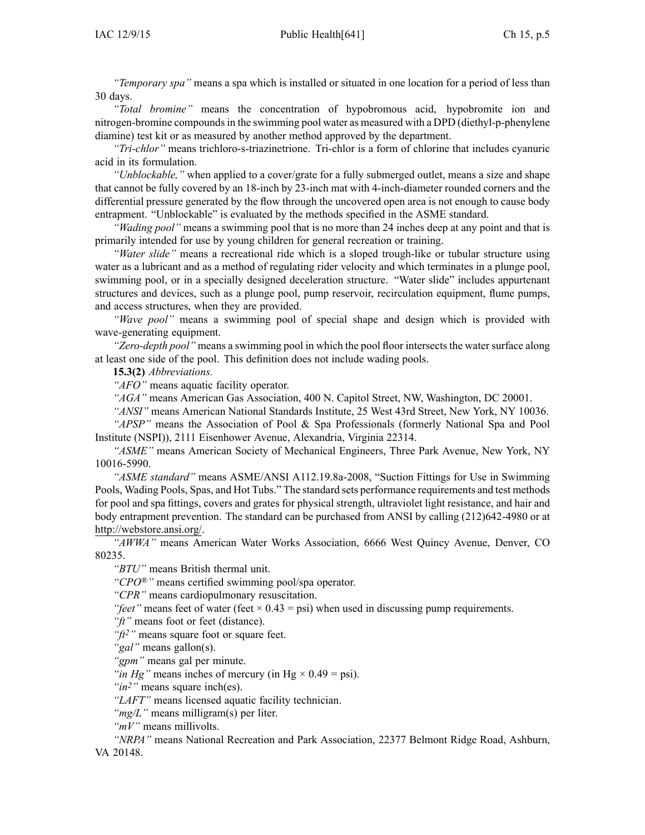*"Temporary spa"* means <sup>a</sup> spa which is installed or situated in one location for <sup>a</sup> period of less than 30 days.

*"Total bromine"* means the concentration of hypobromous acid, hypobromite ion and nitrogen-bromine compoundsin the swimming pool water as measured with <sup>a</sup> DPD (diethyl-p-phenylene diamine) test kit or as measured by another method approved by the department.

*"Tri-chlor"* means trichloro-s-triazinetrione. Tri-chlor is <sup>a</sup> form of chlorine that includes cyanuric acid in its formulation.

*"Unblockable,"* when applied to <sup>a</sup> cover/grate for <sup>a</sup> fully submerged outlet, means <sup>a</sup> size and shape that cannot be fully covered by an 18-inch by 23-inch mat with 4-inch-diameter rounded corners and the differential pressure generated by the flow through the uncovered open area is not enough to cause body entrapment. "Unblockable" is evaluated by the methods specified in the ASME standard.

*"Wading pool"* means <sup>a</sup> swimming pool that is no more than 24 inches deep at any point and that is primarily intended for use by young children for general recreation or training.

*"Water slide"* means <sup>a</sup> recreational ride which is <sup>a</sup> sloped trough-like or tubular structure using water as <sup>a</sup> lubricant and as <sup>a</sup> method of regulating rider velocity and which terminates in <sup>a</sup> plunge pool, swimming pool, or in <sup>a</sup> specially designed deceleration structure. "Water slide" includes appurtenant structures and devices, such as <sup>a</sup> plunge pool, pump reservoir, recirculation equipment, flume pumps, and access structures, when they are provided.

*"Wave pool"* means <sup>a</sup> swimming pool of special shape and design which is provided with wave-generating equipment.

*"Zero-depth pool"* means <sup>a</sup> swimming pool in which the pool floor intersects the water surface along at least one side of the pool. This definition does not include wading pools.

**15.3(2)** *Abbreviations.*

*"AFO"* means aquatic facility operator.

*"AGA"* means American Gas Association, 400 N. Capitol Street, NW, Washington, DC 20001.

*"ANSI"* means American National Standards Institute, 25 West 43rd Street, New York, NY 10036.

*"APSP"* means the Association of Pool & Spa Professionals (formerly National Spa and Pool Institute (NSPI)), 2111 Eisenhower Avenue, Alexandria, Virginia 22314.

*"ASME"* means American Society of Mechanical Engineers, Three Park Avenue, New York, NY 10016-5990.

*"ASME standard"* means ASME/ANSI A112.19.8a-2008, "Suction Fittings for Use in Swimming Pools, Wading Pools, Spas, and Hot Tubs." The standard sets performance requirements and test methods for pool and spa fittings, covers and grates for physical strength, ultraviolet light resistance, and hair and body entrapment prevention. The standard can be purchased from ANSI by calling (212)642-4980 or at http://webstore.ansi.org/.

*"AWWA"* means American Water Works Association, 6666 West Quincy Avenue, Denver, CO 80235.

*"BTU"* means British thermal unit.

*"CPO®"* means certified swimming pool/spa operator.

*"CPR"* means cardiopulmonary resuscitation.

*"feet"* means feet of water (feet  $\times$  0.43 = psi) when used in discussing pump requirements.

*"ft"* means foot or feet (distance).

*"ft<sup>2</sup>"* means square foot or square feet.

*"gal"* means gallon(s).

*"gpm"* means gal per minute.

*"in Hg"* means inches of mercury (in Hg  $\times$  0.49 = psi).

*"in2"* means square inch(es).

*"LAFT"* means licensed aquatic facility technician.

*"mg/L"* means milligram(s) per liter.

*"mV"* means millivolts.

*"NRPA"* means National Recreation and Park Association, 22377 Belmont Ridge Road, Ashburn, VA 20148.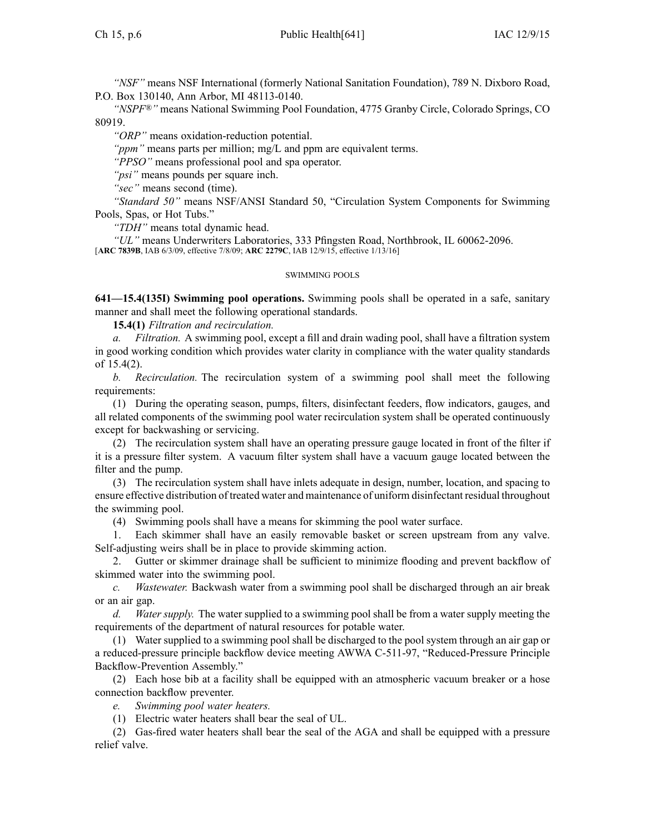*"NSF"* means NSF International (formerly National Sanitation Foundation), 789 N. Dixboro Road, P.O. Box 130140, Ann Arbor, MI 48113-0140.

*"NSPF®"* means National Swimming Pool Foundation, 4775 Granby Circle, Colorado Springs, CO 80919.

*"ORP"* means oxidation-reduction potential.

*"ppm"* means parts per million; mg/L and ppm are equivalent terms.

*"PPSO"* means professional pool and spa operator.

*"psi"* means pounds per square inch.

*"sec"* means second (time).

*"Standard 50"* means NSF/ANSI Standard 50, "Circulation System Components for Swimming Pools, Spas, or Hot Tubs."

*"TDH"* means total dynamic head.

*"UL"* means Underwriters Laboratories, 333 Pfingsten Road, Northbrook, IL 60062-2096. [**ARC 7839B**, IAB 6/3/09, effective 7/8/09; **ARC 2279C**, IAB 12/9/15, effective 1/13/16]

#### SWIMMING POOLS

**641—15.4(135I) Swimming pool operations.** Swimming pools shall be operated in <sup>a</sup> safe, sanitary manner and shall meet the following operational standards.

**15.4(1)** *Filtration and recirculation.*

*a. Filtration.* A swimming pool, excep<sup>t</sup> <sup>a</sup> fill and drain wading pool, shall have <sup>a</sup> filtration system in good working condition which provides water clarity in compliance with the water quality standards of 15.4(2).

*b. Recirculation.* The recirculation system of <sup>a</sup> swimming pool shall meet the following requirements:

(1) During the operating season, pumps, filters, disinfectant feeders, flow indicators, gauges, and all related components of the swimming pool water recirculation system shall be operated continuously excep<sup>t</sup> for backwashing or servicing.

(2) The recirculation system shall have an operating pressure gauge located in front of the filter if it is <sup>a</sup> pressure filter system. A vacuum filter system shall have <sup>a</sup> vacuum gauge located between the filter and the pump.

(3) The recirculation system shall have inlets adequate in design, number, location, and spacing to ensure effective distribution of treated water and maintenance of uniform disinfectant residual throughout the swimming pool.

(4) Swimming pools shall have <sup>a</sup> means for skimming the pool water surface.

1. Each skimmer shall have an easily removable basket or screen upstream from any valve. Self-adjusting weirs shall be in place to provide skimming action.

2. Gutter or skimmer drainage shall be sufficient to minimize flooding and preven<sup>t</sup> backflow of skimmed water into the swimming pool.

*c. Wastewater.* Backwash water from <sup>a</sup> swimming pool shall be discharged through an air break or an air gap.

*d. Water supply.* The water supplied to <sup>a</sup> swimming pool shall be from <sup>a</sup> water supply meeting the requirements of the department of natural resources for potable water.

(1) Water supplied to <sup>a</sup> swimming pool shall be discharged to the pool system through an air gap or <sup>a</sup> reduced-pressure principle backflow device meeting AWWA C-511-97, "Reduced-Pressure Principle Backflow-Prevention Assembly."

(2) Each hose bib at <sup>a</sup> facility shall be equipped with an atmospheric vacuum breaker or <sup>a</sup> hose connection backflow preventer.

*e. Swimming pool water heaters.*

(1) Electric water heaters shall bear the seal of UL.

(2) Gas-fired water heaters shall bear the seal of the AGA and shall be equipped with <sup>a</sup> pressure relief valve.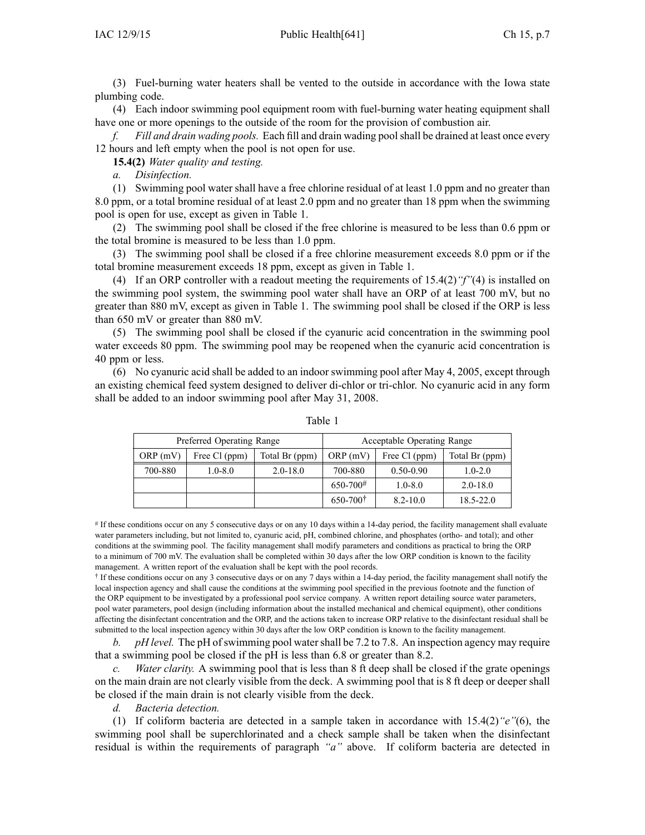(3) Fuel-burning water heaters shall be vented to the outside in accordance with the Iowa state plumbing code.

(4) Each indoor swimming pool equipment room with fuel-burning water heating equipment shall have one or more openings to the outside of the room for the provision of combustion air.

*f. Fill and drain wading pools.* Each fill and drain wading poolshall be drained at least once every 12 hours and left empty when the pool is not open for use.

**15.4(2)** *Water quality and testing.*

*a. Disinfection.*

(1) Swimming pool water shall have <sup>a</sup> free chlorine residual of at least 1.0 ppm and no greater than 8.0 ppm, or <sup>a</sup> total bromine residual of at least 2.0 ppm and no greater than 18 ppm when the swimming pool is open for use, excep<sup>t</sup> as given in Table 1.

(2) The swimming pool shall be closed if the free chlorine is measured to be less than 0.6 ppm or the total bromine is measured to be less than 1.0 ppm.

(3) The swimming pool shall be closed if <sup>a</sup> free chlorine measurement exceeds 8.0 ppm or if the total bromine measurement exceeds 18 ppm, excep<sup>t</sup> as given in Table 1.

(4) If an ORP controller with <sup>a</sup> readout meeting the requirements of 15.4(2)*"f"*(4) is installed on the swimming pool system, the swimming pool water shall have an ORP of at least 700 mV, but no greater than 880 mV, excep<sup>t</sup> as given in Table 1. The swimming pool shall be closed if the ORP is less than 650 mV or greater than 880 mV.

(5) The swimming pool shall be closed if the cyanuric acid concentration in the swimming pool water exceeds 80 ppm. The swimming pool may be reopened when the cyanuric acid concentration is 40 ppm or less.

(6) No cyanuric acid shall be added to an indoor swimming pool after May 4, 2005, excep<sup>t</sup> through an existing chemical feed system designed to deliver di-chlor or tri-chlor. No cyanuric acid in any form shall be added to an indoor swimming pool after May 31, 2008.

| Preferred Operating Range |               |                |                       | Acceptable Operating Range |                |
|---------------------------|---------------|----------------|-----------------------|----------------------------|----------------|
| ORP(mV)                   | Free Cl (ppm) | Total Br (ppm) | ORP(mV)               | Free Cl (ppm)              | Total Br (ppm) |
| 700-880                   | $1.0 - 8.0$   | $2.0 - 18.0$   | 700-880               | $0.50 - 0.90$              | $1.0 - 2.0$    |
|                           |               |                | $650 - 700^{\#}$      | $1.0 - 8.0$                | $2.0 - 18.0$   |
|                           |               |                | $650 - 700^{\dagger}$ | $8.2 - 10.0$               | 18.5-22.0      |

Table 1

# If these conditions occur on any 5 consecutive days or on any 10 days within <sup>a</sup> 14-day period, the facility managemen<sup>t</sup> shall evaluate water parameters including, but not limited to, cyanuric acid, pH, combined chlorine, and phosphates (ortho- and total); and other conditions at the swimming pool. The facility managemen<sup>t</sup> shall modify parameters and conditions as practical to bring the ORP to <sup>a</sup> minimum of 700 mV. The evaluation shall be completed within 30 days after the low ORP condition is known to the facility management. A written repor<sup>t</sup> of the evaluation shall be kept with the pool records.

† If these conditions occur on any 3 consecutive days or on any 7 days within <sup>a</sup> 14-day period, the facility managemen<sup>t</sup> shall notify the local inspection agency and shall cause the conditions at the swimming pool specified in the previous footnote and the function of the ORP equipment to be investigated by <sup>a</sup> professional pool service company. A written repor<sup>t</sup> detailing source water parameters, pool water parameters, pool design (including information about the installed mechanical and chemical equipment), other conditions affecting the disinfectant concentration and the ORP, and the actions taken to increase ORP relative to the disinfectant residual shall be submitted to the local inspection agency within 30 days after the low ORP condition is known to the facility management.

*b. pH level.* The pH of swimming pool water shall be 7.2 to 7.8. An inspection agency may require that <sup>a</sup> swimming pool be closed if the pH is less than 6.8 or greater than 8.2.

*c. Water clarity.* A swimming pool that is less than 8 ft deep shall be closed if the grate openings on the main drain are not clearly visible from the deck. A swimming pool that is 8 ft deep or deeper shall be closed if the main drain is not clearly visible from the deck.

*d. Bacteria detection.*

(1) If coliform bacteria are detected in <sup>a</sup> sample taken in accordance with 15.4(2)*"e"*(6), the swimming pool shall be superchlorinated and <sup>a</sup> check sample shall be taken when the disinfectant residual is within the requirements of paragraph *"a"* above. If coliform bacteria are detected in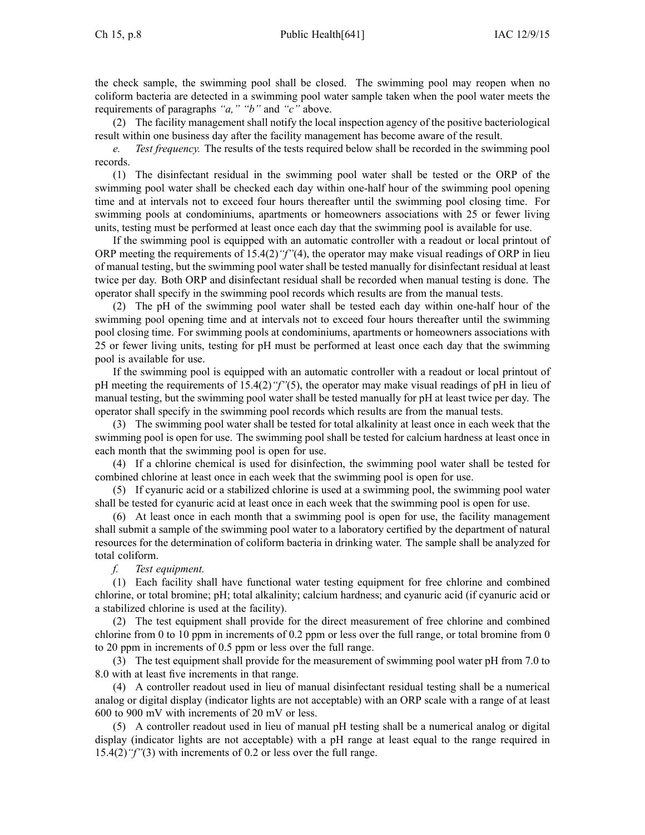the check sample, the swimming pool shall be closed. The swimming pool may reopen when no coliform bacteria are detected in <sup>a</sup> swimming pool water sample taken when the pool water meets the requirements of paragraphs *"a," "b"* and *"c"* above.

(2) The facility managemen<sup>t</sup> shall notify the local inspection agency of the positive bacteriological result within one business day after the facility managemen<sup>t</sup> has become aware of the result.

*e. Test frequency.* The results of the tests required below shall be recorded in the swimming pool records.

(1) The disinfectant residual in the swimming pool water shall be tested or the ORP of the swimming pool water shall be checked each day within one-half hour of the swimming pool opening time and at intervals not to exceed four hours thereafter until the swimming pool closing time. For swimming pools at condominiums, apartments or homeowners associations with 25 or fewer living units, testing must be performed at least once each day that the swimming pool is available for use.

If the swimming pool is equipped with an automatic controller with <sup>a</sup> readout or local printout of ORP meeting the requirements of 15.4(2)*"f"*(4), the operator may make visual readings of ORP in lieu of manual testing, but the swimming pool water shall be tested manually for disinfectant residual at least twice per day. Both ORP and disinfectant residual shall be recorded when manual testing is done. The operator shall specify in the swimming pool records which results are from the manual tests.

(2) The pH of the swimming pool water shall be tested each day within one-half hour of the swimming pool opening time and at intervals not to exceed four hours thereafter until the swimming pool closing time. For swimming pools at condominiums, apartments or homeowners associations with 25 or fewer living units, testing for pH must be performed at least once each day that the swimming pool is available for use.

If the swimming pool is equipped with an automatic controller with <sup>a</sup> readout or local printout of pH meeting the requirements of 15.4(2)*"f"*(5), the operator may make visual readings of pH in lieu of manual testing, but the swimming pool water shall be tested manually for pH at least twice per day. The operator shall specify in the swimming pool records which results are from the manual tests.

(3) The swimming pool water shall be tested for total alkalinity at least once in each week that the swimming pool is open for use. The swimming pool shall be tested for calcium hardness at least once in each month that the swimming pool is open for use.

(4) If <sup>a</sup> chlorine chemical is used for disinfection, the swimming pool water shall be tested for combined chlorine at least once in each week that the swimming pool is open for use.

(5) If cyanuric acid or <sup>a</sup> stabilized chlorine is used at <sup>a</sup> swimming pool, the swimming pool water shall be tested for cyanuric acid at least once in each week that the swimming pool is open for use.

(6) At least once in each month that <sup>a</sup> swimming pool is open for use, the facility managemen<sup>t</sup> shall submit <sup>a</sup> sample of the swimming pool water to <sup>a</sup> laboratory certified by the department of natural resources for the determination of coliform bacteria in drinking water. The sample shall be analyzed for total coliform.

## *f. Test equipment.*

(1) Each facility shall have functional water testing equipment for free chlorine and combined chlorine, or total bromine; pH; total alkalinity; calcium hardness; and cyanuric acid (if cyanuric acid or <sup>a</sup> stabilized chlorine is used at the facility).

(2) The test equipment shall provide for the direct measurement of free chlorine and combined chlorine from 0 to 10 ppm in increments of 0.2 ppm or less over the full range, or total bromine from 0 to 20 ppm in increments of 0.5 ppm or less over the full range.

(3) The test equipment shall provide for the measurement of swimming pool water pH from 7.0 to 8.0 with at least five increments in that range.

(4) A controller readout used in lieu of manual disinfectant residual testing shall be <sup>a</sup> numerical analog or digital display (indicator lights are not acceptable) with an ORP scale with <sup>a</sup> range of at least 600 to 900 mV with increments of 20 mV or less.

(5) A controller readout used in lieu of manual pH testing shall be <sup>a</sup> numerical analog or digital display (indicator lights are not acceptable) with <sup>a</sup> pH range at least equal to the range required in 15.4(2)*"f"*(3) with increments of 0.2 or less over the full range.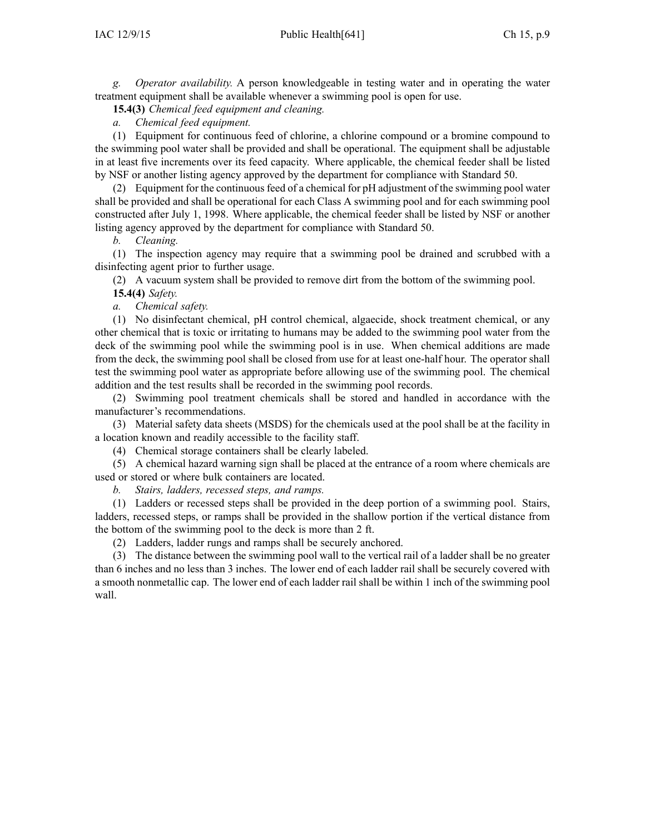*g. Operator availability.* A person knowledgeable in testing water and in operating the water treatment equipment shall be available whenever <sup>a</sup> swimming pool is open for use.

**15.4(3)** *Chemical feed equipment and cleaning.*

*a. Chemical feed equipment.*

(1) Equipment for continuous feed of chlorine, <sup>a</sup> chlorine compound or <sup>a</sup> bromine compound to the swimming pool water shall be provided and shall be operational. The equipment shall be adjustable in at least five increments over its feed capacity. Where applicable, the chemical feeder shall be listed by NSF or another listing agency approved by the department for compliance with Standard 50.

(2) Equipment for the continuousfeed of <sup>a</sup> chemical for pH adjustment of the swimming pool water shall be provided and shall be operational for each Class A swimming pool and for each swimming pool constructed after July 1, 1998. Where applicable, the chemical feeder shall be listed by NSF or another listing agency approved by the department for compliance with Standard 50.

*b. Cleaning.*

(1) The inspection agency may require that <sup>a</sup> swimming pool be drained and scrubbed with <sup>a</sup> disinfecting agen<sup>t</sup> prior to further usage.

(2) A vacuum system shall be provided to remove dirt from the bottom of the swimming pool.

**15.4(4)** *Safety.*

*a. Chemical safety.*

(1) No disinfectant chemical, pH control chemical, algaecide, shock treatment chemical, or any other chemical that is toxic or irritating to humans may be added to the swimming pool water from the deck of the swimming pool while the swimming pool is in use. When chemical additions are made from the deck, the swimming pool shall be closed from use for at least one-half hour. The operator shall test the swimming pool water as appropriate before allowing use of the swimming pool. The chemical addition and the test results shall be recorded in the swimming pool records.

(2) Swimming pool treatment chemicals shall be stored and handled in accordance with the manufacturer's recommendations.

(3) Material safety data sheets (MSDS) for the chemicals used at the pool shall be at the facility in <sup>a</sup> location known and readily accessible to the facility staff.

(4) Chemical storage containers shall be clearly labeled.

(5) A chemical hazard warning sign shall be placed at the entrance of <sup>a</sup> room where chemicals are used or stored or where bulk containers are located.

*b. Stairs, ladders, recessed steps, and ramps.*

(1) Ladders or recessed steps shall be provided in the deep portion of <sup>a</sup> swimming pool. Stairs, ladders, recessed steps, or ramps shall be provided in the shallow portion if the vertical distance from the bottom of the swimming pool to the deck is more than 2 ft.

(2) Ladders, ladder rungs and ramps shall be securely anchored.

(3) The distance between the swimming pool wall to the vertical rail of <sup>a</sup> ladder shall be no greater than 6 inches and no less than 3 inches. The lower end of each ladder rail shall be securely covered with <sup>a</sup> smooth nonmetallic cap. The lower end of each ladder rail shall be within 1 inch of the swimming pool wall.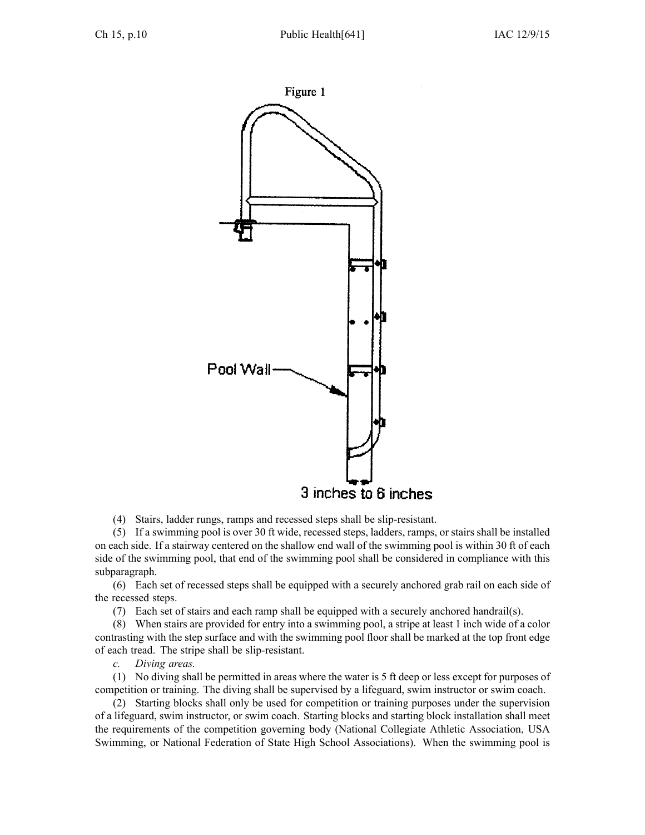

(4) Stairs, ladder rungs, ramps and recessed steps shall be slip-resistant.

(5) If <sup>a</sup> swimming pool is over 30 ft wide, recessed steps, ladders, ramps, or stairs shall be installed on each side. If <sup>a</sup> stairway centered on the shallow end wall of the swimming pool is within 30 ft of each side of the swimming pool, that end of the swimming pool shall be considered in compliance with this subparagraph.

(6) Each set of recessed steps shall be equipped with <sup>a</sup> securely anchored grab rail on each side of the recessed steps.

(7) Each set of stairs and each ramp shall be equipped with <sup>a</sup> securely anchored handrail(s).

(8) When stairs are provided for entry into <sup>a</sup> swimming pool, <sup>a</sup> stripe at least 1 inch wide of <sup>a</sup> color contrasting with the step surface and with the swimming pool floor shall be marked at the top front edge of each tread. The stripe shall be slip-resistant.

*c. Diving areas.*

(1) No diving shall be permitted in areas where the water is 5 ft deep or less excep<sup>t</sup> for purposes of competition or training. The diving shall be supervised by <sup>a</sup> lifeguard, swim instructor or swim coach.

(2) Starting blocks shall only be used for competition or training purposes under the supervision of <sup>a</sup> lifeguard, swim instructor, or swim coach. Starting blocks and starting block installation shall meet the requirements of the competition governing body (National Collegiate Athletic Association, USA Swimming, or National Federation of State High School Associations). When the swimming pool is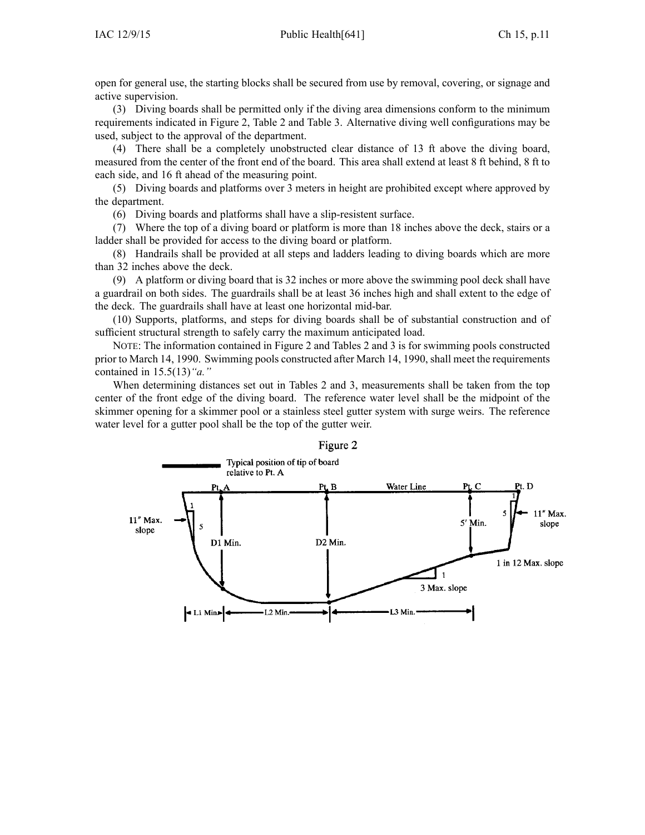open for general use, the starting blocks shall be secured from use by removal, covering, or signage and active supervision.

(3) Diving boards shall be permitted only if the diving area dimensions conform to the minimum requirements indicated in Figure 2, Table 2 and Table 3. Alternative diving well configurations may be used, subject to the approval of the department.

(4) There shall be <sup>a</sup> completely unobstructed clear distance of 13 ft above the diving board, measured from the center of the front end of the board. This area shall extend at least 8 ft behind, 8 ft to each side, and 16 ft ahead of the measuring point.

(5) Diving boards and platforms over 3 meters in height are prohibited excep<sup>t</sup> where approved by the department.

(6) Diving boards and platforms shall have <sup>a</sup> slip-resistent surface.

(7) Where the top of <sup>a</sup> diving board or platform is more than 18 inches above the deck, stairs or <sup>a</sup> ladder shall be provided for access to the diving board or platform.

(8) Handrails shall be provided at all steps and ladders leading to diving boards which are more than 32 inches above the deck.

(9) A platform or diving board that is 32 inches or more above the swimming pool deck shall have <sup>a</sup> guardrail on both sides. The guardrails shall be at least 36 inches high and shall extent to the edge of the deck. The guardrails shall have at least one horizontal mid-bar.

(10) Supports, platforms, and steps for diving boards shall be of substantial construction and of sufficient structural strength to safely carry the maximum anticipated load.

NOTE: The information contained in Figure 2 and Tables 2 and 3 is for swimming pools constructed prior to March 14, 1990. Swimming pools constructed after March 14, 1990, shall meet the requirements contained in 15.5(13)*"a."*

When determining distances set out in Tables 2 and 3, measurements shall be taken from the top center of the front edge of the diving board. The reference water level shall be the midpoint of the skimmer opening for <sup>a</sup> skimmer pool or <sup>a</sup> stainless steel gutter system with surge weirs. The reference water level for <sup>a</sup> gutter pool shall be the top of the gutter weir.



#### Figure 2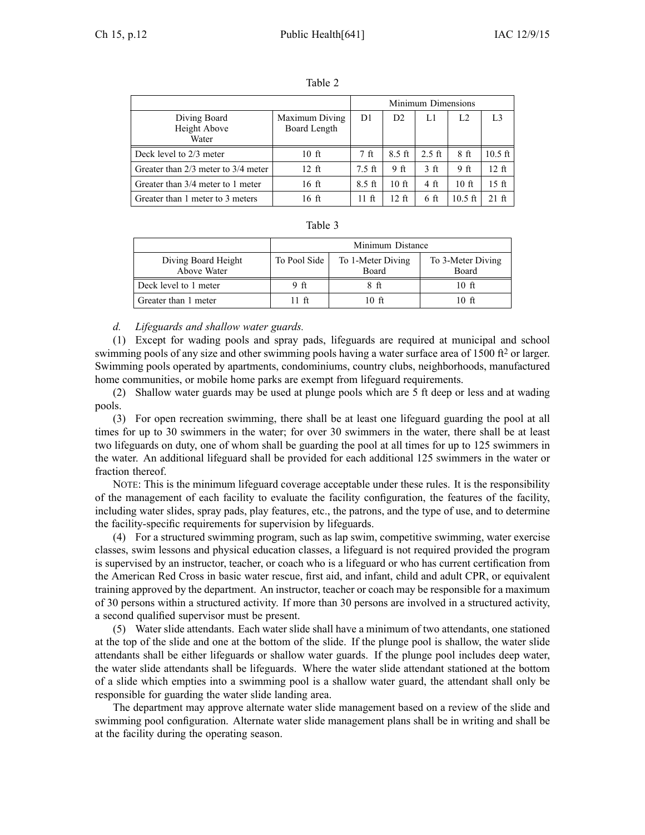|                                         |                                | Minimum Dimensions |                |                |                 |           |
|-----------------------------------------|--------------------------------|--------------------|----------------|----------------|-----------------|-----------|
| Diving Board<br>Height Above<br>Water   | Maximum Diving<br>Board Length | D1                 | D <sub>2</sub> | L1             | L2              | L3        |
| Deck level to 2/3 meter                 | $10$ ft                        | 7 <sub>f</sub>     | $8.5$ ft       | $2.5$ ft       | 8 <sub>f</sub>  | $10.5$ ft |
| Greater than $2/3$ meter to $3/4$ meter | $12 \text{ ft}$                | $7.5$ ft           | 9ft            | 3 <sub>f</sub> | 9 <sub>ft</sub> | 12 ft     |
| Greater than $3/4$ meter to 1 meter     | 16 ft                          | $8.5 \text{ ft}$   | $10$ ft        | 4 ft           | 10 <sub>f</sub> | 15 ft     |
| Greater than 1 meter to 3 meters        | 16 ft                          | 11 ft              | 12 ft          | 6 ft           | $10.5$ ft       | $21$ ft   |

| . . | .n. |  |
|-----|-----|--|
|     |     |  |

| $\sigma$ or $\sigma$ and $\sigma$ in $\sigma$ in $\sigma$ in $\sigma$ | .                | 11 IL                      | $\sim$ | $\mathbf{v}$ it | 10.71                      | 41 LL |  |  |
|-----------------------------------------------------------------------|------------------|----------------------------|--------|-----------------|----------------------------|-------|--|--|
|                                                                       | Table 3          |                            |        |                 |                            |       |  |  |
|                                                                       | Minimum Distance |                            |        |                 |                            |       |  |  |
| Diving Board Height<br>Above Water                                    | To Pool Side     | To 1-Meter Diving<br>Board |        |                 | To 3-Meter Diving<br>Board |       |  |  |
| Deck level to 1 meter                                                 | 9 ft             | 8 ft                       |        |                 | 10 ft                      |       |  |  |
| Greater than 1 meter                                                  | -ft              | 10 ft                      |        |                 | 10 ft                      |       |  |  |

#### *d. Lifeguards and shallow water guards.*

(1) Except for wading pools and spray pads, lifeguards are required at municipal and school swimming pools of any size and other swimming pools having a water surface area of 1500 ft<sup>2</sup> or larger. Swimming pools operated by apartments, condominiums, country clubs, neighborhoods, manufactured home communities, or mobile home parks are exemp<sup>t</sup> from lifeguard requirements.

(2) Shallow water guards may be used at plunge pools which are 5 ft deep or less and at wading pools.

(3) For open recreation swimming, there shall be at least one lifeguard guarding the pool at all times for up to 30 swimmers in the water; for over 30 swimmers in the water, there shall be at least two lifeguards on duty, one of whom shall be guarding the pool at all times for up to 125 swimmers in the water. An additional lifeguard shall be provided for each additional 125 swimmers in the water or fraction thereof.

NOTE: This is the minimum lifeguard coverage acceptable under these rules. It is the responsibility of the managemen<sup>t</sup> of each facility to evaluate the facility configuration, the features of the facility, including water slides, spray pads, play features, etc., the patrons, and the type of use, and to determine the facility-specific requirements for supervision by lifeguards.

(4) For <sup>a</sup> structured swimming program, such as lap swim, competitive swimming, water exercise classes, swim lessons and physical education classes, <sup>a</sup> lifeguard is not required provided the program is supervised by an instructor, teacher, or coach who is <sup>a</sup> lifeguard or who has current certification from the American Red Cross in basic water rescue, first aid, and infant, child and adult CPR, or equivalent training approved by the department. An instructor, teacher or coach may be responsible for <sup>a</sup> maximum of 30 persons within <sup>a</sup> structured activity. If more than 30 persons are involved in <sup>a</sup> structured activity, <sup>a</sup> second qualified supervisor must be present.

(5) Water slide attendants. Each water slide shall have <sup>a</sup> minimum of two attendants, one stationed at the top of the slide and one at the bottom of the slide. If the plunge pool is shallow, the water slide attendants shall be either lifeguards or shallow water guards. If the plunge pool includes deep water, the water slide attendants shall be lifeguards. Where the water slide attendant stationed at the bottom of <sup>a</sup> slide which empties into <sup>a</sup> swimming pool is <sup>a</sup> shallow water guard, the attendant shall only be responsible for guarding the water slide landing area.

The department may approve alternate water slide managemen<sup>t</sup> based on <sup>a</sup> review of the slide and swimming pool configuration. Alternate water slide managemen<sup>t</sup> plans shall be in writing and shall be at the facility during the operating season.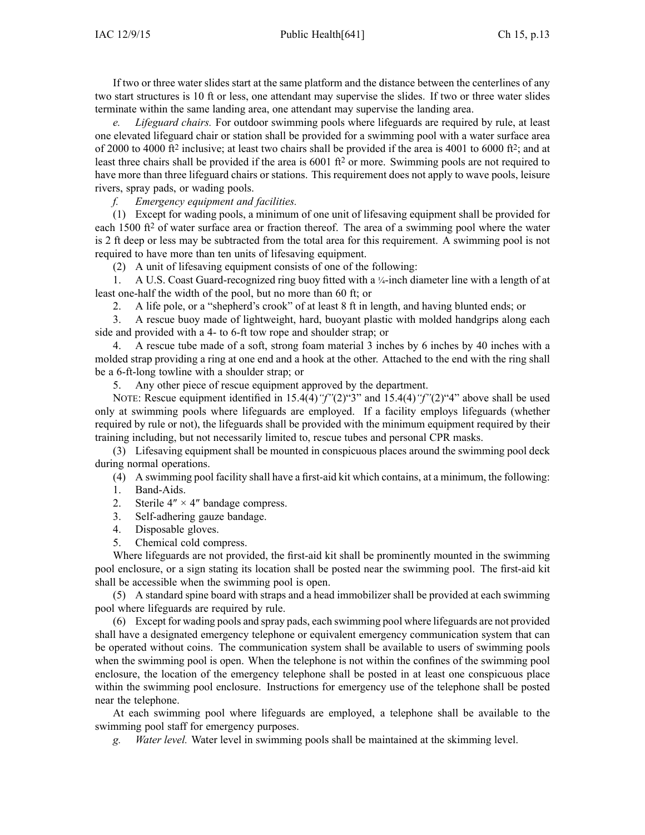If two or three water slides start at the same platform and the distance between the centerlines of any two start structures is 10 ft or less, one attendant may supervise the slides. If two or three water slides terminate within the same landing area, one attendant may supervise the landing area.

*e. Lifeguard chairs.* For outdoor swimming pools where lifeguards are required by rule, at least one elevated lifeguard chair or station shall be provided for <sup>a</sup> swimming pool with <sup>a</sup> water surface area of 2000 to 4000 ft<sup>2</sup> inclusive; at least two chairs shall be provided if the area is 4001 to 6000 ft<sup>2</sup>; and at least three chairs shall be provided if the area is 6001 ft<sup>2</sup> or more. Swimming pools are not required to have more than three lifeguard chairs or stations. This requirement does not apply to wave pools, leisure rivers, spray pads, or wading pools.

*f. Emergency equipment and facilities.*

(1) Except for wading pools, <sup>a</sup> minimum of one unit of lifesaving equipment shall be provided for each 1500 ft<sup>2</sup> of water surface area or fraction thereof. The area of a swimming pool where the water is 2 ft deep or less may be subtracted from the total area for this requirement. A swimming pool is not required to have more than ten units of lifesaving equipment.

(2) A unit of lifesaving equipment consists of one of the following:

1. A U.S. Coast Guard-recognized ring buoy fitted with a ¼-inch diameter line with a length of at least one-half the width of the pool, but no more than 60 ft; or

2. A life pole, or <sup>a</sup> "shepherd's crook" of at least 8 ft in length, and having blunted ends; or

3. A rescue buoy made of lightweight, hard, buoyant plastic with molded handgrips along each side and provided with <sup>a</sup> 4- to 6-ft tow rope and shoulder strap; or

4. A rescue tube made of <sup>a</sup> soft, strong foam material 3 inches by 6 inches by 40 inches with <sup>a</sup> molded strap providing <sup>a</sup> ring at one end and <sup>a</sup> hook at the other. Attached to the end with the ring shall be <sup>a</sup> 6-ft-long towline with <sup>a</sup> shoulder strap; or

5. Any other piece of rescue equipment approved by the department.

NOTE: Rescue equipment identified in 15.4(4)*"f"*(2)"3" and 15.4(4)*"f"*(2)"4" above shall be used only at swimming pools where lifeguards are employed. If <sup>a</sup> facility employs lifeguards (whether required by rule or not), the lifeguards shall be provided with the minimum equipment required by their training including, but not necessarily limited to, rescue tubes and personal CPR masks.

(3) Lifesaving equipment shall be mounted in conspicuous places around the swimming pool deck during normal operations.

(4) A swimming pool facility shall have <sup>a</sup> first-aid kit which contains, at <sup>a</sup> minimum, the following:

- 1. Band-Aids.
- 2. Sterile  $4'' \times 4''$  bandage compress.
- 3. Self-adhering gauze bandage.
- 4. Disposable gloves.
- 5. Chemical cold compress.

Where lifeguards are not provided, the first-aid kit shall be prominently mounted in the swimming pool enclosure, or <sup>a</sup> sign stating its location shall be posted near the swimming pool. The first-aid kit shall be accessible when the swimming pool is open.

(5) A standard spine board with straps and <sup>a</sup> head immobilizer shall be provided at each swimming pool where lifeguards are required by rule.

(6) Except for wading pools and spray pads, each swimming pool where lifeguards are not provided shall have <sup>a</sup> designated emergency telephone or equivalent emergency communication system that can be operated without coins. The communication system shall be available to users of swimming pools when the swimming pool is open. When the telephone is not within the confines of the swimming pool enclosure, the location of the emergency telephone shall be posted in at least one conspicuous place within the swimming pool enclosure. Instructions for emergency use of the telephone shall be posted near the telephone.

At each swimming pool where lifeguards are employed, <sup>a</sup> telephone shall be available to the swimming pool staff for emergency purposes.

*g. Water level.* Water level in swimming pools shall be maintained at the skimming level.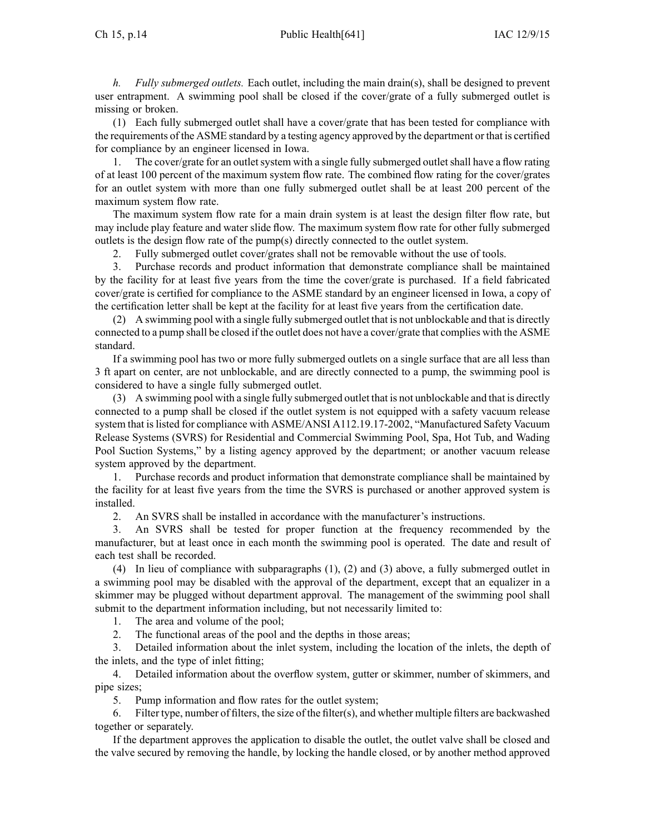#### Ch 15, p.14 Public Health[641] IAC 12/9/15

*h. Fully submerged outlets.* Each outlet, including the main drain(s), shall be designed to preven<sup>t</sup> user entrapment. A swimming pool shall be closed if the cover/grate of <sup>a</sup> fully submerged outlet is missing or broken.

(1) Each fully submerged outlet shall have <sup>a</sup> cover/grate that has been tested for compliance with the requirements of the ASME standard by <sup>a</sup> testing agency approved by the department or that is certified for compliance by an engineer licensed in Iowa.

1. The cover/grate for an outlet system with a single fully submerged outlet shall have a flow rating of at least 100 percen<sup>t</sup> of the maximum system flow rate. The combined flow rating for the cover/grates for an outlet system with more than one fully submerged outlet shall be at least 200 percen<sup>t</sup> of the maximum system flow rate.

The maximum system flow rate for <sup>a</sup> main drain system is at least the design filter flow rate, but may include play feature and water slide flow. The maximum system flow rate for other fully submerged outlets is the design flow rate of the pump(s) directly connected to the outlet system.

2. Fully submerged outlet cover/grates shall not be removable without the use of tools.

3. Purchase records and product information that demonstrate compliance shall be maintained by the facility for at least five years from the time the cover/grate is purchased. If <sup>a</sup> field fabricated cover/grate is certified for compliance to the ASME standard by an engineer licensed in Iowa, <sup>a</sup> copy of the certification letter shall be kept at the facility for at least five years from the certification date.

(2) A swimming pool with <sup>a</sup> single fully submerged outlet that is not unblockable and that is directly connected to <sup>a</sup> pump shall be closed if the outlet does not have <sup>a</sup> cover/grate that complies with the ASME standard.

If <sup>a</sup> swimming pool has two or more fully submerged outlets on <sup>a</sup> single surface that are all less than 3 ft apar<sup>t</sup> on center, are not unblockable, and are directly connected to <sup>a</sup> pump, the swimming pool is considered to have <sup>a</sup> single fully submerged outlet.

(3) A swimming pool with <sup>a</sup> single fully submerged outlet that is not unblockable and that is directly connected to <sup>a</sup> pump shall be closed if the outlet system is not equipped with <sup>a</sup> safety vacuum release system that islisted for compliance with ASME/ANSI A112.19.17-2002, "Manufactured Safety Vacuum Release Systems (SVRS) for Residential and Commercial Swimming Pool, Spa, Hot Tub, and Wading Pool Suction Systems," by <sup>a</sup> listing agency approved by the department; or another vacuum release system approved by the department.

1. Purchase records and product information that demonstrate compliance shall be maintained by the facility for at least five years from the time the SVRS is purchased or another approved system is installed.

2. An SVRS shall be installed in accordance with the manufacturer's instructions.

3. An SVRS shall be tested for proper function at the frequency recommended by the manufacturer, but at least once in each month the swimming pool is operated. The date and result of each test shall be recorded.

(4) In lieu of compliance with subparagraphs (1), (2) and (3) above, <sup>a</sup> fully submerged outlet in <sup>a</sup> swimming pool may be disabled with the approval of the department, excep<sup>t</sup> that an equalizer in <sup>a</sup> skimmer may be plugged without department approval. The managemen<sup>t</sup> of the swimming pool shall submit to the department information including, but not necessarily limited to:

1. The area and volume of the pool;

2. The functional areas of the pool and the depths in those areas;

3. Detailed information about the inlet system, including the location of the inlets, the depth of the inlets, and the type of inlet fitting;

4. Detailed information about the overflow system, gutter or skimmer, number of skimmers, and pipe sizes;

5. Pump information and flow rates for the outlet system;

6. Filter type, number of filters, the size of the filter(s), and whether multiple filters are backwashed together or separately.

If the department approves the application to disable the outlet, the outlet valve shall be closed and the valve secured by removing the handle, by locking the handle closed, or by another method approved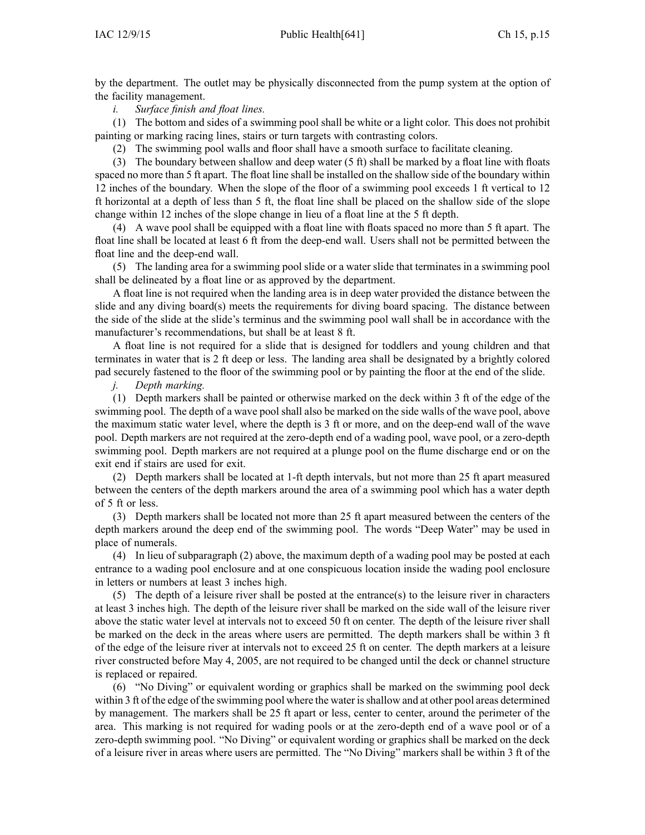by the department. The outlet may be physically disconnected from the pump system at the option of the facility management.

*i. Surface finish and float lines.*

(1) The bottom and sides of <sup>a</sup> swimming pool shall be white or <sup>a</sup> light color. This does not prohibit painting or marking racing lines, stairs or turn targets with contrasting colors.

(2) The swimming pool walls and floor shall have <sup>a</sup> smooth surface to facilitate cleaning.

(3) The boundary between shallow and deep water (5 ft) shall be marked by <sup>a</sup> float line with floats spaced no more than 5 ft apart. The float line shall be installed on the shallow side of the boundary within 12 inches of the boundary. When the slope of the floor of <sup>a</sup> swimming pool exceeds 1 ft vertical to 12 ft horizontal at <sup>a</sup> depth of less than 5 ft, the float line shall be placed on the shallow side of the slope change within 12 inches of the slope change in lieu of <sup>a</sup> float line at the 5 ft depth.

(4) A wave pool shall be equipped with <sup>a</sup> float line with floats spaced no more than 5 ft apart. The float line shall be located at least 6 ft from the deep-end wall. Users shall not be permitted between the float line and the deep-end wall.

(5) The landing area for <sup>a</sup> swimming pool slide or <sup>a</sup> water slide that terminates in <sup>a</sup> swimming pool shall be delineated by <sup>a</sup> float line or as approved by the department.

A float line is not required when the landing area is in deep water provided the distance between the slide and any diving board(s) meets the requirements for diving board spacing. The distance between the side of the slide at the slide's terminus and the swimming pool wall shall be in accordance with the manufacturer's recommendations, but shall be at least 8 ft.

A float line is not required for <sup>a</sup> slide that is designed for toddlers and young children and that terminates in water that is 2 ft deep or less. The landing area shall be designated by <sup>a</sup> brightly colored pad securely fastened to the floor of the swimming pool or by painting the floor at the end of the slide.

*j. Depth marking.*

(1) Depth markers shall be painted or otherwise marked on the deck within 3 ft of the edge of the swimming pool. The depth of <sup>a</sup> wave pool shall also be marked on the side walls of the wave pool, above the maximum static water level, where the depth is 3 ft or more, and on the deep-end wall of the wave pool. Depth markers are not required at the zero-depth end of <sup>a</sup> wading pool, wave pool, or <sup>a</sup> zero-depth swimming pool. Depth markers are not required at <sup>a</sup> plunge pool on the flume discharge end or on the exit end if stairs are used for exit.

(2) Depth markers shall be located at 1-ft depth intervals, but not more than 25 ft apar<sup>t</sup> measured between the centers of the depth markers around the area of <sup>a</sup> swimming pool which has <sup>a</sup> water depth of 5 ft or less.

(3) Depth markers shall be located not more than 25 ft apar<sup>t</sup> measured between the centers of the depth markers around the deep end of the swimming pool. The words "Deep Water" may be used in place of numerals.

(4) In lieu of subparagraph (2) above, the maximum depth of <sup>a</sup> wading pool may be posted at each entrance to <sup>a</sup> wading pool enclosure and at one conspicuous location inside the wading pool enclosure in letters or numbers at least 3 inches high.

(5) The depth of <sup>a</sup> leisure river shall be posted at the entrance(s) to the leisure river in characters at least 3 inches high. The depth of the leisure river shall be marked on the side wall of the leisure river above the static water level at intervals not to exceed 50 ft on center. The depth of the leisure river shall be marked on the deck in the areas where users are permitted. The depth markers shall be within 3 ft of the edge of the leisure river at intervals not to exceed 25 ft on center. The depth markers at <sup>a</sup> leisure river constructed before May 4, 2005, are not required to be changed until the deck or channel structure is replaced or repaired.

(6) "No Diving" or equivalent wording or graphics shall be marked on the swimming pool deck within 3 ft of the edge of the swimming pool where the water is shallow and at other pool areas determined by management. The markers shall be 25 ft apar<sup>t</sup> or less, center to center, around the perimeter of the area. This marking is not required for wading pools or at the zero-depth end of <sup>a</sup> wave pool or of <sup>a</sup> zero-depth swimming pool. "No Diving" or equivalent wording or graphics shall be marked on the deck of <sup>a</sup> leisure river in areas where users are permitted. The "No Diving" markers shall be within 3 ft of the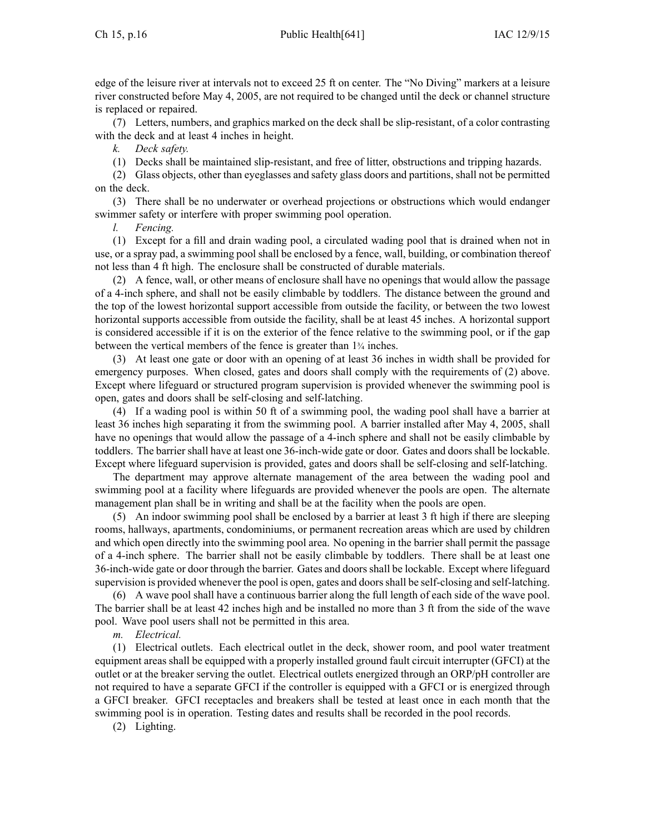edge of the leisure river at intervals not to exceed 25 ft on center. The "No Diving" markers at <sup>a</sup> leisure river constructed before May 4, 2005, are not required to be changed until the deck or channel structure is replaced or repaired.

(7) Letters, numbers, and graphics marked on the deck shall be slip-resistant, of <sup>a</sup> color contrasting with the deck and at least 4 inches in height.

*k. Deck safety.*

(1) Decks shall be maintained slip-resistant, and free of litter, obstructions and tripping hazards.

(2) Glass objects, other than eyeglasses and safety glass doors and partitions, shall not be permitted on the deck.

(3) There shall be no underwater or overhead projections or obstructions which would endanger swimmer safety or interfere with proper swimming pool operation.

*l. Fencing.*

(1) Except for <sup>a</sup> fill and drain wading pool, <sup>a</sup> circulated wading pool that is drained when not in use, or <sup>a</sup> spray pad, <sup>a</sup> swimming pool shall be enclosed by <sup>a</sup> fence, wall, building, or combination thereof not less than 4 ft high. The enclosure shall be constructed of durable materials.

(2) A fence, wall, or other means of enclosure shall have no openings that would allow the passage of <sup>a</sup> 4-inch sphere, and shall not be easily climbable by toddlers. The distance between the ground and the top of the lowest horizontal suppor<sup>t</sup> accessible from outside the facility, or between the two lowest horizontal supports accessible from outside the facility, shall be at least 45 inches. A horizontal suppor<sup>t</sup> is considered accessible if it is on the exterior of the fence relative to the swimming pool, or if the gap between the vertical members of the fence is greater than 1<sup>¾</sup> inches.

(3) At least one gate or door with an opening of at least 36 inches in width shall be provided for emergency purposes. When closed, gates and doors shall comply with the requirements of (2) above. Except where lifeguard or structured program supervision is provided whenever the swimming pool is open, gates and doors shall be self-closing and self-latching.

(4) If <sup>a</sup> wading pool is within 50 ft of <sup>a</sup> swimming pool, the wading pool shall have <sup>a</sup> barrier at least 36 inches high separating it from the swimming pool. A barrier installed after May 4, 2005, shall have no openings that would allow the passage of <sup>a</sup> 4-inch sphere and shall not be easily climbable by toddlers. The barrier shall have at least one 36-inch-wide gate or door. Gates and doors shall be lockable. Except where lifeguard supervision is provided, gates and doors shall be self-closing and self-latching.

The department may approve alternate managemen<sup>t</sup> of the area between the wading pool and swimming pool at <sup>a</sup> facility where lifeguards are provided whenever the pools are open. The alternate managemen<sup>t</sup> plan shall be in writing and shall be at the facility when the pools are open.

(5) An indoor swimming pool shall be enclosed by <sup>a</sup> barrier at least 3 ft high if there are sleeping rooms, hallways, apartments, condominiums, or permanen<sup>t</sup> recreation areas which are used by children and which open directly into the swimming pool area. No opening in the barrier shall permit the passage of <sup>a</sup> 4-inch sphere. The barrier shall not be easily climbable by toddlers. There shall be at least one 36-inch-wide gate or door through the barrier. Gates and doors shall be lockable. Except where lifeguard supervision is provided whenever the pool is open, gates and doorsshall be self-closing and self-latching.

(6) A wave pool shall have <sup>a</sup> continuous barrier along the full length of each side of the wave pool. The barrier shall be at least 42 inches high and be installed no more than 3 ft from the side of the wave pool. Wave pool users shall not be permitted in this area.

*m. Electrical.*

(1) Electrical outlets. Each electrical outlet in the deck, shower room, and pool water treatment equipment areas shall be equipped with <sup>a</sup> properly installed ground fault circuit interrupter (GFCI) at the outlet or at the breaker serving the outlet. Electrical outlets energized through an ORP/pH controller are not required to have <sup>a</sup> separate GFCI if the controller is equipped with <sup>a</sup> GFCI or is energized through <sup>a</sup> GFCI breaker. GFCI receptacles and breakers shall be tested at least once in each month that the swimming pool is in operation. Testing dates and results shall be recorded in the pool records.

(2) Lighting.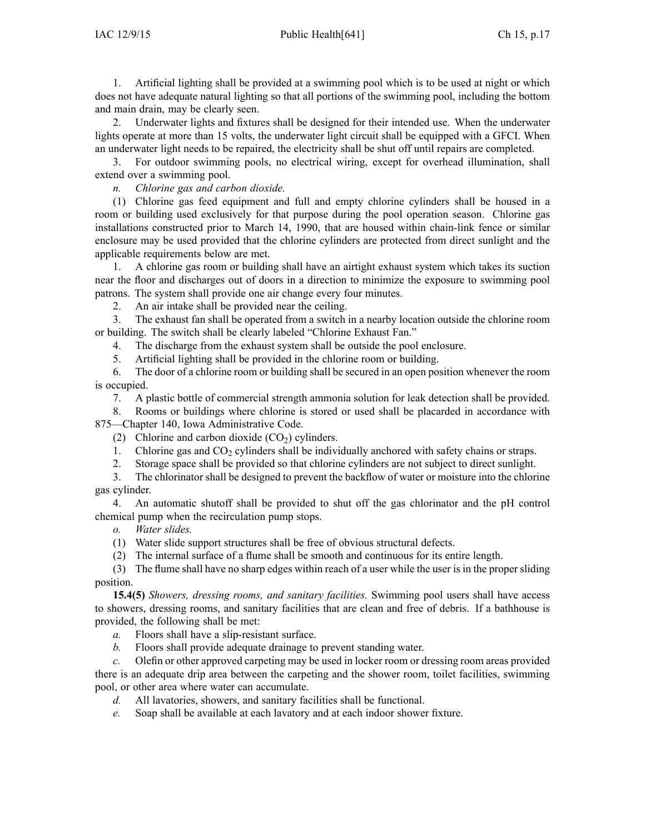1. Artificial lighting shall be provided at <sup>a</sup> swimming pool which is to be used at night or which does not have adequate natural lighting so that all portions of the swimming pool, including the bottom and main drain, may be clearly seen.

2. Underwater lights and fixtures shall be designed for their intended use. When the underwater lights operate at more than 15 volts, the underwater light circuit shall be equipped with <sup>a</sup> GFCI. When an underwater light needs to be repaired, the electricity shall be shut off until repairs are completed.

3. For outdoor swimming pools, no electrical wiring, excep<sup>t</sup> for overhead illumination, shall extend over <sup>a</sup> swimming pool.

*n. Chlorine gas and carbon dioxide.*

(1) Chlorine gas feed equipment and full and empty chlorine cylinders shall be housed in <sup>a</sup> room or building used exclusively for that purpose during the pool operation season. Chlorine gas installations constructed prior to March 14, 1990, that are housed within chain-link fence or similar enclosure may be used provided that the chlorine cylinders are protected from direct sunlight and the applicable requirements below are met.

1. A chlorine gas room or building shall have an airtight exhaust system which takes its suction near the floor and discharges out of doors in <sup>a</sup> direction to minimize the exposure to swimming pool patrons. The system shall provide one air change every four minutes.

2. An air intake shall be provided near the ceiling.

3. The exhaust fan shall be operated from <sup>a</sup> switch in <sup>a</sup> nearby location outside the chlorine room or building. The switch shall be clearly labeled "Chlorine Exhaust Fan."

- 4. The discharge from the exhaust system shall be outside the pool enclosure.
- 5. Artificial lighting shall be provided in the chlorine room or building.

6. The door of <sup>a</sup> chlorine room or building shall be secured in an open position whenever the room is occupied.

7. A plastic bottle of commercial strength ammonia solution for leak detection shall be provided.

8. Rooms or buildings where chlorine is stored or used shall be placarded in accordance with 875—Chapter 140, Iowa Administrative Code.

- (2) Chlorine and carbon dioxide  $(CO<sub>2</sub>)$  cylinders.
- 1. Chlorine gas and  $CO<sub>2</sub>$  cylinders shall be individually anchored with safety chains or straps.
- 2. Storage space shall be provided so that chlorine cylinders are not subject to direct sunlight.
- 3. The chlorinator shall be designed to preven<sup>t</sup> the backflow of water or moisture into the chlorine gas cylinder.

4. An automatic shutoff shall be provided to shut off the gas chlorinator and the pH control chemical pump when the recirculation pump stops.

- *o. Water slides.*
- (1) Water slide suppor<sup>t</sup> structures shall be free of obvious structural defects.
- (2) The internal surface of <sup>a</sup> flume shall be smooth and continuous for its entire length.

(3) The flume shall have no sharp edges within reach of <sup>a</sup> user while the user is in the proper sliding position.

**15.4(5)** *Showers, dressing rooms, and sanitary facilities.* Swimming pool users shall have access to showers, dressing rooms, and sanitary facilities that are clean and free of debris. If <sup>a</sup> bathhouse is provided, the following shall be met:

- *a.* Floors shall have <sup>a</sup> slip-resistant surface.
- *b.* Floors shall provide adequate drainage to preven<sup>t</sup> standing water.

*c.* Olefin or other approved carpeting may be used in locker room or dressing room areas provided there is an adequate drip area between the carpeting and the shower room, toilet facilities, swimming pool, or other area where water can accumulate.

- *d.* All lavatories, showers, and sanitary facilities shall be functional.
- *e.* Soap shall be available at each lavatory and at each indoor shower fixture.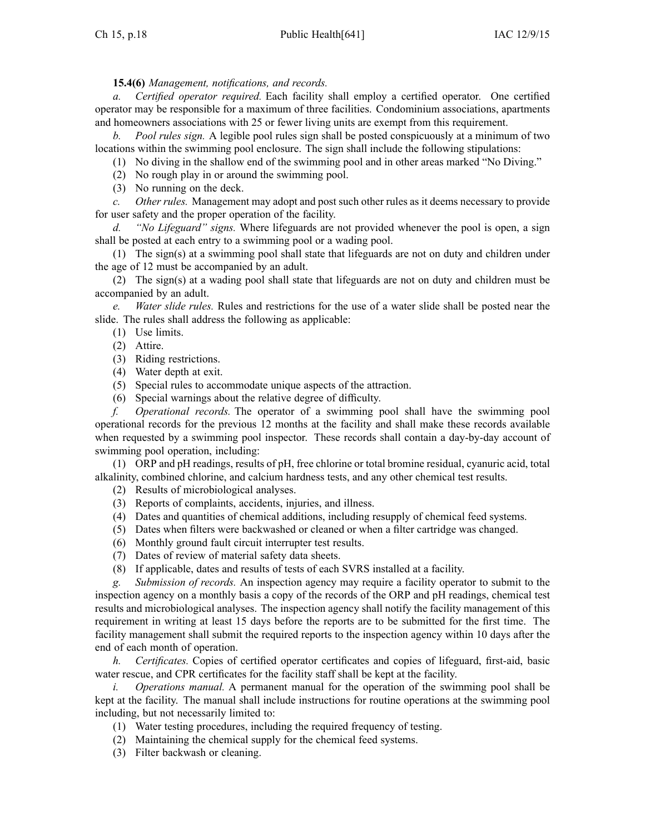**15.4(6)** *Management, notifications, and records.*

*a. Certified operator required.* Each facility shall employ <sup>a</sup> certified operator. One certified operator may be responsible for <sup>a</sup> maximum of three facilities. Condominium associations, apartments and homeowners associations with 25 or fewer living units are exemp<sup>t</sup> from this requirement.

*b. Pool rules sign.* A legible pool rules sign shall be posted conspicuously at <sup>a</sup> minimum of two locations within the swimming pool enclosure. The sign shall include the following stipulations:

(1) No diving in the shallow end of the swimming pool and in other areas marked "No Diving."

(2) No rough play in or around the swimming pool.

(3) No running on the deck.

*c. Other rules.* Management may adopt and pos<sup>t</sup> such other rules as it deems necessary to provide for user safety and the proper operation of the facility.

*d. "No Lifeguard" signs.* Where lifeguards are not provided whenever the pool is open, <sup>a</sup> sign shall be posted at each entry to <sup>a</sup> swimming pool or <sup>a</sup> wading pool.

(1) The sign(s) at <sup>a</sup> swimming pool shall state that lifeguards are not on duty and children under the age of 12 must be accompanied by an adult.

(2) The sign(s) at <sup>a</sup> wading pool shall state that lifeguards are not on duty and children must be accompanied by an adult.

*e. Water slide rules.* Rules and restrictions for the use of <sup>a</sup> water slide shall be posted near the slide. The rules shall address the following as applicable:

(1) Use limits.

(2) Attire.

(3) Riding restrictions.

(4) Water depth at exit.

(5) Special rules to accommodate unique aspects of the attraction.

(6) Special warnings about the relative degree of difficulty.

*f. Operational records.* The operator of <sup>a</sup> swimming pool shall have the swimming pool operational records for the previous 12 months at the facility and shall make these records available when requested by <sup>a</sup> swimming pool inspector. These records shall contain <sup>a</sup> day-by-day account of swimming pool operation, including:

(1) ORP and pH readings, results of pH, free chlorine or total bromine residual, cyanuric acid, total alkalinity, combined chlorine, and calcium hardness tests, and any other chemical test results.

(2) Results of microbiological analyses.

- (3) Reports of complaints, accidents, injuries, and illness.
- (4) Dates and quantities of chemical additions, including resupply of chemical feed systems.
- (5) Dates when filters were backwashed or cleaned or when <sup>a</sup> filter cartridge was changed.
- (6) Monthly ground fault circuit interrupter test results.
- (7) Dates of review of material safety data sheets.
- (8) If applicable, dates and results of tests of each SVRS installed at <sup>a</sup> facility.

*g. Submission of records.* An inspection agency may require <sup>a</sup> facility operator to submit to the inspection agency on <sup>a</sup> monthly basis <sup>a</sup> copy of the records of the ORP and pH readings, chemical test results and microbiological analyses. The inspection agency shall notify the facility managemen<sup>t</sup> of this requirement in writing at least 15 days before the reports are to be submitted for the first time. The facility managemen<sup>t</sup> shall submit the required reports to the inspection agency within 10 days after the end of each month of operation.

*h. Certificates.* Copies of certified operator certificates and copies of lifeguard, first-aid, basic water rescue, and CPR certificates for the facility staff shall be kept at the facility.

*i. Operations manual.* A permanen<sup>t</sup> manual for the operation of the swimming pool shall be kept at the facility. The manual shall include instructions for routine operations at the swimming pool including, but not necessarily limited to:

- (1) Water testing procedures, including the required frequency of testing.
- (2) Maintaining the chemical supply for the chemical feed systems.
- (3) Filter backwash or cleaning.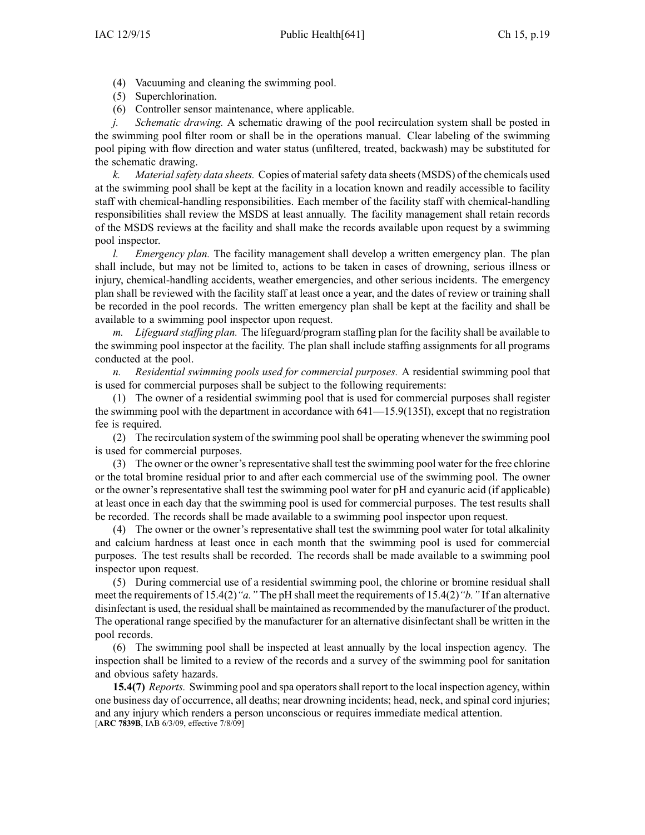- (4) Vacuuming and cleaning the swimming pool.
- (5) Superchlorination.
- (6) Controller sensor maintenance, where applicable.

*j. Schematic drawing.* A schematic drawing of the pool recirculation system shall be posted in the swimming pool filter room or shall be in the operations manual. Clear labeling of the swimming pool piping with flow direction and water status (unfiltered, treated, backwash) may be substituted for the schematic drawing.

*k. Materialsafety data sheets.* Copies of materialsafety data sheets(MSDS) of the chemicals used at the swimming pool shall be kept at the facility in <sup>a</sup> location known and readily accessible to facility staff with chemical-handling responsibilities. Each member of the facility staff with chemical-handling responsibilities shall review the MSDS at least annually. The facility managemen<sup>t</sup> shall retain records of the MSDS reviews at the facility and shall make the records available upon reques<sup>t</sup> by <sup>a</sup> swimming pool inspector.

*l. Emergency plan.* The facility managemen<sup>t</sup> shall develop <sup>a</sup> written emergency plan. The plan shall include, but may not be limited to, actions to be taken in cases of drowning, serious illness or injury, chemical-handling accidents, weather emergencies, and other serious incidents. The emergency plan shall be reviewed with the facility staff at least once <sup>a</sup> year, and the dates of review or training shall be recorded in the pool records. The written emergency plan shall be kept at the facility and shall be available to <sup>a</sup> swimming pool inspector upon request.

*m. Lifeguard staffing plan.* The lifeguard/program staffing plan for the facility shall be available to the swimming pool inspector at the facility. The plan shall include staffing assignments for all programs conducted at the pool.

*n. Residential swimming pools used for commercial purposes.* A residential swimming pool that is used for commercial purposes shall be subject to the following requirements:

(1) The owner of <sup>a</sup> residential swimming pool that is used for commercial purposes shall register the swimming pool with the department in accordance with 641—15.9(135I), excep<sup>t</sup> that no registration fee is required.

(2) The recirculation system of the swimming poolshall be operating whenever the swimming pool is used for commercial purposes.

(3) The owner or the owner'srepresentative shall test the swimming pool water for the free chlorine or the total bromine residual prior to and after each commercial use of the swimming pool. The owner or the owner's representative shall test the swimming pool water for pH and cyanuric acid (if applicable) at least once in each day that the swimming pool is used for commercial purposes. The test results shall be recorded. The records shall be made available to <sup>a</sup> swimming pool inspector upon request.

(4) The owner or the owner's representative shall test the swimming pool water for total alkalinity and calcium hardness at least once in each month that the swimming pool is used for commercial purposes. The test results shall be recorded. The records shall be made available to <sup>a</sup> swimming pool inspector upon request.

(5) During commercial use of <sup>a</sup> residential swimming pool, the chlorine or bromine residual shall meet the requirements of 15.4(2)*"a."* The pH shall meet the requirements of 15.4(2)*"b."* If an alternative disinfectant is used, the residual shall be maintained as recommended by the manufacturer of the product. The operational range specified by the manufacturer for an alternative disinfectant shall be written in the pool records.

(6) The swimming pool shall be inspected at least annually by the local inspection agency. The inspection shall be limited to <sup>a</sup> review of the records and <sup>a</sup> survey of the swimming pool for sanitation and obvious safety hazards.

**15.4(7)** *Reports.* Swimming pool and spa operators shall report to the local inspection agency, within one business day of occurrence, all deaths; near drowning incidents; head, neck, and spinal cord injuries; and any injury which renders <sup>a</sup> person unconscious or requires immediate medical attention. [**ARC 7839B**, IAB 6/3/09, effective 7/8/09]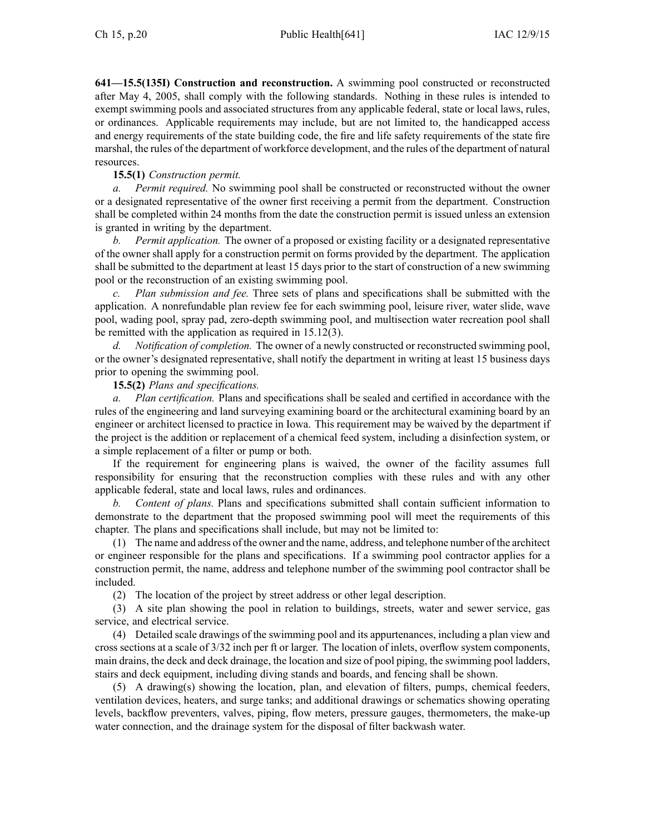**641—15.5(135I) Construction and reconstruction.** A swimming pool constructed or reconstructed after May 4, 2005, shall comply with the following standards. Nothing in these rules is intended to exemp<sup>t</sup> swimming pools and associated structures from any applicable federal, state or local laws, rules, or ordinances. Applicable requirements may include, but are not limited to, the handicapped access and energy requirements of the state building code, the fire and life safety requirements of the state fire marshal, the rules of the department of workforce development, and the rules of the department of natural resources.

## **15.5(1)** *Construction permit.*

*a. Permit required.* No swimming pool shall be constructed or reconstructed without the owner or <sup>a</sup> designated representative of the owner first receiving <sup>a</sup> permit from the department. Construction shall be completed within 24 months from the date the construction permit is issued unless an extension is granted in writing by the department.

*b. Permit application.* The owner of <sup>a</sup> proposed or existing facility or <sup>a</sup> designated representative of the owner shall apply for <sup>a</sup> construction permit on forms provided by the department. The application shall be submitted to the department at least 15 days prior to the start of construction of <sup>a</sup> new swimming pool or the reconstruction of an existing swimming pool.

*c. Plan submission and fee.* Three sets of plans and specifications shall be submitted with the application. A nonrefundable plan review fee for each swimming pool, leisure river, water slide, wave pool, wading pool, spray pad, zero-depth swimming pool, and multisection water recreation pool shall be remitted with the application as required in 15.12(3).

*d. Notification of completion.* The owner of <sup>a</sup> newly constructed or reconstructed swimming pool, or the owner's designated representative, shall notify the department in writing at least 15 business days prior to opening the swimming pool.

## **15.5(2)** *Plans and specifications.*

*a. Plan certification.* Plans and specifications shall be sealed and certified in accordance with the rules of the engineering and land surveying examining board or the architectural examining board by an engineer or architect licensed to practice in Iowa. This requirement may be waived by the department if the project is the addition or replacement of <sup>a</sup> chemical feed system, including <sup>a</sup> disinfection system, or <sup>a</sup> simple replacement of <sup>a</sup> filter or pump or both.

If the requirement for engineering plans is waived, the owner of the facility assumes full responsibility for ensuring that the reconstruction complies with these rules and with any other applicable federal, state and local laws, rules and ordinances.

*b. Content of plans.* Plans and specifications submitted shall contain sufficient information to demonstrate to the department that the proposed swimming pool will meet the requirements of this chapter. The plans and specifications shall include, but may not be limited to:

(1) The name and address of the owner and the name, address, and telephone number of the architect or engineer responsible for the plans and specifications. If <sup>a</sup> swimming pool contractor applies for <sup>a</sup> construction permit, the name, address and telephone number of the swimming pool contractor shall be included.

(2) The location of the project by street address or other legal description.

(3) A site plan showing the pool in relation to buildings, streets, water and sewer service, gas service, and electrical service.

(4) Detailed scale drawings of the swimming pool and its appurtenances, including <sup>a</sup> plan view and cross sections at <sup>a</sup> scale of 3/32 inch per ft or larger. The location of inlets, overflow system components, main drains, the deck and deck drainage, the location and size of pool piping, the swimming pool ladders, stairs and deck equipment, including diving stands and boards, and fencing shall be shown.

(5) A drawing(s) showing the location, plan, and elevation of filters, pumps, chemical feeders, ventilation devices, heaters, and surge tanks; and additional drawings or schematics showing operating levels, backflow preventers, valves, piping, flow meters, pressure gauges, thermometers, the make-up water connection, and the drainage system for the disposal of filter backwash water.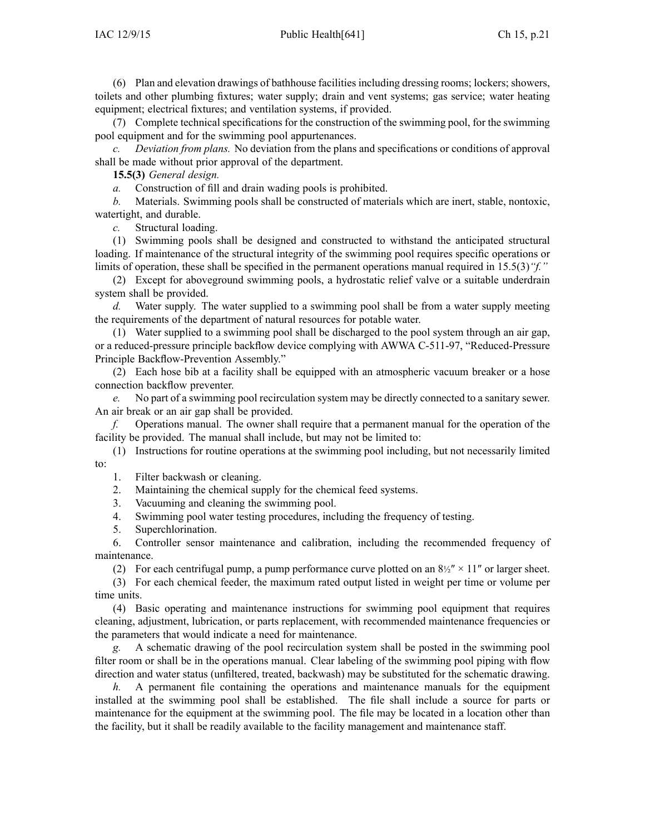(6) Plan and elevation drawings of bathhouse facilitiesincluding dressing rooms; lockers; showers, toilets and other plumbing fixtures; water supply; drain and vent systems; gas service; water heating equipment; electrical fixtures; and ventilation systems, if provided.

(7) Complete technical specifications for the construction of the swimming pool, for the swimming pool equipment and for the swimming pool appurtenances.

*c. Deviation from plans.* No deviation from the plans and specifications or conditions of approval shall be made without prior approval of the department.

**15.5(3)** *General design.*

*a.* Construction of fill and drain wading pools is prohibited.

*b.* Materials. Swimming pools shall be constructed of materials which are inert, stable, nontoxic, watertight, and durable.

*c.* Structural loading.

(1) Swimming pools shall be designed and constructed to withstand the anticipated structural loading. If maintenance of the structural integrity of the swimming pool requires specific operations or limits of operation, these shall be specified in the permanen<sup>t</sup> operations manual required in 15.5(3)*"f."*

(2) Except for aboveground swimming pools, <sup>a</sup> hydrostatic relief valve or <sup>a</sup> suitable underdrain system shall be provided.

*d.* Water supply. The water supplied to <sup>a</sup> swimming pool shall be from <sup>a</sup> water supply meeting the requirements of the department of natural resources for potable water.

(1) Water supplied to <sup>a</sup> swimming pool shall be discharged to the pool system through an air gap, or <sup>a</sup> reduced-pressure principle backflow device complying with AWWA C-511-97, "Reduced-Pressure Principle Backflow-Prevention Assembly."

(2) Each hose bib at <sup>a</sup> facility shall be equipped with an atmospheric vacuum breaker or <sup>a</sup> hose connection backflow preventer.

*e.* No par<sup>t</sup> of <sup>a</sup> swimming pool recirculation system may be directly connected to <sup>a</sup> sanitary sewer. An air break or an air gap shall be provided.

*f.* Operations manual. The owner shall require that <sup>a</sup> permanen<sup>t</sup> manual for the operation of the facility be provided. The manual shall include, but may not be limited to:

(1) Instructions for routine operations at the swimming pool including, but not necessarily limited to:

1. Filter backwash or cleaning.

2. Maintaining the chemical supply for the chemical feed systems.

3. Vacuuming and cleaning the swimming pool.

4. Swimming pool water testing procedures, including the frequency of testing.

5. Superchlorination.

6. Controller sensor maintenance and calibration, including the recommended frequency of maintenance.

(2) For each centrifugal pump, a pump performance curve plotted on an  $8\frac{1}{2}$   $\times$  11" or larger sheet.

(3) For each chemical feeder, the maximum rated output listed in weight per time or volume per time units.

(4) Basic operating and maintenance instructions for swimming pool equipment that requires cleaning, adjustment, lubrication, or parts replacement, with recommended maintenance frequencies or the parameters that would indicate <sup>a</sup> need for maintenance.

*g.* A schematic drawing of the pool recirculation system shall be posted in the swimming pool filter room or shall be in the operations manual. Clear labeling of the swimming pool piping with flow direction and water status (unfiltered, treated, backwash) may be substituted for the schematic drawing.

*h.* A permanent file containing the operations and maintenance manuals for the equipment installed at the swimming pool shall be established. The file shall include <sup>a</sup> source for parts or maintenance for the equipment at the swimming pool. The file may be located in <sup>a</sup> location other than the facility, but it shall be readily available to the facility managemen<sup>t</sup> and maintenance staff.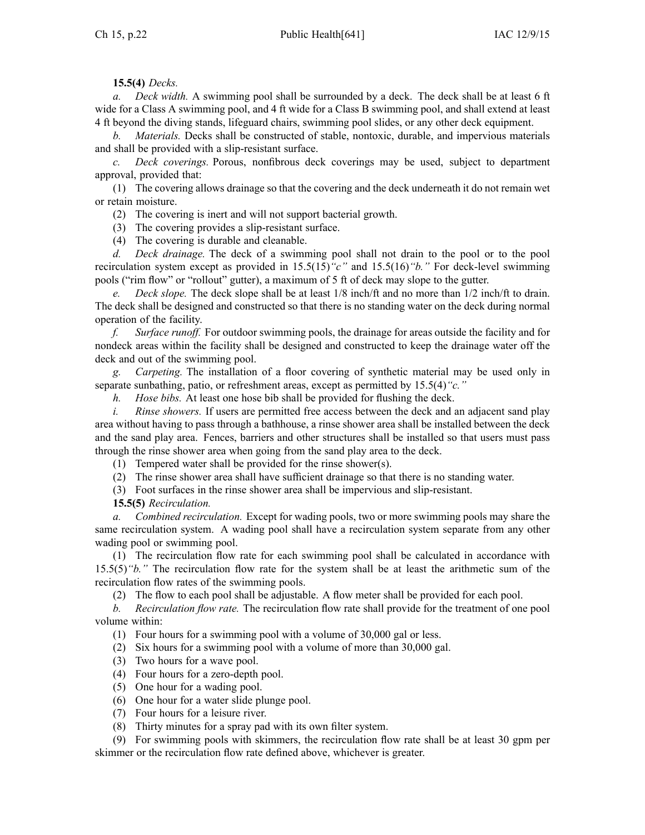# **15.5(4)** *Decks.*

*a. Deck width.* A swimming pool shall be surrounded by <sup>a</sup> deck. The deck shall be at least 6 ft wide for <sup>a</sup> Class A swimming pool, and 4 ft wide for <sup>a</sup> Class B swimming pool, and shall extend at least 4 ft beyond the diving stands, lifeguard chairs, swimming pool slides, or any other deck equipment.

*b. Materials.* Decks shall be constructed of stable, nontoxic, durable, and impervious materials and shall be provided with <sup>a</sup> slip-resistant surface.

*c. Deck coverings.* Porous, nonfibrous deck coverings may be used, subject to department approval, provided that:

(1) The covering allows drainage so that the covering and the deck underneath it do not remain wet or retain moisture.

(2) The covering is inert and will not suppor<sup>t</sup> bacterial growth.

(3) The covering provides <sup>a</sup> slip-resistant surface.

(4) The covering is durable and cleanable.

*d. Deck drainage.* The deck of <sup>a</sup> swimming pool shall not drain to the pool or to the pool recirculation system excep<sup>t</sup> as provided in 15.5(15)*"c"* and 15.5(16)*"b."* For deck-level swimming pools ("rim flow" or "rollout" gutter), <sup>a</sup> maximum of 5 ft of deck may slope to the gutter.

*e. Deck slope.* The deck slope shall be at least 1/8 inch/ft and no more than 1/2 inch/ft to drain. The deck shall be designed and constructed so that there is no standing water on the deck during normal operation of the facility.

*f. Surface runoff.* For outdoor swimming pools, the drainage for areas outside the facility and for nondeck areas within the facility shall be designed and constructed to keep the drainage water off the deck and out of the swimming pool.

*g. Carpeting.* The installation of <sup>a</sup> floor covering of synthetic material may be used only in separate sunbathing, patio, or refreshment areas, excep<sup>t</sup> as permitted by 15.5(4)*"c."*

*h. Hose bibs.* At least one hose bib shall be provided for flushing the deck.

*i. Rinse showers.* If users are permitted free access between the deck and an adjacent sand play area without having to pass through <sup>a</sup> bathhouse, <sup>a</sup> rinse shower area shall be installed between the deck and the sand play area. Fences, barriers and other structures shall be installed so that users must pass through the rinse shower area when going from the sand play area to the deck.

(1) Tempered water shall be provided for the rinse shower(s).

(2) The rinse shower area shall have sufficient drainage so that there is no standing water.

(3) Foot surfaces in the rinse shower area shall be impervious and slip-resistant.

**15.5(5)** *Recirculation.*

*a. Combined recirculation.* Except for wading pools, two or more swimming pools may share the same recirculation system. A wading pool shall have <sup>a</sup> recirculation system separate from any other wading pool or swimming pool.

(1) The recirculation flow rate for each swimming pool shall be calculated in accordance with 15.5(5)*"b."* The recirculation flow rate for the system shall be at least the arithmetic sum of the recirculation flow rates of the swimming pools.

(2) The flow to each pool shall be adjustable. A flow meter shall be provided for each pool.

*b. Recirculation flow rate.* The recirculation flow rate shall provide for the treatment of one pool volume within:

(1) Four hours for <sup>a</sup> swimming pool with <sup>a</sup> volume of 30,000 gal or less.

(2) Six hours for <sup>a</sup> swimming pool with <sup>a</sup> volume of more than 30,000 gal.

- (3) Two hours for <sup>a</sup> wave pool.
- (4) Four hours for <sup>a</sup> zero-depth pool.
- (5) One hour for <sup>a</sup> wading pool.
- (6) One hour for <sup>a</sup> water slide plunge pool.
- (7) Four hours for <sup>a</sup> leisure river.
- (8) Thirty minutes for <sup>a</sup> spray pad with its own filter system.

(9) For swimming pools with skimmers, the recirculation flow rate shall be at least 30 gpm per skimmer or the recirculation flow rate defined above, whichever is greater.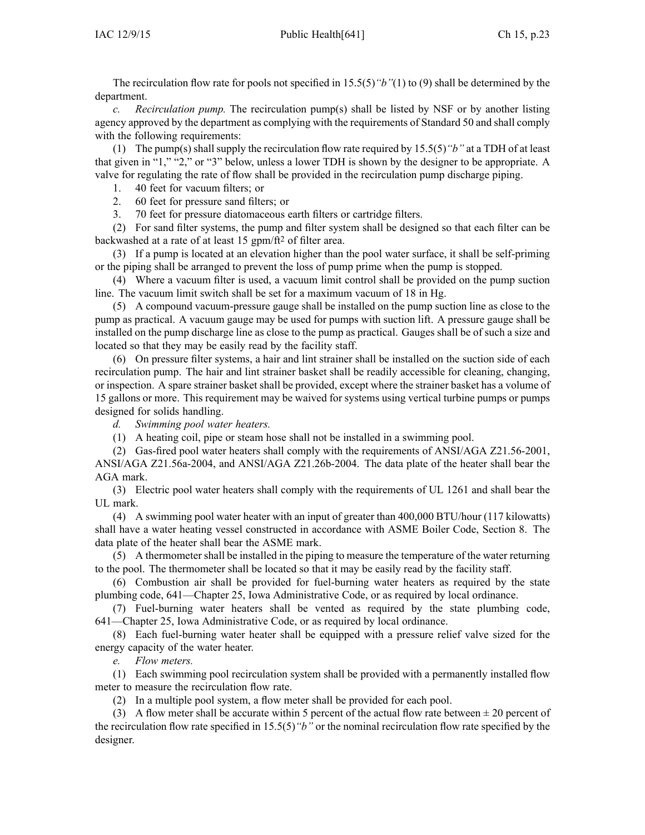The recirculation flow rate for pools not specified in 15.5(5)*"b"*(1) to (9) shall be determined by the department.

*c. Recirculation pump.* The recirculation pump(s) shall be listed by NSF or by another listing agency approved by the department as complying with the requirements of Standard 50 and shall comply with the following requirements:

(1) The pump(s) shall supply the recirculation flow rate required by 15.5(5)*"b"* at <sup>a</sup> TDH of at least that given in "1," "2," or "3" below, unless <sup>a</sup> lower TDH is shown by the designer to be appropriate. A valve for regulating the rate of flow shall be provided in the recirculation pump discharge piping.

- 1. 40 feet for vacuum filters; or
- 2. 60 feet for pressure sand filters; or
- 3. 70 feet for pressure diatomaceous earth filters or cartridge filters.

(2) For sand filter systems, the pump and filter system shall be designed so that each filter can be backwashed at <sup>a</sup> rate of at least 15 gpm/ft<sup>2</sup> of filter area.

(3) If <sup>a</sup> pump is located at an elevation higher than the pool water surface, it shall be self-priming or the piping shall be arranged to preven<sup>t</sup> the loss of pump prime when the pump is stopped.

(4) Where <sup>a</sup> vacuum filter is used, <sup>a</sup> vacuum limit control shall be provided on the pump suction line. The vacuum limit switch shall be set for <sup>a</sup> maximum vacuum of 18 in Hg.

(5) A compound vacuum-pressure gauge shall be installed on the pump suction line as close to the pump as practical. A vacuum gauge may be used for pumps with suction lift. A pressure gauge shall be installed on the pump discharge line as close to the pump as practical. Gauges shall be of such <sup>a</sup> size and located so that they may be easily read by the facility staff.

(6) On pressure filter systems, <sup>a</sup> hair and lint strainer shall be installed on the suction side of each recirculation pump. The hair and lint strainer basket shall be readily accessible for cleaning, changing, or inspection. A spare strainer basket shall be provided, excep<sup>t</sup> where the strainer basket has <sup>a</sup> volume of 15 gallons or more. This requirement may be waived for systems using vertical turbine pumps or pumps designed for solids handling.

*d. Swimming pool water heaters.*

(1) A heating coil, pipe or steam hose shall not be installed in <sup>a</sup> swimming pool.

(2) Gas-fired pool water heaters shall comply with the requirements of ANSI/AGA Z21.56-2001, ANSI/AGA Z21.56a-2004, and ANSI/AGA Z21.26b-2004. The data plate of the heater shall bear the AGA mark.

(3) Electric pool water heaters shall comply with the requirements of UL 1261 and shall bear the UL mark.

(4) A swimming pool water heater with an input of greater than 400,000 BTU/hour (117 kilowatts) shall have <sup>a</sup> water heating vessel constructed in accordance with ASME Boiler Code, Section 8. The data plate of the heater shall bear the ASME mark.

(5) A thermometer shall be installed in the piping to measure the temperature of the water returning to the pool. The thermometer shall be located so that it may be easily read by the facility staff.

(6) Combustion air shall be provided for fuel-burning water heaters as required by the state plumbing code, 641—Chapter 25, Iowa Administrative Code, or as required by local ordinance.

(7) Fuel-burning water heaters shall be vented as required by the state plumbing code, 641—Chapter 25, Iowa Administrative Code, or as required by local ordinance.

(8) Each fuel-burning water heater shall be equipped with <sup>a</sup> pressure relief valve sized for the energy capacity of the water heater.

*e. Flow meters.*

(1) Each swimming pool recirculation system shall be provided with <sup>a</sup> permanently installed flow meter to measure the recirculation flow rate.

(2) In <sup>a</sup> multiple pool system, <sup>a</sup> flow meter shall be provided for each pool.

(3) A flow meter shall be accurate within 5 percent of the actual flow rate between  $\pm 20$  percent of the recirculation flow rate specified in 15.5(5)*"b"* or the nominal recirculation flow rate specified by the designer.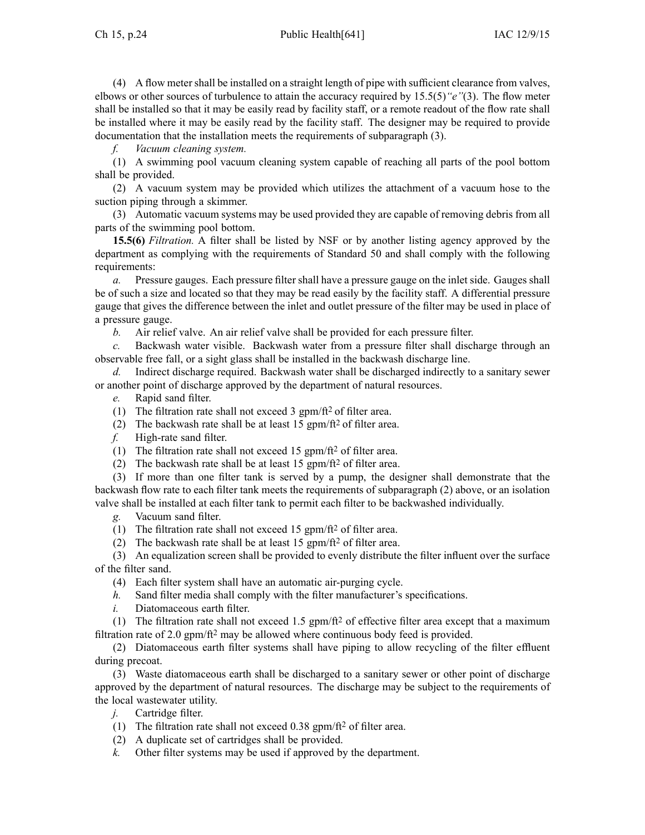(4) A flow meter shall be installed on <sup>a</sup> straight length of pipe with sufficient clearance from valves, elbows or other sources of turbulence to attain the accuracy required by 15.5(5)*"e"*(3). The flow meter shall be installed so that it may be easily read by facility staff, or <sup>a</sup> remote readout of the flow rate shall be installed where it may be easily read by the facility staff. The designer may be required to provide documentation that the installation meets the requirements of subparagraph (3).

*f. Vacuum cleaning system.*

(1) A swimming pool vacuum cleaning system capable of reaching all parts of the pool bottom shall be provided.

(2) A vacuum system may be provided which utilizes the attachment of <sup>a</sup> vacuum hose to the suction piping through <sup>a</sup> skimmer.

(3) Automatic vacuum systems may be used provided they are capable of removing debris from all parts of the swimming pool bottom.

**15.5(6)** *Filtration.* A filter shall be listed by NSF or by another listing agency approved by the department as complying with the requirements of Standard 50 and shall comply with the following requirements:

*a.* Pressure gauges. Each pressure filter shall have <sup>a</sup> pressure gauge on the inlet side. Gauges shall be of such <sup>a</sup> size and located so that they may be read easily by the facility staff. A differential pressure gauge that gives the difference between the inlet and outlet pressure of the filter may be used in place of <sup>a</sup> pressure gauge.

*b.* Air relief valve. An air relief valve shall be provided for each pressure filter.

*c.* Backwash water visible. Backwash water from <sup>a</sup> pressure filter shall discharge through an observable free fall, or <sup>a</sup> sight glass shall be installed in the backwash discharge line.

*d.* Indirect discharge required. Backwash water shall be discharged indirectly to <sup>a</sup> sanitary sewer or another point of discharge approved by the department of natural resources.

*e.* Rapid sand filter.

- (1) The filtration rate shall not exceed 3 gpm/ $\text{ft}^2$  of filter area.
- (2) The backwash rate shall be at least 15 gpm/ft<sup>2</sup> of filter area.
- *f.* High-rate sand filter.
- (1) The filtration rate shall not exceed 15 gpm/ft<sup>2</sup> of filter area.
- (2) The backwash rate shall be at least 15 gpm/ft<sup>2</sup> of filter area.

(3) If more than one filter tank is served by <sup>a</sup> pump, the designer shall demonstrate that the backwash flow rate to each filter tank meets the requirements of subparagraph (2) above, or an isolation valve shall be installed at each filter tank to permit each filter to be backwashed individually.

*g.* Vacuum sand filter.

- (1) The filtration rate shall not exceed 15 gpm/ft<sup>2</sup> of filter area.
- (2) The backwash rate shall be at least 15 gpm/ft<sup>2</sup> of filter area.

(3) An equalization screen shall be provided to evenly distribute the filter influent over the surface of the filter sand.

- (4) Each filter system shall have an automatic air-purging cycle.
- *h.* Sand filter media shall comply with the filter manufacturer's specifications.
- *i.* Diatomaceous earth filter.

(1) The filtration rate shall not exceed 1.5  $gpm/ft^2$  of effective filter area except that a maximum filtration rate of 2.0 gpm/ft<sup>2</sup> may be allowed where continuous body feed is provided.

(2) Diatomaceous earth filter systems shall have piping to allow recycling of the filter effluent during precoat.

(3) Waste diatomaceous earth shall be discharged to <sup>a</sup> sanitary sewer or other point of discharge approved by the department of natural resources. The discharge may be subject to the requirements of the local wastewater utility.<br> $j.$  Cartridge filter.

Cartridge filter.

- (1) The filtration rate shall not exceed  $0.38$  gpm/ft<sup>2</sup> of filter area.
- (2) A duplicate set of cartridges shall be provided.
- *k.* Other filter systems may be used if approved by the department.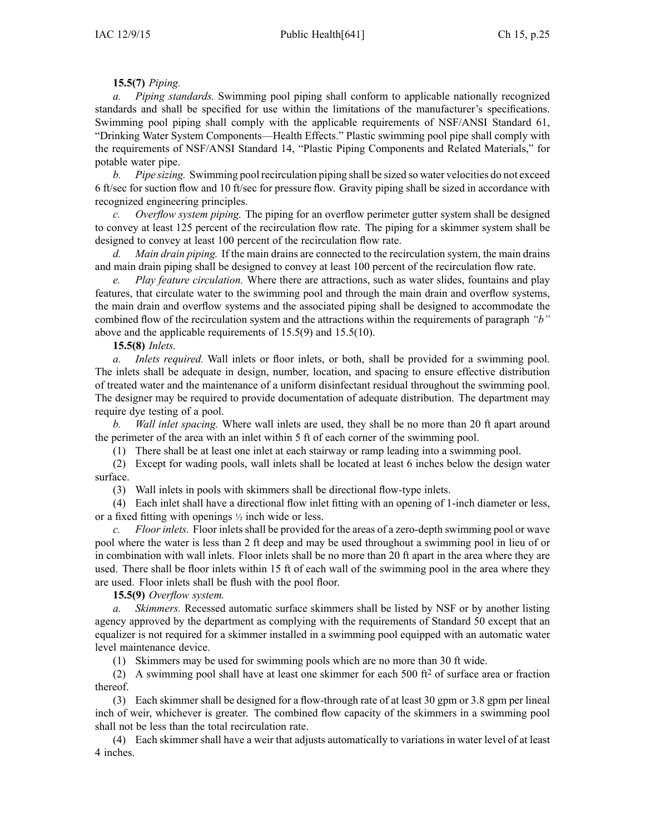# **15.5(7)** *Piping.*

*a. Piping standards.* Swimming pool piping shall conform to applicable nationally recognized standards and shall be specified for use within the limitations of the manufacturer's specifications. Swimming pool piping shall comply with the applicable requirements of NSF/ANSI Standard 61, "Drinking Water System Components—Health Effects." Plastic swimming pool pipe shall comply with the requirements of NSF/ANSI Standard 14, "Plastic Piping Components and Related Materials," for potable water pipe.

*b. Pipe sizing.* Swimming pool recirculation piping shall be sized so water velocities do not exceed 6 ft/sec for suction flow and 10 ft/sec for pressure flow. Gravity piping shall be sized in accordance with recognized engineering principles.

*c. Overflow system piping.* The piping for an overflow perimeter gutter system shall be designed to convey at least 125 percen<sup>t</sup> of the recirculation flow rate. The piping for <sup>a</sup> skimmer system shall be designed to convey at least 100 percen<sup>t</sup> of the recirculation flow rate.

*d. Main drain piping.* If the main drains are connected to the recirculation system, the main drains and main drain piping shall be designed to convey at least 100 percen<sup>t</sup> of the recirculation flow rate.

*e. Play feature circulation.* Where there are attractions, such as water slides, fountains and play features, that circulate water to the swimming pool and through the main drain and overflow systems, the main drain and overflow systems and the associated piping shall be designed to accommodate the combined flow of the recirculation system and the attractions within the requirements of paragraph *"b"* above and the applicable requirements of 15.5(9) and 15.5(10).

## **15.5(8)** *Inlets.*

*a. Inlets required.* Wall inlets or floor inlets, or both, shall be provided for <sup>a</sup> swimming pool. The inlets shall be adequate in design, number, location, and spacing to ensure effective distribution of treated water and the maintenance of <sup>a</sup> uniform disinfectant residual throughout the swimming pool. The designer may be required to provide documentation of adequate distribution. The department may require dye testing of <sup>a</sup> pool.

*b. Wall inlet spacing.* Where wall inlets are used, they shall be no more than 20 ft apar<sup>t</sup> around the perimeter of the area with an inlet within 5 ft of each corner of the swimming pool.

(1) There shall be at least one inlet at each stairway or ramp leading into <sup>a</sup> swimming pool.

(2) Except for wading pools, wall inlets shall be located at least 6 inches below the design water surface.

(3) Wall inlets in pools with skimmers shall be directional flow-type inlets.

(4) Each inlet shall have <sup>a</sup> directional flow inlet fitting with an opening of 1-inch diameter or less, or <sup>a</sup> fixed fitting with openings <sup>½</sup> inch wide or less.

*c. Floor inlets.* Floor inlets shall be provided for the areas of <sup>a</sup> zero-depth swimming pool or wave pool where the water is less than 2 ft deep and may be used throughout <sup>a</sup> swimming pool in lieu of or in combination with wall inlets. Floor inlets shall be no more than 20 ft apar<sup>t</sup> in the area where they are used. There shall be floor inlets within 15 ft of each wall of the swimming pool in the area where they are used. Floor inlets shall be flush with the pool floor.

**15.5(9)** *Overflow system.*

*a. Skimmers.* Recessed automatic surface skimmers shall be listed by NSF or by another listing agency approved by the department as complying with the requirements of Standard 50 excep<sup>t</sup> that an equalizer is not required for <sup>a</sup> skimmer installed in <sup>a</sup> swimming pool equipped with an automatic water level maintenance device.

(1) Skimmers may be used for swimming pools which are no more than 30 ft wide.

(2) A swimming pool shall have at least one skimmer for each 500 ft<sup>2</sup> of surface area or fraction thereof.

(3) Each skimmer shall be designed for <sup>a</sup> flow-through rate of at least 30 gpm or 3.8 gpm per lineal inch of weir, whichever is greater. The combined flow capacity of the skimmers in <sup>a</sup> swimming pool shall not be less than the total recirculation rate.

(4) Each skimmer shall have <sup>a</sup> weir that adjusts automatically to variations in water level of at least 4 inches.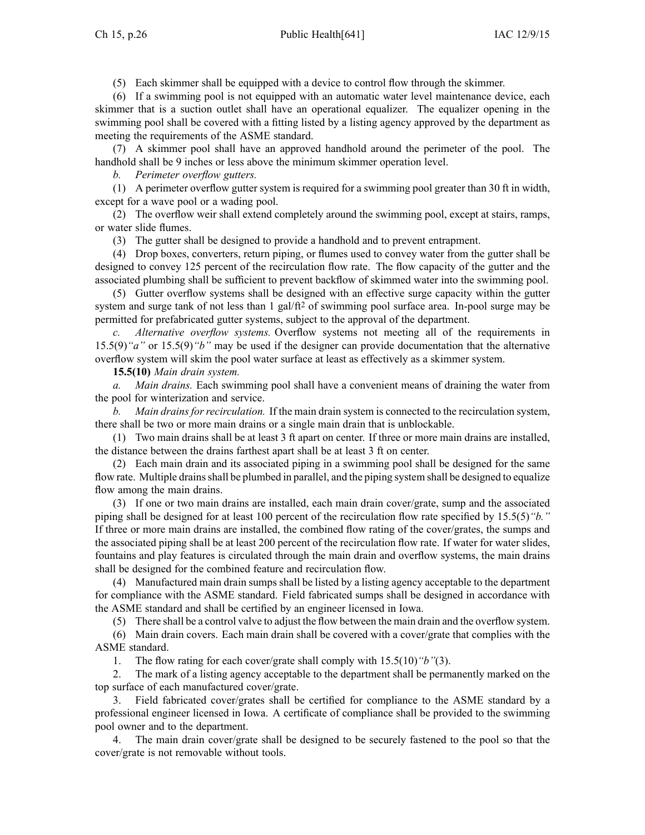(5) Each skimmer shall be equipped with <sup>a</sup> device to control flow through the skimmer.

(6) If <sup>a</sup> swimming pool is not equipped with an automatic water level maintenance device, each skimmer that is <sup>a</sup> suction outlet shall have an operational equalizer. The equalizer opening in the swimming pool shall be covered with <sup>a</sup> fitting listed by <sup>a</sup> listing agency approved by the department as meeting the requirements of the ASME standard.

(7) A skimmer pool shall have an approved handhold around the perimeter of the pool. The handhold shall be 9 inches or less above the minimum skimmer operation level.

*b. Perimeter overflow gutters.*

(1) A perimeter overflow gutter system is required for <sup>a</sup> swimming pool greater than 30 ft in width, excep<sup>t</sup> for <sup>a</sup> wave pool or <sup>a</sup> wading pool.

(2) The overflow weir shall extend completely around the swimming pool, excep<sup>t</sup> at stairs, ramps, or water slide flumes.

(3) The gutter shall be designed to provide <sup>a</sup> handhold and to preven<sup>t</sup> entrapment.

(4) Drop boxes, converters, return piping, or flumes used to convey water from the gutter shall be designed to convey 125 percen<sup>t</sup> of the recirculation flow rate. The flow capacity of the gutter and the associated plumbing shall be sufficient to preven<sup>t</sup> backflow of skimmed water into the swimming pool.

(5) Gutter overflow systems shall be designed with an effective surge capacity within the gutter system and surge tank of not less than 1 gal/ft<sup>2</sup> of swimming pool surface area. In-pool surge may be permitted for prefabricated gutter systems, subject to the approval of the department.

*c. Alternative overflow systems.* Overflow systems not meeting all of the requirements in 15.5(9)*"a"* or 15.5(9)*"b"* may be used if the designer can provide documentation that the alternative overflow system will skim the pool water surface at least as effectively as <sup>a</sup> skimmer system.

**15.5(10)** *Main drain system.*

*a. Main drains.* Each swimming pool shall have <sup>a</sup> convenient means of draining the water from the pool for winterization and service.

*b. Main drains for recirculation.* If the main drain system is connected to the recirculation system, there shall be two or more main drains or <sup>a</sup> single main drain that is unblockable.

(1) Two main drains shall be at least 3 ft apar<sup>t</sup> on center. If three or more main drains are installed, the distance between the drains farthest apar<sup>t</sup> shall be at least 3 ft on center.

(2) Each main drain and its associated piping in <sup>a</sup> swimming pool shall be designed for the same flow rate. Multiple drains shall be plumbed in parallel, and the piping system shall be designed to equalize flow among the main drains.

(3) If one or two main drains are installed, each main drain cover/grate, sump and the associated piping shall be designed for at least 100 percen<sup>t</sup> of the recirculation flow rate specified by 15.5(5)*"b."* If three or more main drains are installed, the combined flow rating of the cover/grates, the sumps and the associated piping shall be at least 200 percen<sup>t</sup> of the recirculation flow rate. If water for water slides, fountains and play features is circulated through the main drain and overflow systems, the main drains shall be designed for the combined feature and recirculation flow.

(4) Manufactured main drain sumps shall be listed by <sup>a</sup> listing agency acceptable to the department for compliance with the ASME standard. Field fabricated sumps shall be designed in accordance with the ASME standard and shall be certified by an engineer licensed in Iowa.

(5) There shall be <sup>a</sup> control valve to adjust the flow between the main drain and the overflow system.

(6) Main drain covers. Each main drain shall be covered with <sup>a</sup> cover/grate that complies with the ASME standard.

1. The flow rating for each cover/grate shall comply with 15.5(10)*"b"*(3).

2. The mark of <sup>a</sup> listing agency acceptable to the department shall be permanently marked on the top surface of each manufactured cover/grate.

3. Field fabricated cover/grates shall be certified for compliance to the ASME standard by <sup>a</sup> professional engineer licensed in Iowa. A certificate of compliance shall be provided to the swimming pool owner and to the department.

4. The main drain cover/grate shall be designed to be securely fastened to the pool so that the cover/grate is not removable without tools.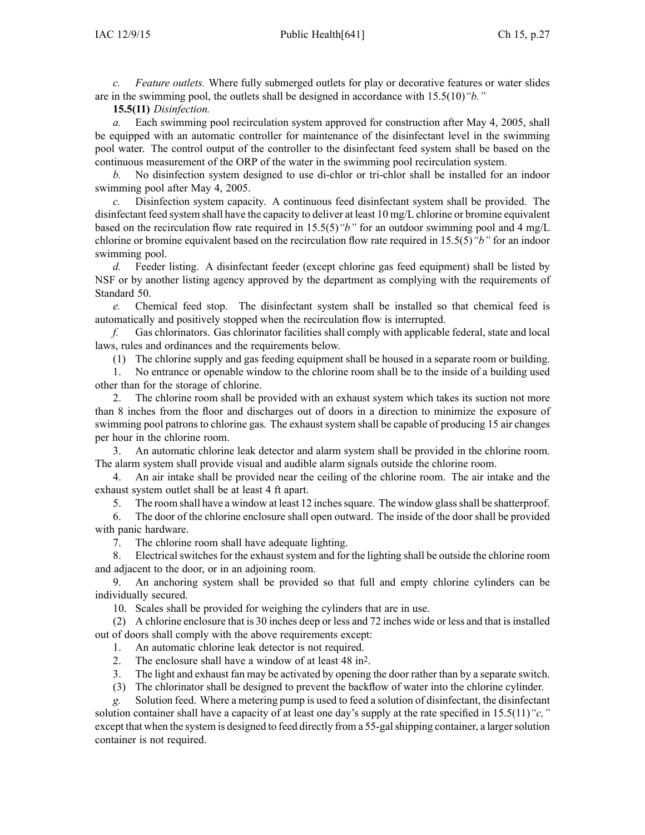*c. Feature outlets.* Where fully submerged outlets for play or decorative features or water slides are in the swimming pool, the outlets shall be designed in accordance with 15.5(10)*"b."*

**15.5(11)** *Disinfection.*

*a.* Each swimming pool recirculation system approved for construction after May 4, 2005, shall be equipped with an automatic controller for maintenance of the disinfectant level in the swimming pool water. The control output of the controller to the disinfectant feed system shall be based on the continuous measurement of the ORP of the water in the swimming pool recirculation system.

*b.* No disinfection system designed to use di-chlor or tri-chlor shall be installed for an indoor swimming pool after May 4, 2005.

*c.* Disinfection system capacity. A continuous feed disinfectant system shall be provided. The disinfectant feed system shall have the capacity to deliver at least 10 mg/L chlorine or bromine equivalent based on the recirculation flow rate required in 15.5(5)*"b"* for an outdoor swimming pool and 4 mg/L chlorine or bromine equivalent based on the recirculation flow rate required in 15.5(5)*"b"* for an indoor swimming pool.

*d.* Feeder listing. A disinfectant feeder (except chlorine gas feed equipment) shall be listed by NSF or by another listing agency approved by the department as complying with the requirements of Standard 50.

*e.* Chemical feed stop. The disinfectant system shall be installed so that chemical feed is automatically and positively stopped when the recirculation flow is interrupted.

*f.* Gas chlorinators. Gas chlorinator facilities shall comply with applicable federal, state and local laws, rules and ordinances and the requirements below.

(1) The chlorine supply and gas feeding equipment shall be housed in <sup>a</sup> separate room or building.

1. No entrance or openable window to the chlorine room shall be to the inside of <sup>a</sup> building used other than for the storage of chlorine.

2. The chlorine room shall be provided with an exhaust system which takes its suction not more than 8 inches from the floor and discharges out of doors in <sup>a</sup> direction to minimize the exposure of swimming pool patrons to chlorine gas. The exhaust system shall be capable of producing 15 air changes per hour in the chlorine room.

3. An automatic chlorine leak detector and alarm system shall be provided in the chlorine room. The alarm system shall provide visual and audible alarm signals outside the chlorine room.

4. An air intake shall be provided near the ceiling of the chlorine room. The air intake and the exhaust system outlet shall be at least 4 ft apart.

5. The room shall have <sup>a</sup> window at least 12 inchessquare. The window glassshall be shatterproof.

6. The door of the chlorine enclosure shall open outward. The inside of the door shall be provided with panic hardware.

7. The chlorine room shall have adequate lighting.

8. Electrical switches for the exhaust system and for the lighting shall be outside the chlorine room and adjacent to the door, or in an adjoining room.

9. An anchoring system shall be provided so that full and empty chlorine cylinders can be individually secured.

10. Scales shall be provided for weighing the cylinders that are in use.

(2) A chlorine enclosure that is 30 inches deep or less and 72 inches wide or less and that isinstalled out of doors shall comply with the above requirements except:

1. An automatic chlorine leak detector is not required.

2. The enclosure shall have <sup>a</sup> window of at least 48 in<sup>2</sup> .

3. The light and exhaust fan may be activated by opening the door rather than by <sup>a</sup> separate switch.

(3) The chlorinator shall be designed to preven<sup>t</sup> the backflow of water into the chlorine cylinder.

*g.* Solution feed. Where <sup>a</sup> metering pump is used to feed <sup>a</sup> solution of disinfectant, the disinfectant solution container shall have <sup>a</sup> capacity of at least one day's supply at the rate specified in 15.5(11)*"c,"* excep<sup>t</sup> that when the system is designed to feed directly from <sup>a</sup> 55-galshipping container, <sup>a</sup> largersolution container is not required.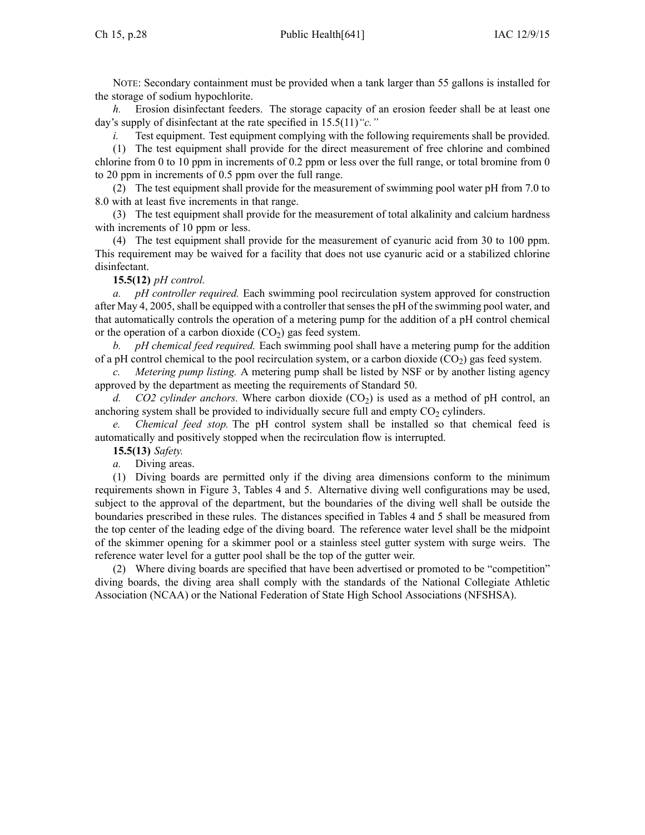NOTE: Secondary containment must be provided when <sup>a</sup> tank larger than 55 gallons is installed for the storage of sodium hypochlorite.

*h.* Erosion disinfectant feeders. The storage capacity of an erosion feeder shall be at least one day's supply of disinfectant at the rate specified in 15.5(11)*"c."*

*i.* Test equipment. Test equipment complying with the following requirements shall be provided.

(1) The test equipment shall provide for the direct measurement of free chlorine and combined chlorine from 0 to 10 ppm in increments of 0.2 ppm or less over the full range, or total bromine from 0 to 20 ppm in increments of 0.5 ppm over the full range.

(2) The test equipment shall provide for the measurement of swimming pool water pH from 7.0 to 8.0 with at least five increments in that range.

(3) The test equipment shall provide for the measurement of total alkalinity and calcium hardness with increments of 10 ppm or less.

(4) The test equipment shall provide for the measurement of cyanuric acid from 30 to 100 ppm. This requirement may be waived for <sup>a</sup> facility that does not use cyanuric acid or <sup>a</sup> stabilized chlorine disinfectant.

## **15.5(12)** *pH control.*

*a. pH controller required.* Each swimming pool recirculation system approved for construction after May 4, 2005, shall be equipped with <sup>a</sup> controller thatsensesthe pH of the swimming pool water, and that automatically controls the operation of <sup>a</sup> metering pump for the addition of <sup>a</sup> pH control chemical or the operation of a carbon dioxide  $(CO<sub>2</sub>)$  gas feed system.

*b. pH chemical feed required.* Each swimming pool shall have <sup>a</sup> metering pump for the addition of a pH control chemical to the pool recirculation system, or a carbon dioxide  $(CO<sub>2</sub>)$  gas feed system.

*Metering pump listing.* A metering pump shall be listed by NSF or by another listing agency approved by the department as meeting the requirements of Standard 50.

*d. CO2 cylinder anchors.* Where carbon dioxide  $(CO<sub>2</sub>)$  is used as a method of pH control, an anchoring system shall be provided to individually secure full and empty  $CO<sub>2</sub>$  cylinders.

*e. Chemical feed stop.* The pH control system shall be installed so that chemical feed is automatically and positively stopped when the recirculation flow is interrupted.

**15.5(13)** *Safety.*

*a.* Diving areas.

(1) Diving boards are permitted only if the diving area dimensions conform to the minimum requirements shown in Figure 3, Tables 4 and 5. Alternative diving well configurations may be used, subject to the approval of the department, but the boundaries of the diving well shall be outside the boundaries prescribed in these rules. The distances specified in Tables 4 and 5 shall be measured from the top center of the leading edge of the diving board. The reference water level shall be the midpoint of the skimmer opening for <sup>a</sup> skimmer pool or <sup>a</sup> stainless steel gutter system with surge weirs. The reference water level for <sup>a</sup> gutter pool shall be the top of the gutter weir.

(2) Where diving boards are specified that have been advertised or promoted to be "competition" diving boards, the diving area shall comply with the standards of the National Collegiate Athletic Association (NCAA) or the National Federation of State High School Associations (NFSHSA).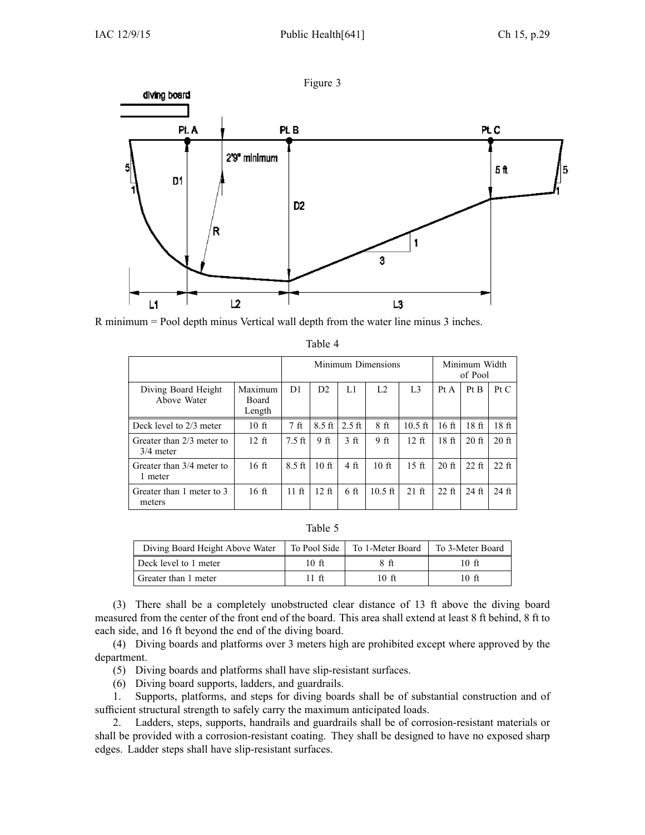

R minimum <sup>=</sup> Pool depth minus Vertical wall depth from the water line minus 3 inches.

|                                          |                            | Minimum Dimensions |                  |                 | Minimum Width<br>of Pool |                   |                  |                  |                  |
|------------------------------------------|----------------------------|--------------------|------------------|-----------------|--------------------------|-------------------|------------------|------------------|------------------|
| Diving Board Height<br>Above Water       | Maximum<br>Board<br>Length | D1                 | D2               | L1              | L <sub>2</sub>           | L <sub>3</sub>    | Pt A             | Pt B             | PtC              |
| Deck level to 2/3 meter                  | 10 <sub>f</sub>            | 7 <sub>f</sub> t   | $8.5 \text{ ft}$ | $2.5$ ft        | 8 <sub>f</sub>           | $10.5 \text{ ft}$ | 16 <sub>ft</sub> | 18 <sub>ft</sub> | 18 <sub>ft</sub> |
| Greater than 2/3 meter to<br>$3/4$ meter | $12 \text{ ft}$            | $7.5$ ft           | 9 <sub>ft</sub>  | 3 <sub>f</sub>  | 9 <sub>ft</sub>          | $12 \text{ ft}$   | 18 <sub>f</sub>  | $20$ ft          | $20$ ft          |
| Greater than 3/4 meter to<br>1 meter     | 16 <sub>f</sub>            | $8.5 \text{ ft}$   | 10 <sub>f</sub>  | 4 <sub>ft</sub> | 10 <sub>f</sub>          | $15$ ft           | $20$ ft          | $22$ ft          | $22$ ft          |
| Greater than 1 meter to 3<br>meters      | 16 <sub>f</sub>            | $11 \text{ ft}$    | 12 <sub>f</sub>  | 6 <sub>f</sub>  | $10.5 \text{ ft}$        | $21$ ft           | $22$ ft          | $24$ ft          | $24$ ft          |

| anie |  |  |  |
|------|--|--|--|
|------|--|--|--|

| DΗ<br>л |  |
|---------|--|
|---------|--|

| Diving Board Height Above Water | To Pool Side | To 1-Meter Board | To 3-Meter Board |
|---------------------------------|--------------|------------------|------------------|
| Deck level to 1 meter           | 10 ft        | 8 ft             | 10 ft            |
| Greater than 1 meter            | $11-ft$      | 10 ft            | 10 ft            |

(3) There shall be <sup>a</sup> completely unobstructed clear distance of 13 ft above the diving board measured from the center of the front end of the board. This area shall extend at least 8 ft behind, 8 ft to each side, and 16 ft beyond the end of the diving board.

(4) Diving boards and platforms over 3 meters high are prohibited excep<sup>t</sup> where approved by the department.

(5) Diving boards and platforms shall have slip-resistant surfaces.

(6) Diving board supports, ladders, and guardrails.

1. Supports, platforms, and steps for diving boards shall be of substantial construction and of sufficient structural strength to safely carry the maximum anticipated loads.

2. Ladders, steps, supports, handrails and guardrails shall be of corrosion-resistant materials or shall be provided with <sup>a</sup> corrosion-resistant coating. They shall be designed to have no exposed sharp edges. Ladder steps shall have slip-resistant surfaces.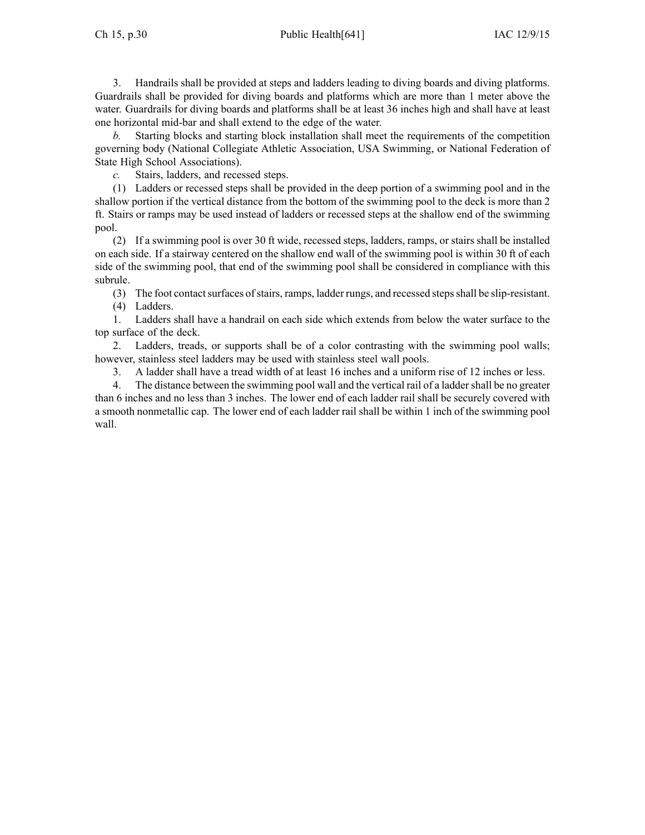3. Handrails shall be provided at steps and ladders leading to diving boards and diving platforms. Guardrails shall be provided for diving boards and platforms which are more than 1 meter above the water. Guardrails for diving boards and platforms shall be at least 36 inches high and shall have at least one horizontal mid-bar and shall extend to the edge of the water.

*b.* Starting blocks and starting block installation shall meet the requirements of the competition governing body (National Collegiate Athletic Association, USA Swimming, or National Federation of State High School Associations).

*c.* Stairs, ladders, and recessed steps.

(1) Ladders or recessed steps shall be provided in the deep portion of <sup>a</sup> swimming pool and in the shallow portion if the vertical distance from the bottom of the swimming pool to the deck is more than 2 ft. Stairs or ramps may be used instead of ladders or recessed steps at the shallow end of the swimming pool.

(2) If <sup>a</sup> swimming pool is over 30 ft wide, recessed steps, ladders, ramps, or stairs shall be installed on each side. If <sup>a</sup> stairway centered on the shallow end wall of the swimming pool is within 30 ft of each side of the swimming pool, that end of the swimming pool shall be considered in compliance with this subrule.

(3) The foot contact surfaces of stairs, ramps, ladder rungs, and recessed steps shall be slip-resistant.

(4) Ladders.

1. Ladders shall have <sup>a</sup> handrail on each side which extends from below the water surface to the top surface of the deck.

2. Ladders, treads, or supports shall be of <sup>a</sup> color contrasting with the swimming pool walls; however, stainless steel ladders may be used with stainless steel wall pools.

3. A ladder shall have <sup>a</sup> tread width of at least 16 inches and <sup>a</sup> uniform rise of 12 inches or less.

4. The distance between the swimming pool wall and the vertical rail of <sup>a</sup> laddershall be no greater than 6 inches and no less than 3 inches. The lower end of each ladder rail shall be securely covered with <sup>a</sup> smooth nonmetallic cap. The lower end of each ladder rail shall be within 1 inch of the swimming pool wall.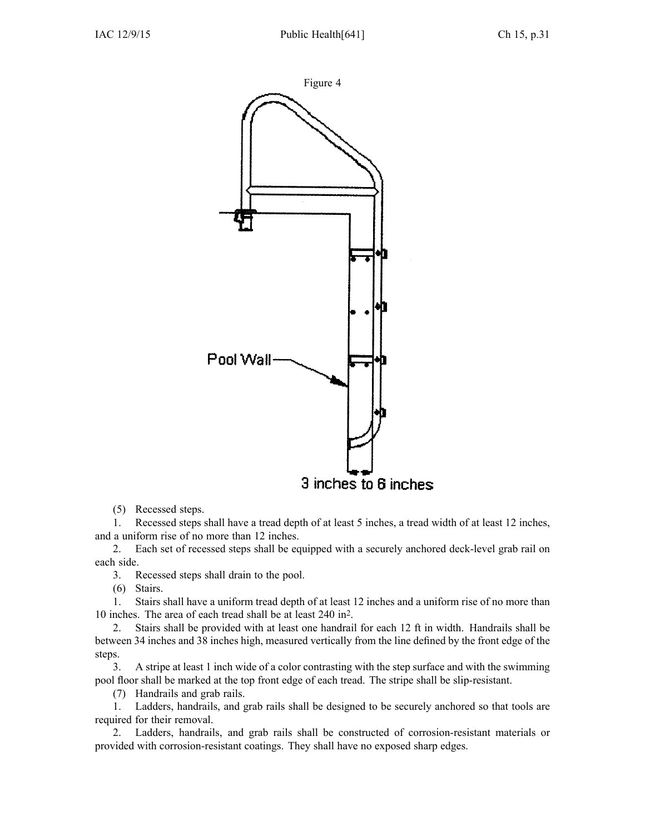

(5) Recessed steps.

1. Recessed steps shall have <sup>a</sup> tread depth of at least 5 inches, <sup>a</sup> tread width of at least 12 inches, and <sup>a</sup> uniform rise of no more than 12 inches.

2. Each set of recessed steps shall be equipped with <sup>a</sup> securely anchored deck-level grab rail on each side.

3. Recessed steps shall drain to the pool.

(6) Stairs.

1. Stairs shall have <sup>a</sup> uniform tread depth of at least 12 inches and <sup>a</sup> uniform rise of no more than 10 inches. The area of each tread shall be at least 240 in<sup>2</sup> .

2. Stairs shall be provided with at least one handrail for each 12 ft in width. Handrails shall be between 34 inches and 38 inches high, measured vertically from the line defined by the front edge of the steps.

3. A stripe at least 1 inch wide of <sup>a</sup> color contrasting with the step surface and with the swimming pool floor shall be marked at the top front edge of each tread. The stripe shall be slip-resistant.

(7) Handrails and grab rails.

1. Ladders, handrails, and grab rails shall be designed to be securely anchored so that tools are required for their removal.

2. Ladders, handrails, and grab rails shall be constructed of corrosion-resistant materials or provided with corrosion-resistant coatings. They shall have no exposed sharp edges.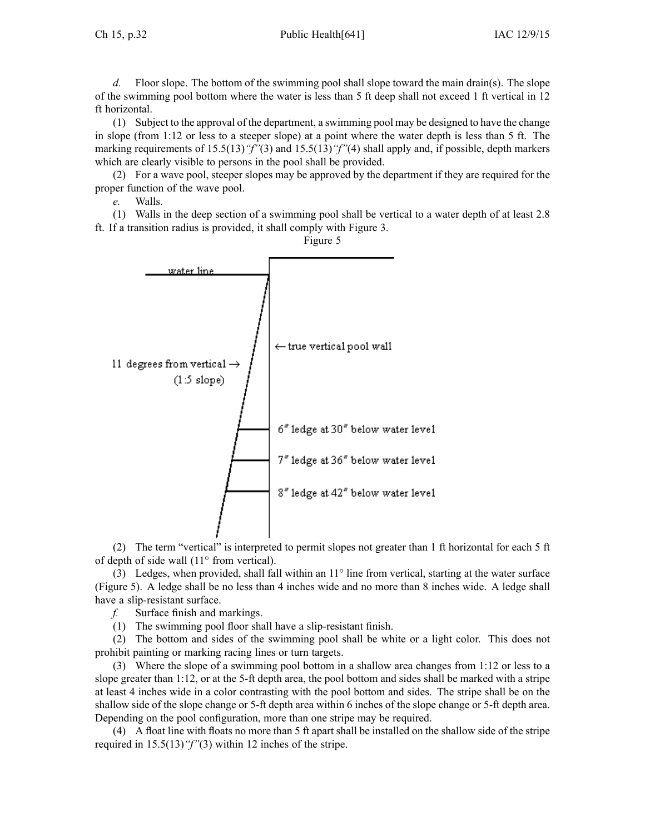Ch 15, p.32 Public Health[641] IAC 12/9/15

*d.* Floor slope. The bottom of the swimming pool shall slope toward the main drain(s). The slope of the swimming pool bottom where the water is less than 5 ft deep shall not exceed 1 ft vertical in 12 ft horizontal.

(1) Subject to the approval of the department, <sup>a</sup> swimming pool may be designed to have the change in slope (from 1:12 or less to <sup>a</sup> steeper slope) at <sup>a</sup> point where the water depth is less than 5 ft. The marking requirements of 15.5(13)*"f"*(3) and 15.5(13)*"f"*(4) shall apply and, if possible, depth markers which are clearly visible to persons in the pool shall be provided.

(2) For <sup>a</sup> wave pool, steeper slopes may be approved by the department if they are required for the proper function of the wave pool.

*e.* Walls.

(1) Walls in the deep section of <sup>a</sup> swimming pool shall be vertical to <sup>a</sup> water depth of at least 2.8 ft. If <sup>a</sup> transition radius is provided, it shall comply with Figure 3.



(2) The term "vertical" is interpreted to permit slopes not greater than 1 ft horizontal for each 5 ft of depth of side wall (11° from vertical).

(3) Ledges, when provided, shall fall within an 11° line from vertical, starting at the water surface (Figure 5). A ledge shall be no less than 4 inches wide and no more than 8 inches wide. A ledge shall have <sup>a</sup> slip-resistant surface.

*f.* Surface finish and markings.

(1) The swimming pool floor shall have <sup>a</sup> slip-resistant finish.

(2) The bottom and sides of the swimming pool shall be white or <sup>a</sup> light color. This does not prohibit painting or marking racing lines or turn targets.

(3) Where the slope of <sup>a</sup> swimming pool bottom in <sup>a</sup> shallow area changes from 1:12 or less to <sup>a</sup> slope greater than 1:12, or at the 5-ft depth area, the pool bottom and sides shall be marked with <sup>a</sup> stripe at least 4 inches wide in <sup>a</sup> color contrasting with the pool bottom and sides. The stripe shall be on the shallow side of the slope change or 5-ft depth area within 6 inches of the slope change or 5-ft depth area. Depending on the pool configuration, more than one stripe may be required.

(4) A float line with floats no more than 5 ft apar<sup>t</sup> shall be installed on the shallow side of the stripe required in 15.5(13)*"f"*(3) within 12 inches of the stripe.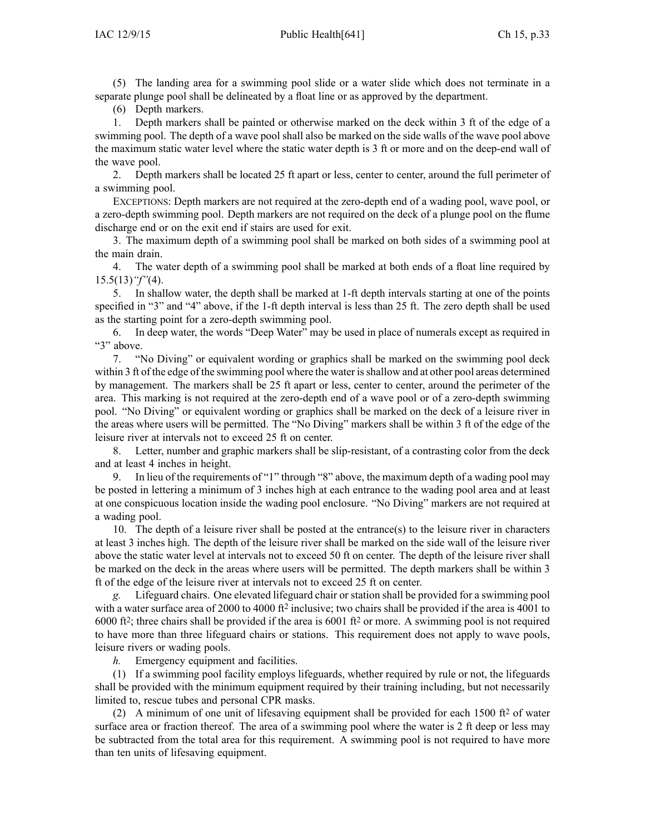(5) The landing area for <sup>a</sup> swimming pool slide or <sup>a</sup> water slide which does not terminate in <sup>a</sup> separate plunge pool shall be delineated by <sup>a</sup> float line or as approved by the department.

(6) Depth markers.

1. Depth markers shall be painted or otherwise marked on the deck within 3 ft of the edge of <sup>a</sup> swimming pool. The depth of <sup>a</sup> wave pool shall also be marked on the side walls of the wave pool above the maximum static water level where the static water depth is 3 ft or more and on the deep-end wall of the wave pool.

2. Depth markers shall be located 25 ft apar<sup>t</sup> or less, center to center, around the full perimeter of <sup>a</sup> swimming pool.

EXCEPTIONS: Depth markers are not required at the zero-depth end of <sup>a</sup> wading pool, wave pool, or <sup>a</sup> zero-depth swimming pool. Depth markers are not required on the deck of <sup>a</sup> plunge pool on the flume discharge end or on the exit end if stairs are used for exit.

3. The maximum depth of <sup>a</sup> swimming pool shall be marked on both sides of <sup>a</sup> swimming pool at the main drain.

4. The water depth of <sup>a</sup> swimming pool shall be marked at both ends of <sup>a</sup> float line required by 15.5(13)*"f"*(4).

5. In shallow water, the depth shall be marked at 1-ft depth intervals starting at one of the points specified in "3" and "4" above, if the 1-ft depth interval is less than 25 ft. The zero depth shall be used as the starting point for <sup>a</sup> zero-depth swimming pool.

6. In deep water, the words "Deep Water" may be used in place of numerals excep<sup>t</sup> as required in "3" above.

7. "No Diving" or equivalent wording or graphics shall be marked on the swimming pool deck within 3 ft of the edge of the swimming pool where the water is shallow and at other pool areas determined by management. The markers shall be 25 ft apar<sup>t</sup> or less, center to center, around the perimeter of the area. This marking is not required at the zero-depth end of <sup>a</sup> wave pool or of <sup>a</sup> zero-depth swimming pool. "No Diving" or equivalent wording or graphics shall be marked on the deck of <sup>a</sup> leisure river in the areas where users will be permitted. The "No Diving" markers shall be within 3 ft of the edge of the leisure river at intervals not to exceed 25 ft on center.

8. Letter, number and graphic markers shall be slip-resistant, of <sup>a</sup> contrasting color from the deck and at least 4 inches in height.

9. In lieu of the requirements of "1" through "8" above, the maximum depth of <sup>a</sup> wading pool may be posted in lettering <sup>a</sup> minimum of 3 inches high at each entrance to the wading pool area and at least at one conspicuous location inside the wading pool enclosure. "No Diving" markers are not required at <sup>a</sup> wading pool.

10. The depth of <sup>a</sup> leisure river shall be posted at the entrance(s) to the leisure river in characters at least 3 inches high. The depth of the leisure river shall be marked on the side wall of the leisure river above the static water level at intervals not to exceed 50 ft on center. The depth of the leisure river shall be marked on the deck in the areas where users will be permitted. The depth markers shall be within 3 ft of the edge of the leisure river at intervals not to exceed 25 ft on center.

*g.* Lifeguard chairs. One elevated lifeguard chair or station shall be provided for <sup>a</sup> swimming pool with a water surface area of 2000 to 4000 ft<sup>2</sup> inclusive; two chairs shall be provided if the area is 4001 to 6000 ft<sup>2</sup> ; three chairs shall be provided if the area is 6001 ft<sup>2</sup> or more. A swimming pool is not required to have more than three lifeguard chairs or stations. This requirement does not apply to wave pools, leisure rivers or wading pools.

*h.* Emergency equipment and facilities.

(1) If <sup>a</sup> swimming pool facility employs lifeguards, whether required by rule or not, the lifeguards shall be provided with the minimum equipment required by their training including, but not necessarily limited to, rescue tubes and personal CPR masks.

(2) A minimum of one unit of lifesaving equipment shall be provided for each 1500  $\text{ft}^2$  of water surface area or fraction thereof. The area of <sup>a</sup> swimming pool where the water is 2 ft deep or less may be subtracted from the total area for this requirement. A swimming pool is not required to have more than ten units of lifesaving equipment.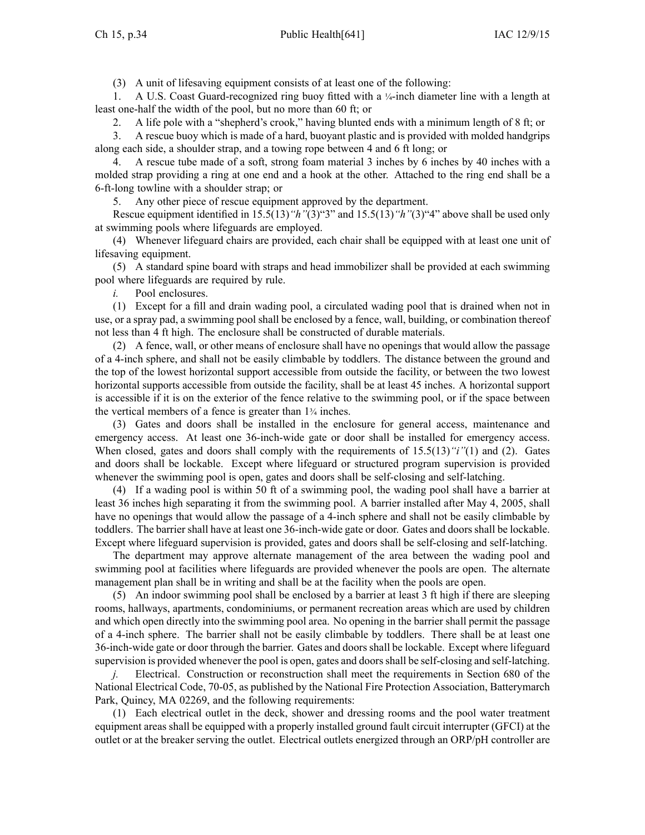(3) A unit of lifesaving equipment consists of at least one of the following:

1. A U.S. Coast Guard-recognized ring buoy fitted with a ¼-inch diameter line with a length at least one-half the width of the pool, but no more than 60 ft; or

2. A life pole with <sup>a</sup> "shepherd's crook," having blunted ends with <sup>a</sup> minimum length of 8 ft; or

3. A rescue buoy which is made of <sup>a</sup> hard, buoyant plastic and is provided with molded handgrips along each side, <sup>a</sup> shoulder strap, and <sup>a</sup> towing rope between 4 and 6 ft long; or

4. A rescue tube made of <sup>a</sup> soft, strong foam material 3 inches by 6 inches by 40 inches with <sup>a</sup> molded strap providing <sup>a</sup> ring at one end and <sup>a</sup> hook at the other. Attached to the ring end shall be <sup>a</sup> 6-ft-long towline with <sup>a</sup> shoulder strap; or

5. Any other piece of rescue equipment approved by the department.

Rescue equipment identified in 15.5(13)*"h"*(3)"3" and 15.5(13)*"h"*(3)"4" above shall be used only at swimming pools where lifeguards are employed.

(4) Whenever lifeguard chairs are provided, each chair shall be equipped with at least one unit of lifesaving equipment.

(5) A standard spine board with straps and head immobilizer shall be provided at each swimming pool where lifeguards are required by rule.

*i.* Pool enclosures.

(1) Except for <sup>a</sup> fill and drain wading pool, <sup>a</sup> circulated wading pool that is drained when not in use, or <sup>a</sup> spray pad, <sup>a</sup> swimming pool shall be enclosed by <sup>a</sup> fence, wall, building, or combination thereof not less than 4 ft high. The enclosure shall be constructed of durable materials.

(2) A fence, wall, or other means of enclosure shall have no openings that would allow the passage of <sup>a</sup> 4-inch sphere, and shall not be easily climbable by toddlers. The distance between the ground and the top of the lowest horizontal suppor<sup>t</sup> accessible from outside the facility, or between the two lowest horizontal supports accessible from outside the facility, shall be at least 45 inches. A horizontal suppor<sup>t</sup> is accessible if it is on the exterior of the fence relative to the swimming pool, or if the space between the vertical members of <sup>a</sup> fence is greater than 1<sup>¾</sup> inches.

(3) Gates and doors shall be installed in the enclosure for general access, maintenance and emergency access. At least one 36-inch-wide gate or door shall be installed for emergency access. When closed, gates and doors shall comply with the requirements of 15.5(13)*"i"*(1) and (2). Gates and doors shall be lockable. Except where lifeguard or structured program supervision is provided whenever the swimming pool is open, gates and doors shall be self-closing and self-latching.

(4) If <sup>a</sup> wading pool is within 50 ft of <sup>a</sup> swimming pool, the wading pool shall have <sup>a</sup> barrier at least 36 inches high separating it from the swimming pool. A barrier installed after May 4, 2005, shall have no openings that would allow the passage of <sup>a</sup> 4-inch sphere and shall not be easily climbable by toddlers. The barrier shall have at least one 36-inch-wide gate or door. Gates and doors shall be lockable. Except where lifeguard supervision is provided, gates and doors shall be self-closing and self-latching.

The department may approve alternate managemen<sup>t</sup> of the area between the wading pool and swimming pool at facilities where lifeguards are provided whenever the pools are open. The alternate managemen<sup>t</sup> plan shall be in writing and shall be at the facility when the pools are open.

(5) An indoor swimming pool shall be enclosed by <sup>a</sup> barrier at least 3 ft high if there are sleeping rooms, hallways, apartments, condominiums, or permanen<sup>t</sup> recreation areas which are used by children and which open directly into the swimming pool area. No opening in the barrier shall permit the passage of <sup>a</sup> 4-inch sphere. The barrier shall not be easily climbable by toddlers. There shall be at least one 36-inch-wide gate or door through the barrier. Gates and doors shall be lockable. Except where lifeguard supervision is provided whenever the pool is open, gates and doorsshall be self-closing and self-latching.

*j.* Electrical. Construction or reconstruction shall meet the requirements in Section 680 of the National Electrical Code, 70-05, as published by the National Fire Protection Association, Batterymarch Park, Quincy, MA 02269, and the following requirements:

(1) Each electrical outlet in the deck, shower and dressing rooms and the pool water treatment equipment areas shall be equipped with <sup>a</sup> properly installed ground fault circuit interrupter (GFCI) at the outlet or at the breaker serving the outlet. Electrical outlets energized through an ORP/pH controller are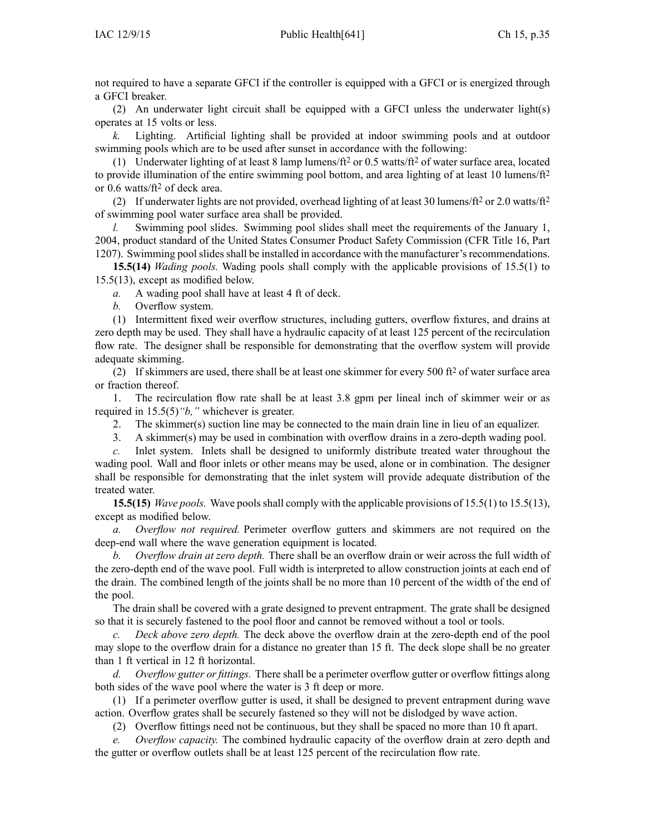not required to have <sup>a</sup> separate GFCI if the controller is equipped with <sup>a</sup> GFCI or is energized through <sup>a</sup> GFCI breaker.

(2) An underwater light circuit shall be equipped with <sup>a</sup> GFCI unless the underwater light(s) operates at 15 volts or less.

*k.* Lighting. Artificial lighting shall be provided at indoor swimming pools and at outdoor swimming pools which are to be used after sunset in accordance with the following:

(1) Underwater lighting of at least 8 lamp lumens/ $ft^2$  or 0.5 watts/ $ft^2$  of water surface area, located to provide illumination of the entire swimming pool bottom, and area lighting of at least 10 lumens/ft<sup>2</sup> or 0.6 watts/ft<sup>2</sup> of deck area.

(2) If underwater lights are not provided, overhead lighting of at least 30 lumens/ft<sup>2</sup> or 2.0 watts/ft<sup>2</sup> of swimming pool water surface area shall be provided.

*l.* Swimming pool slides. Swimming pool slides shall meet the requirements of the January 1, 2004, product standard of the United States Consumer Product Safety Commission (CFR Title 16, Part 1207). Swimming pool slides shall be installed in accordance with the manufacturer's recommendations.

**15.5(14)** *Wading pools.* Wading pools shall comply with the applicable provisions of 15.5(1) to 15.5(13), excep<sup>t</sup> as modified below.

*a.* A wading pool shall have at least 4 ft of deck.

*b.* Overflow system.

(1) Intermittent fixed weir overflow structures, including gutters, overflow fixtures, and drains at zero depth may be used. They shall have <sup>a</sup> hydraulic capacity of at least 125 percen<sup>t</sup> of the recirculation flow rate. The designer shall be responsible for demonstrating that the overflow system will provide adequate skimming.

(2) If skimmers are used, there shall be at least one skimmer for every 500 ft<sup>2</sup> of water surface area or fraction thereof.

1. The recirculation flow rate shall be at least 3.8 gpm per lineal inch of skimmer weir or as required in 15.5(5)*"b,"* whichever is greater.

2. The skimmer(s) suction line may be connected to the main drain line in lieu of an equalizer.

3. A skimmer(s) may be used in combination with overflow drains in <sup>a</sup> zero-depth wading pool.

*c.* Inlet system. Inlets shall be designed to uniformly distribute treated water throughout the wading pool. Wall and floor inlets or other means may be used, alone or in combination. The designer shall be responsible for demonstrating that the inlet system will provide adequate distribution of the treated water.

**15.5(15)** *Wave pools.* Wave poolsshall comply with the applicable provisions of 15.5(1) to 15.5(13), excep<sup>t</sup> as modified below.

*a. Overflow not required.* Perimeter overflow gutters and skimmers are not required on the deep-end wall where the wave generation equipment is located.

*b. Overflow drain at zero depth.* There shall be an overflow drain or weir across the full width of the zero-depth end of the wave pool. Full width is interpreted to allow construction joints at each end of the drain. The combined length of the joints shall be no more than 10 percen<sup>t</sup> of the width of the end of the pool.

The drain shall be covered with <sup>a</sup> grate designed to preven<sup>t</sup> entrapment. The grate shall be designed so that it is securely fastened to the pool floor and cannot be removed without <sup>a</sup> tool or tools.

*c. Deck above zero depth.* The deck above the overflow drain at the zero-depth end of the pool may slope to the overflow drain for <sup>a</sup> distance no greater than 15 ft. The deck slope shall be no greater than 1 ft vertical in 12 ft horizontal.

*d. Overflow gutter or fittings.* There shall be <sup>a</sup> perimeter overflow gutter or overflow fittings along both sides of the wave pool where the water is 3 ft deep or more.

(1) If <sup>a</sup> perimeter overflow gutter is used, it shall be designed to preven<sup>t</sup> entrapment during wave action. Overflow grates shall be securely fastened so they will not be dislodged by wave action.

(2) Overflow fittings need not be continuous, but they shall be spaced no more than 10 ft apart.

*e. Overflow capacity.* The combined hydraulic capacity of the overflow drain at zero depth and the gutter or overflow outlets shall be at least 125 percen<sup>t</sup> of the recirculation flow rate.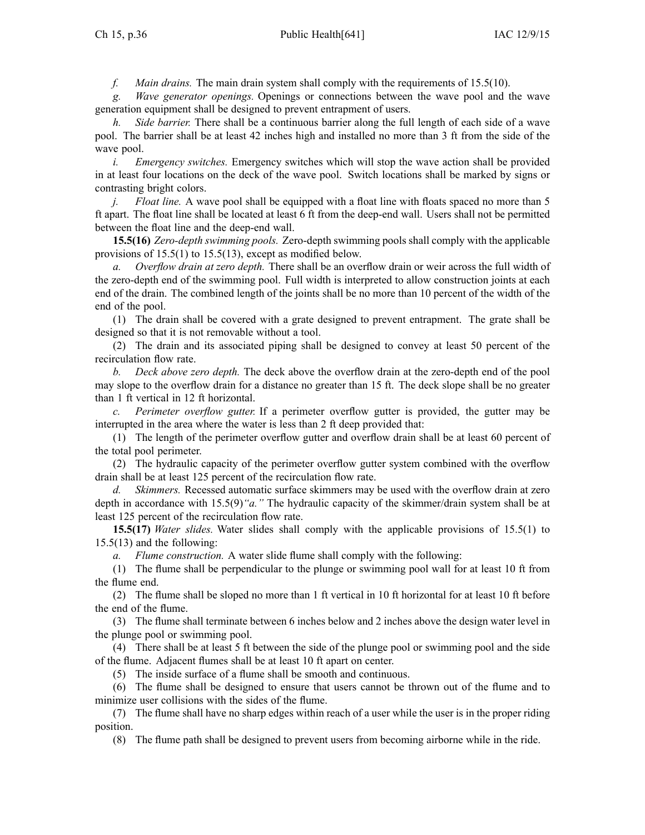*f. Main drains.* The main drain system shall comply with the requirements of 15.5(10).

*g. Wave generator openings.* Openings or connections between the wave pool and the wave generation equipment shall be designed to preven<sup>t</sup> entrapment of users.

*h. Side barrier.* There shall be <sup>a</sup> continuous barrier along the full length of each side of <sup>a</sup> wave pool. The barrier shall be at least 42 inches high and installed no more than 3 ft from the side of the wave pool.

*i. Emergency switches.* Emergency switches which will stop the wave action shall be provided in at least four locations on the deck of the wave pool. Switch locations shall be marked by signs or contrasting bright colors.

*j. Float line.* A wave pool shall be equipped with a float line with floats spaced no more than 5 ft apart. The float line shall be located at least 6 ft from the deep-end wall. Users shall not be permitted between the float line and the deep-end wall.

**15.5(16)** *Zero-depth swimming pools.* Zero-depth swimming pools shall comply with the applicable provisions of 15.5(1) to 15.5(13), excep<sup>t</sup> as modified below.

*a. Overflow drain at zero depth.* There shall be an overflow drain or weir across the full width of the zero-depth end of the swimming pool. Full width is interpreted to allow construction joints at each end of the drain. The combined length of the joints shall be no more than 10 percen<sup>t</sup> of the width of the end of the pool.

(1) The drain shall be covered with <sup>a</sup> grate designed to preven<sup>t</sup> entrapment. The grate shall be designed so that it is not removable without <sup>a</sup> tool.

(2) The drain and its associated piping shall be designed to convey at least 50 percen<sup>t</sup> of the recirculation flow rate.

*b. Deck above zero depth.* The deck above the overflow drain at the zero-depth end of the pool may slope to the overflow drain for <sup>a</sup> distance no greater than 15 ft. The deck slope shall be no greater than 1 ft vertical in 12 ft horizontal.

*c. Perimeter overflow gutter.* If <sup>a</sup> perimeter overflow gutter is provided, the gutter may be interrupted in the area where the water is less than 2 ft deep provided that:

(1) The length of the perimeter overflow gutter and overflow drain shall be at least 60 percen<sup>t</sup> of the total pool perimeter.

(2) The hydraulic capacity of the perimeter overflow gutter system combined with the overflow drain shall be at least 125 percen<sup>t</sup> of the recirculation flow rate.

*d. Skimmers.* Recessed automatic surface skimmers may be used with the overflow drain at zero depth in accordance with 15.5(9)*"a."* The hydraulic capacity of the skimmer/drain system shall be at least 125 percen<sup>t</sup> of the recirculation flow rate.

**15.5(17)** *Water slides.* Water slides shall comply with the applicable provisions of 15.5(1) to 15.5(13) and the following:

*a. Flume construction.* A water slide flume shall comply with the following:

(1) The flume shall be perpendicular to the plunge or swimming pool wall for at least 10 ft from the flume end.

(2) The flume shall be sloped no more than 1 ft vertical in 10 ft horizontal for at least 10 ft before the end of the flume.

(3) The flume shall terminate between 6 inches below and 2 inches above the design water level in the plunge pool or swimming pool.

(4) There shall be at least 5 ft between the side of the plunge pool or swimming pool and the side of the flume. Adjacent flumes shall be at least 10 ft apar<sup>t</sup> on center.

(5) The inside surface of <sup>a</sup> flume shall be smooth and continuous.

(6) The flume shall be designed to ensure that users cannot be thrown out of the flume and to minimize user collisions with the sides of the flume.

(7) The flume shall have no sharp edges within reach of <sup>a</sup> user while the user is in the proper riding position.

(8) The flume path shall be designed to preven<sup>t</sup> users from becoming airborne while in the ride.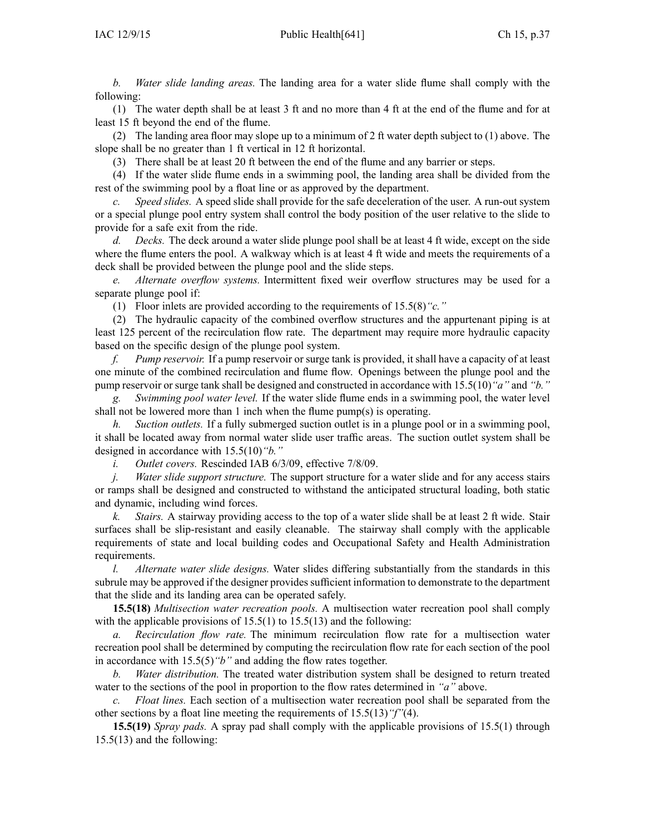*b. Water slide landing areas.* The landing area for <sup>a</sup> water slide flume shall comply with the following:

(1) The water depth shall be at least 3 ft and no more than 4 ft at the end of the flume and for at least 15 ft beyond the end of the flume.

(2) The landing area floor may slope up to <sup>a</sup> minimum of 2 ft water depth subject to (1) above. The slope shall be no greater than 1 ft vertical in 12 ft horizontal.

(3) There shall be at least 20 ft between the end of the flume and any barrier or steps.

(4) If the water slide flume ends in <sup>a</sup> swimming pool, the landing area shall be divided from the rest of the swimming pool by <sup>a</sup> float line or as approved by the department.

*c. Speed slides.* A speed slide shall provide for the safe deceleration of the user. A run-out system or <sup>a</sup> special plunge pool entry system shall control the body position of the user relative to the slide to provide for <sup>a</sup> safe exit from the ride.

*d. Decks.* The deck around <sup>a</sup> water slide plunge pool shall be at least 4 ft wide, excep<sup>t</sup> on the side where the flume enters the pool. A walkway which is at least 4 ft wide and meets the requirements of a deck shall be provided between the plunge pool and the slide steps.

*e. Alternate overflow systems.* Intermittent fixed weir overflow structures may be used for <sup>a</sup> separate plunge pool if:

(1) Floor inlets are provided according to the requirements of 15.5(8)*"c."*

(2) The hydraulic capacity of the combined overflow structures and the appurtenant piping is at least 125 percen<sup>t</sup> of the recirculation flow rate. The department may require more hydraulic capacity based on the specific design of the plunge pool system.

*f. Pump reservoir.* If <sup>a</sup> pump reservoir or surge tank is provided, it shall have <sup>a</sup> capacity of at least one minute of the combined recirculation and flume flow. Openings between the plunge pool and the pump reservoir or surge tank shall be designed and constructed in accordance with 15.5(10)*"a"* and *"b."*

*g. Swimming pool water level.* If the water slide flume ends in <sup>a</sup> swimming pool, the water level shall not be lowered more than 1 inch when the flume pump(s) is operating.

*h. Suction outlets.* If <sup>a</sup> fully submerged suction outlet is in <sup>a</sup> plunge pool or in <sup>a</sup> swimming pool, it shall be located away from normal water slide user traffic areas. The suction outlet system shall be designed in accordance with 15.5(10)*"b."*

*i. Outlet covers.* Rescinded IAB 6/3/09, effective 7/8/09.

*j. Water slide suppor<sup>t</sup> structure.* The suppor<sup>t</sup> structure for <sup>a</sup> water slide and for any access stairs or ramps shall be designed and constructed to withstand the anticipated structural loading, both static and dynamic, including wind forces.

*k. Stairs.* A stairway providing access to the top of <sup>a</sup> water slide shall be at least 2 ft wide. Stair surfaces shall be slip-resistant and easily cleanable. The stairway shall comply with the applicable requirements of state and local building codes and Occupational Safety and Health Administration requirements.

*l. Alternate water slide designs.* Water slides differing substantially from the standards in this subrule may be approved if the designer provides sufficient information to demonstrate to the department that the slide and its landing area can be operated safely.

**15.5(18)** *Multisection water recreation pools.* A multisection water recreation pool shall comply with the applicable provisions of  $15.5(1)$  to  $15.5(13)$  and the following:

*a. Recirculation flow rate.* The minimum recirculation flow rate for <sup>a</sup> multisection water recreation pool shall be determined by computing the recirculation flow rate for each section of the pool in accordance with 15.5(5)*"b"* and adding the flow rates together.

*b. Water distribution.* The treated water distribution system shall be designed to return treated water to the sections of the pool in proportion to the flow rates determined in *"a"* above.

*c. Float lines.* Each section of <sup>a</sup> multisection water recreation pool shall be separated from the other sections by <sup>a</sup> float line meeting the requirements of 15.5(13)*"f"*(4).

**15.5(19)** *Spray pads.* A spray pad shall comply with the applicable provisions of 15.5(1) through 15.5(13) and the following: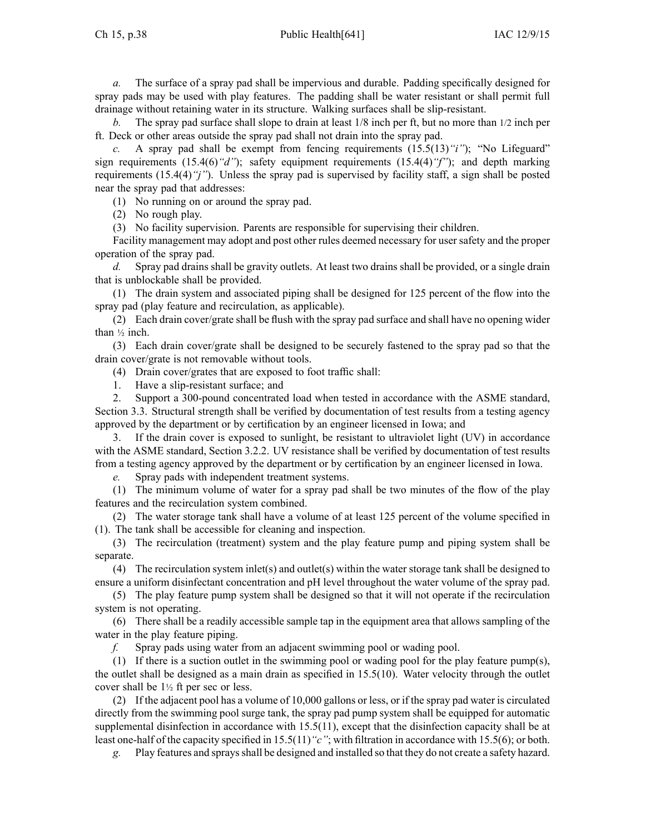*a.* The surface of <sup>a</sup> spray pad shall be impervious and durable. Padding specifically designed for spray pads may be used with play features. The padding shall be water resistant or shall permit full drainage without retaining water in its structure. Walking surfaces shall be slip-resistant.

*b.* The spray pad surface shall slope to drain at least 1/8 inch per ft, but no more than 1/2 inch per ft. Deck or other areas outside the spray pad shall not drain into the spray pad.

*c.* A spray pad shall be exempt from fencing requirements  $(15.5(13)$ "*i"*); "No Lifeguard" sign requirements (15.4(6)*"d"*); safety equipment requirements (15.4(4)*"f"*); and depth marking requirements (15.4(4)*"j"*). Unless the spray pad is supervised by facility staff, <sup>a</sup> sign shall be posted near the spray pad that addresses:

(1) No running on or around the spray pad.

(2) No rough play.

(3) No facility supervision. Parents are responsible for supervising their children.

Facility managemen<sup>t</sup> may adopt and pos<sup>t</sup> other rules deemed necessary for user safety and the proper operation of the spray pad.

*d.* Spray pad drains shall be gravity outlets. At least two drains shall be provided, or <sup>a</sup> single drain that is unblockable shall be provided.

(1) The drain system and associated piping shall be designed for 125 percen<sup>t</sup> of the flow into the spray pad (play feature and recirculation, as applicable).

(2) Each drain cover/grate shall be flush with the spray pad surface and shall have no opening wider than ½ inch.

(3) Each drain cover/grate shall be designed to be securely fastened to the spray pad so that the drain cover/grate is not removable without tools.

(4) Drain cover/grates that are exposed to foot traffic shall:

1. Have <sup>a</sup> slip-resistant surface; and

2. Support <sup>a</sup> 300-pound concentrated load when tested in accordance with the ASME standard, Section 3.3. Structural strength shall be verified by documentation of test results from <sup>a</sup> testing agency approved by the department or by certification by an engineer licensed in Iowa; and

3. If the drain cover is exposed to sunlight, be resistant to ultraviolet light (UV) in accordance with the ASME standard, Section 3.2.2. UV resistance shall be verified by documentation of test results from <sup>a</sup> testing agency approved by the department or by certification by an engineer licensed in Iowa.

*e.* Spray pads with independent treatment systems.

(1) The minimum volume of water for <sup>a</sup> spray pad shall be two minutes of the flow of the play features and the recirculation system combined.

(2) The water storage tank shall have <sup>a</sup> volume of at least 125 percen<sup>t</sup> of the volume specified in (1). The tank shall be accessible for cleaning and inspection.

(3) The recirculation (treatment) system and the play feature pump and piping system shall be separate.

(4) The recirculation system inlet(s) and outlet(s) within the water storage tank shall be designed to ensure <sup>a</sup> uniform disinfectant concentration and pH level throughout the water volume of the spray pad.

(5) The play feature pump system shall be designed so that it will not operate if the recirculation system is not operating.

(6) There shall be <sup>a</sup> readily accessible sample tap in the equipment area that allows sampling of the water in the play feature piping.

*f.* Spray pads using water from an adjacent swimming pool or wading pool.

(1) If there is <sup>a</sup> suction outlet in the swimming pool or wading pool for the play feature pump(s), the outlet shall be designed as <sup>a</sup> main drain as specified in 15.5(10). Water velocity through the outlet cover shall be 1<sup>½</sup> ft per sec or less.

(2) If the adjacent pool has <sup>a</sup> volume of 10,000 gallons or less, or if the spray pad water is circulated directly from the swimming pool surge tank, the spray pad pump system shall be equipped for automatic supplemental disinfection in accordance with 15.5(11), excep<sup>t</sup> that the disinfection capacity shall be at least one-half of the capacity specified in 15.5(11)*"c"*; with filtration in accordance with 15.5(6); or both.

*g.* Play features and spraysshall be designed and installed so that they do not create <sup>a</sup> safety hazard.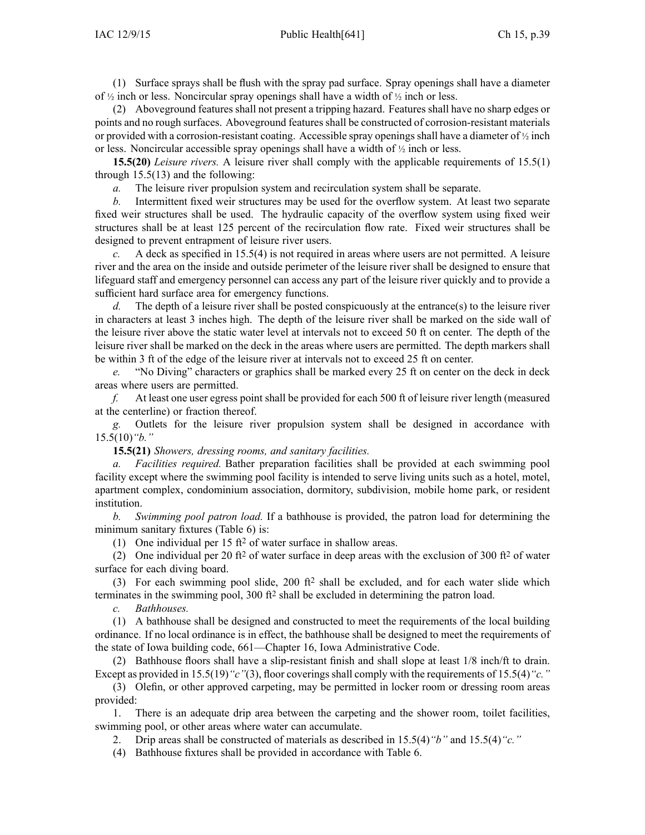(1) Surface sprays shall be flush with the spray pad surface. Spray openings shall have <sup>a</sup> diameter of <sup>½</sup> inch or less. Noncircular spray openings shall have <sup>a</sup> width of <sup>½</sup> inch or less.

(2) Aboveground features shall not presen<sup>t</sup> <sup>a</sup> tripping hazard. Features shall have no sharp edges or points and no rough surfaces. Aboveground features shall be constructed of corrosion-resistant materials or provided with a corrosion-resistant coating. Accessible spray openings shall have a diameter of  $\frac{1}{2}$  inch or less. Noncircular accessible spray openings shall have <sup>a</sup> width of <sup>½</sup> inch or less.

**15.5(20)** *Leisure rivers.* A leisure river shall comply with the applicable requirements of 15.5(1) through 15.5(13) and the following:

*a.* The leisure river propulsion system and recirculation system shall be separate.

*b.* Intermittent fixed weir structures may be used for the overflow system. At least two separate fixed weir structures shall be used. The hydraulic capacity of the overflow system using fixed weir structures shall be at least 125 percen<sup>t</sup> of the recirculation flow rate. Fixed weir structures shall be designed to preven<sup>t</sup> entrapment of leisure river users.

*c.* A deck as specified in 15.5(4) is not required in areas where users are not permitted. A leisure river and the area on the inside and outside perimeter of the leisure river shall be designed to ensure that lifeguard staff and emergency personnel can access any par<sup>t</sup> of the leisure river quickly and to provide <sup>a</sup> sufficient hard surface area for emergency functions.

*d.* The depth of a leisure river shall be posted conspicuously at the entrance(s) to the leisure river in characters at least 3 inches high. The depth of the leisure river shall be marked on the side wall of the leisure river above the static water level at intervals not to exceed 50 ft on center. The depth of the leisure river shall be marked on the deck in the areas where users are permitted. The depth markers shall be within 3 ft of the edge of the leisure river at intervals not to exceed 25 ft on center.

*e.* "No Diving" characters or graphics shall be marked every 25 ft on center on the deck in deck areas where users are permitted.

*f.* At least one user egress point shall be provided for each 500 ft of leisure river length (measured at the centerline) or fraction thereof.

*g.* Outlets for the leisure river propulsion system shall be designed in accordance with 15.5(10)*"b."*

**15.5(21)** *Showers, dressing rooms, and sanitary facilities.*

*a. Facilities required.* Bather preparation facilities shall be provided at each swimming pool facility excep<sup>t</sup> where the swimming pool facility is intended to serve living units such as <sup>a</sup> hotel, motel, apartment complex, condominium association, dormitory, subdivision, mobile home park, or resident institution.

*b. Swimming pool patron load.* If <sup>a</sup> bathhouse is provided, the patron load for determining the minimum sanitary fixtures (Table 6) is:

(1) One individual per  $15 \text{ ft}^2$  of water surface in shallow areas.

(2) One individual per 20 ft<sup>2</sup> of water surface in deep areas with the exclusion of 300 ft<sup>2</sup> of water surface for each diving board.

(3) For each swimming pool slide, 200 ft<sup>2</sup> shall be excluded, and for each water slide which terminates in the swimming pool, 300 ft<sup>2</sup> shall be excluded in determining the patron load.

*c. Bathhouses.*

(1) A bathhouse shall be designed and constructed to meet the requirements of the local building ordinance. If no local ordinance is in effect, the bathhouse shall be designed to meet the requirements of the state of Iowa building code, 661—Chapter 16, Iowa Administrative Code.

(2) Bathhouse floors shall have <sup>a</sup> slip-resistant finish and shall slope at least 1/8 inch/ft to drain. Except as provided in 15.5(19) "*c*"(3), floor coverings shall comply with the requirements of 15.5(4) "*c*."

(3) Olefin, or other approved carpeting, may be permitted in locker room or dressing room areas provided:

1. There is an adequate drip area between the carpeting and the shower room, toilet facilities, swimming pool, or other areas where water can accumulate.

2. Drip areas shall be constructed of materials as described in 15.5(4)*"b"* and 15.5(4)*"c."*

(4) Bathhouse fixtures shall be provided in accordance with Table 6.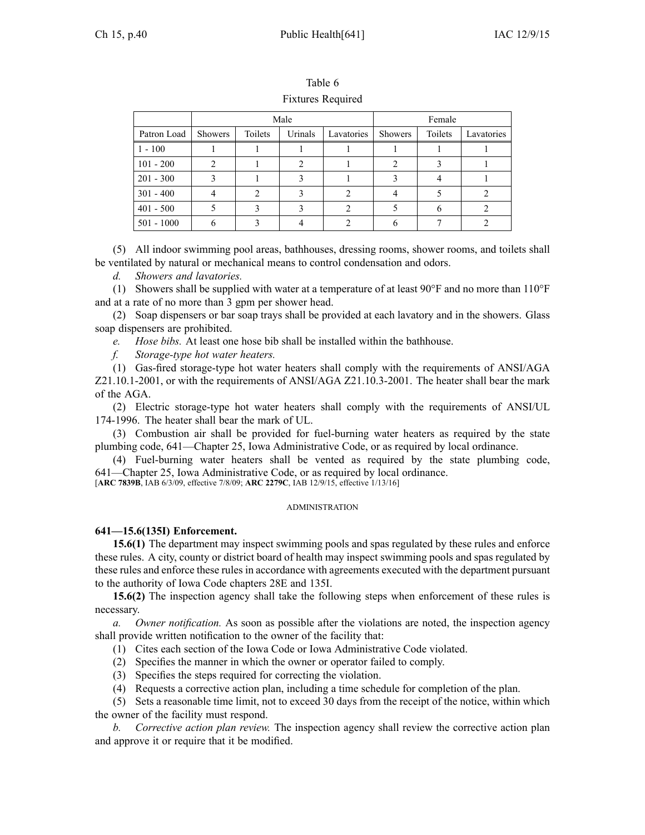|              |                |         | Male    |            |         | Female  |            |
|--------------|----------------|---------|---------|------------|---------|---------|------------|
| Patron Load  | <b>Showers</b> | Toilets | Urinals | Lavatories | Showers | Toilets | Lavatories |
| $1 - 100$    |                |         |         |            |         |         |            |
| $101 - 200$  |                |         |         |            |         |         |            |
| $201 - 300$  |                |         |         |            |         |         |            |
| $301 - 400$  |                |         |         |            |         |         |            |
| $401 - 500$  |                |         |         |            |         |         |            |
| $501 - 1000$ |                |         |         |            |         |         |            |

Table 6 Fixtures Required

(5) All indoor swimming pool areas, bathhouses, dressing rooms, shower rooms, and toilets shall be ventilated by natural or mechanical means to control condensation and odors.

*d. Showers and lavatories.*

(1) Showers shall be supplied with water at <sup>a</sup> temperature of at least 90°F and no more than 110°F and at <sup>a</sup> rate of no more than 3 gpm per shower head.

(2) Soap dispensers or bar soap trays shall be provided at each lavatory and in the showers. Glass soap dispensers are prohibited.

*e. Hose bibs.* At least one hose bib shall be installed within the bathhouse.

*f. Storage-type hot water heaters.*

(1) Gas-fired storage-type hot water heaters shall comply with the requirements of ANSI/AGA Z21.10.1-2001, or with the requirements of ANSI/AGA Z21.10.3-2001. The heater shall bear the mark of the AGA.

(2) Electric storage-type hot water heaters shall comply with the requirements of ANSI/UL 174-1996. The heater shall bear the mark of UL.

(3) Combustion air shall be provided for fuel-burning water heaters as required by the state plumbing code, 641—Chapter 25, Iowa Administrative Code, or as required by local ordinance.

(4) Fuel-burning water heaters shall be vented as required by the state plumbing code, 641—Chapter 25, Iowa Administrative Code, or as required by local ordinance.

[**ARC 7839B**, IAB 6/3/09, effective 7/8/09; **ARC 2279C**, IAB 12/9/15, effective 1/13/16]

#### ADMINISTRATION

## **641—15.6(135I) Enforcement.**

**15.6(1)** The department may inspect swimming pools and spas regulated by these rules and enforce these rules. A city, county or district board of health may inspect swimming pools and spas regulated by these rules and enforce these rules in accordance with agreements executed with the department pursuan<sup>t</sup> to the authority of Iowa Code chapters [28E](https://www.legis.iowa.gov/docs/ico/chapter/28E.pdf) and [135I](https://www.legis.iowa.gov/docs/ico/chapter/135I.pdf).

**15.6(2)** The inspection agency shall take the following steps when enforcement of these rules is necessary.

*a. Owner notification.* As soon as possible after the violations are noted, the inspection agency shall provide written notification to the owner of the facility that:

(1) Cites each section of the Iowa Code or Iowa Administrative Code violated.

- (2) Specifies the manner in which the owner or operator failed to comply.
- (3) Specifies the steps required for correcting the violation.
- (4) Requests <sup>a</sup> corrective action plan, including <sup>a</sup> time schedule for completion of the plan.

(5) Sets <sup>a</sup> reasonable time limit, not to exceed 30 days from the receipt of the notice, within which the owner of the facility must respond.

*b. Corrective action plan review.* The inspection agency shall review the corrective action plan and approve it or require that it be modified.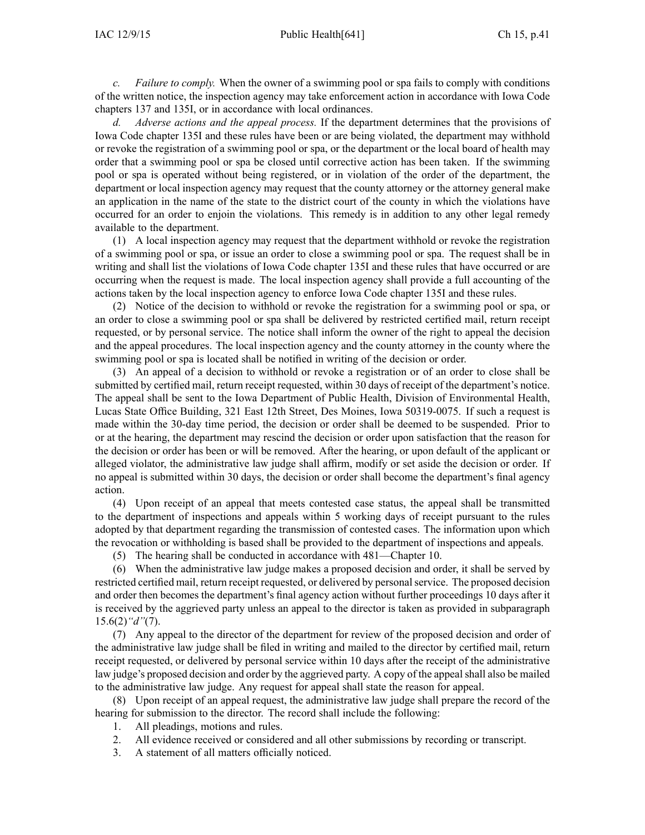*c. Failure to comply.* When the owner of <sup>a</sup> swimming pool or spa fails to comply with conditions of the written notice, the inspection agency may take enforcement action in accordance with Iowa Code chapters [137](https://www.legis.iowa.gov/docs/ico/chapter/137.pdf) and [135I](https://www.legis.iowa.gov/docs/ico/chapter/135I.pdf), or in accordance with local ordinances.

*d. Adverse actions and the appeal process.* If the department determines that the provisions of Iowa Code chapter [135I](https://www.legis.iowa.gov/docs/ico/chapter/135I.pdf) and these rules have been or are being violated, the department may withhold or revoke the registration of <sup>a</sup> swimming pool or spa, or the department or the local board of health may order that <sup>a</sup> swimming pool or spa be closed until corrective action has been taken. If the swimming pool or spa is operated without being registered, or in violation of the order of the department, the department or local inspection agency may reques<sup>t</sup> that the county attorney or the attorney general make an application in the name of the state to the district court of the county in which the violations have occurred for an order to enjoin the violations. This remedy is in addition to any other legal remedy available to the department.

(1) A local inspection agency may reques<sup>t</sup> that the department withhold or revoke the registration of <sup>a</sup> swimming pool or spa, or issue an order to close <sup>a</sup> swimming pool or spa. The reques<sup>t</sup> shall be in writing and shall list the violations of Iowa Code chapter [135I](https://www.legis.iowa.gov/docs/ico/chapter/135I.pdf) and these rules that have occurred or are occurring when the reques<sup>t</sup> is made. The local inspection agency shall provide <sup>a</sup> full accounting of the actions taken by the local inspection agency to enforce Iowa Code chapter [135I](https://www.legis.iowa.gov/docs/ico/chapter/135I.pdf) and these rules.

(2) Notice of the decision to withhold or revoke the registration for <sup>a</sup> swimming pool or spa, or an order to close <sup>a</sup> swimming pool or spa shall be delivered by restricted certified mail, return receipt requested, or by personal service. The notice shall inform the owner of the right to appeal the decision and the appeal procedures. The local inspection agency and the county attorney in the county where the swimming pool or spa is located shall be notified in writing of the decision or order.

(3) An appeal of <sup>a</sup> decision to withhold or revoke <sup>a</sup> registration or of an order to close shall be submitted by certified mail, return receipt requested, within 30 days of receipt of the department's notice. The appeal shall be sent to the Iowa Department of Public Health, Division of Environmental Health, Lucas State Office Building, 321 East 12th Street, Des Moines, Iowa 50319-0075. If such <sup>a</sup> reques<sup>t</sup> is made within the 30-day time period, the decision or order shall be deemed to be suspended. Prior to or at the hearing, the department may rescind the decision or order upon satisfaction that the reason for the decision or order has been or will be removed. After the hearing, or upon default of the applicant or alleged violator, the administrative law judge shall affirm, modify or set aside the decision or order. If no appeal is submitted within 30 days, the decision or order shall become the department's final agency action.

(4) Upon receipt of an appeal that meets contested case status, the appeal shall be transmitted to the department of inspections and appeals within 5 working days of receipt pursuan<sup>t</sup> to the rules adopted by that department regarding the transmission of contested cases. The information upon which the revocation or withholding is based shall be provided to the department of inspections and appeals.

(5) The hearing shall be conducted in accordance with 481—Chapter 10.

(6) When the administrative law judge makes <sup>a</sup> proposed decision and order, it shall be served by restricted certified mail, return receipt requested, or delivered by personalservice. The proposed decision and order then becomes the department's final agency action without further proceedings 10 days after it is received by the aggrieved party unless an appeal to the director is taken as provided in subparagraph 15.6(2)*"d"*(7).

(7) Any appeal to the director of the department for review of the proposed decision and order of the administrative law judge shall be filed in writing and mailed to the director by certified mail, return receipt requested, or delivered by personal service within 10 days after the receipt of the administrative law judge's proposed decision and order by the aggrieved party. A copy of the appeal shall also be mailed to the administrative law judge. Any reques<sup>t</sup> for appeal shall state the reason for appeal.

(8) Upon receipt of an appeal request, the administrative law judge shall prepare the record of the hearing for submission to the director. The record shall include the following:

- 1. All pleadings, motions and rules.
- 2. All evidence received or considered and all other submissions by recording or transcript.
- 3. A statement of all matters officially noticed.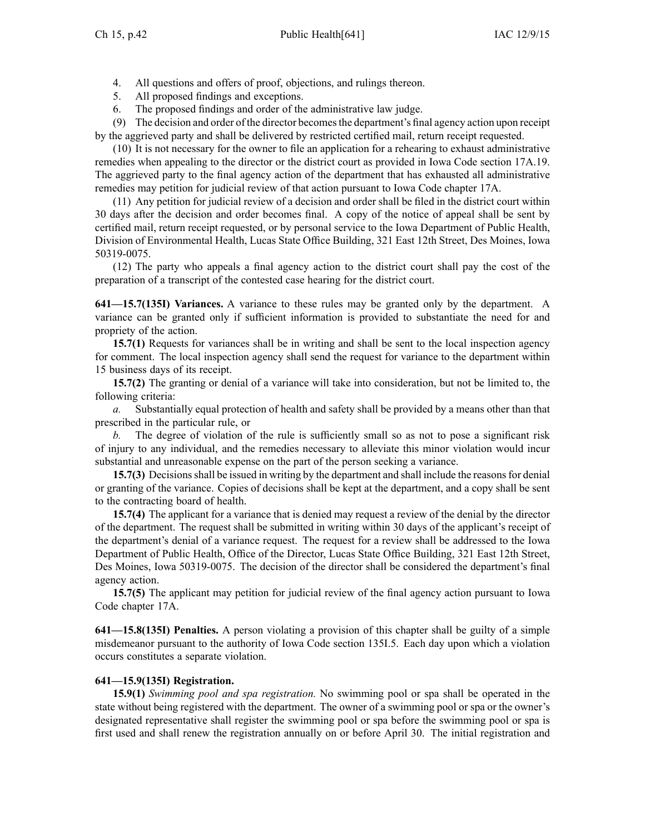- 4. All questions and offers of proof, objections, and rulings thereon.
- 5. All proposed findings and exceptions.
- 6. The proposed findings and order of the administrative law judge.

(9) The decision and order of the director becomes the department's final agency action upon receipt by the aggrieved party and shall be delivered by restricted certified mail, return receipt requested.

(10) It is not necessary for the owner to file an application for <sup>a</sup> rehearing to exhaust administrative remedies when appealing to the director or the district court as provided in Iowa Code section [17A.19](https://www.legis.iowa.gov/docs/ico/section/17A.19.pdf). The aggrieved party to the final agency action of the department that has exhausted all administrative remedies may petition for judicial review of that action pursuan<sup>t</sup> to Iowa Code chapter [17A](https://www.legis.iowa.gov/docs/ico/chapter/17A.pdf).

(11) Any petition for judicial review of <sup>a</sup> decision and order shall be filed in the district court within 30 days after the decision and order becomes final. A copy of the notice of appeal shall be sent by certified mail, return receipt requested, or by personal service to the Iowa Department of Public Health, Division of Environmental Health, Lucas State Office Building, 321 East 12th Street, Des Moines, Iowa 50319-0075.

(12) The party who appeals <sup>a</sup> final agency action to the district court shall pay the cost of the preparation of <sup>a</sup> transcript of the contested case hearing for the district court.

**641—15.7(135I) Variances.** A variance to these rules may be granted only by the department. A variance can be granted only if sufficient information is provided to substantiate the need for and propriety of the action.

**15.7(1)** Requests for variances shall be in writing and shall be sent to the local inspection agency for comment. The local inspection agency shall send the reques<sup>t</sup> for variance to the department within 15 business days of its receipt.

**15.7(2)** The granting or denial of <sup>a</sup> variance will take into consideration, but not be limited to, the following criteria:

*a.* Substantially equal protection of health and safety shall be provided by <sup>a</sup> means other than that prescribed in the particular rule, or

*b.* The degree of violation of the rule is sufficiently small so as not to pose <sup>a</sup> significant risk of injury to any individual, and the remedies necessary to alleviate this minor violation would incur substantial and unreasonable expense on the par<sup>t</sup> of the person seeking <sup>a</sup> variance.

**15.7(3)** Decisions shall be issued in writing by the department and shall include the reasons for denial or granting of the variance. Copies of decisions shall be kept at the department, and <sup>a</sup> copy shall be sent to the contracting board of health.

**15.7(4)** The applicant for <sup>a</sup> variance that is denied may reques<sup>t</sup> <sup>a</sup> review of the denial by the director of the department. The reques<sup>t</sup> shall be submitted in writing within 30 days of the applicant's receipt of the department's denial of <sup>a</sup> variance request. The reques<sup>t</sup> for <sup>a</sup> review shall be addressed to the Iowa Department of Public Health, Office of the Director, Lucas State Office Building, 321 East 12th Street, Des Moines, Iowa 50319-0075. The decision of the director shall be considered the department's final agency action.

**15.7(5)** The applicant may petition for judicial review of the final agency action pursuant to Iowa Code chapter [17A](https://www.legis.iowa.gov/docs/ico/chapter/17A.pdf).

**641—15.8(135I) Penalties.** A person violating <sup>a</sup> provision of this chapter shall be guilty of <sup>a</sup> simple misdemeanor pursuan<sup>t</sup> to the authority of Iowa Code section [135I.5](https://www.legis.iowa.gov/docs/ico/section/135I.5.pdf). Each day upon which <sup>a</sup> violation occurs constitutes <sup>a</sup> separate violation.

## **641—15.9(135I) Registration.**

**15.9(1)** *Swimming pool and spa registration.* No swimming pool or spa shall be operated in the state without being registered with the department. The owner of <sup>a</sup> swimming pool or spa or the owner's designated representative shall register the swimming pool or spa before the swimming pool or spa is first used and shall renew the registration annually on or before April 30. The initial registration and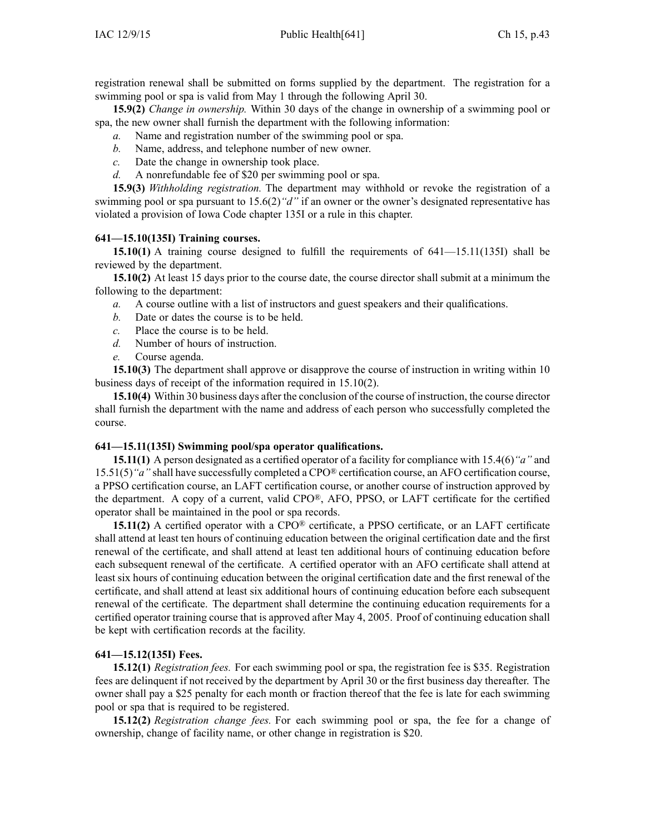registration renewal shall be submitted on forms supplied by the department. The registration for <sup>a</sup> swimming pool or spa is valid from May 1 through the following April 30.

**15.9(2)** *Change in ownership.* Within 30 days of the change in ownership of <sup>a</sup> swimming pool or spa, the new owner shall furnish the department with the following information:

- *a.* Name and registration number of the swimming pool or spa.
- *b.* Name, address, and telephone number of new owner.
- *c.* Date the change in ownership took place.
- *d.* A nonrefundable fee of \$20 per swimming pool or spa.

**15.9(3)** *Withholding registration.* The department may withhold or revoke the registration of <sup>a</sup> swimming pool or spa pursuan<sup>t</sup> to 15.6(2)*"d"* if an owner or the owner's designated representative has violated <sup>a</sup> provision of Iowa Code chapter [135I](https://www.legis.iowa.gov/docs/ico/chapter/135I.pdf) or <sup>a</sup> rule in this chapter.

## **641—15.10(135I) Training courses.**

**15.10(1)** A training course designed to fulfill the requirements of 641—15.11(135I) shall be reviewed by the department.

**15.10(2)** At least 15 days prior to the course date, the course director shall submit at <sup>a</sup> minimum the following to the department:

- *a.* A course outline with <sup>a</sup> list of instructors and gues<sup>t</sup> speakers and their qualifications.
- *b.* Date or dates the course is to be held.
- *c.* Place the course is to be held.
- *d.* Number of hours of instruction.
- *e.* Course agenda.

**15.10(3)** The department shall approve or disapprove the course of instruction in writing within 10 business days of receipt of the information required in 15.10(2).

**15.10(4)** Within 30 business days after the conclusion of the course of instruction, the course director shall furnish the department with the name and address of each person who successfully completed the course.

## **641—15.11(135I) Swimming pool/spa operator qualifications.**

**15.11(1)** A person designated as <sup>a</sup> certified operator of <sup>a</sup> facility for compliance with 15.4(6)*"a"* and 15.51(5)*"a"* shall have successfully completed <sup>a</sup> CPO® certification course, an AFO certification course, <sup>a</sup> PPSO certification course, an LAFT certification course, or another course of instruction approved by the department. A copy of <sup>a</sup> current, valid CPO®, AFO, PPSO, or LAFT certificate for the certified operator shall be maintained in the pool or spa records.

**15.11(2)** A certified operator with a CPO<sup>®</sup> certificate, a PPSO certificate, or an LAFT certificate shall attend at least ten hours of continuing education between the original certification date and the first renewal of the certificate, and shall attend at least ten additional hours of continuing education before each subsequent renewal of the certificate. A certified operator with an AFO certificate shall attend at least six hours of continuing education between the original certification date and the first renewal of the certificate, and shall attend at least six additional hours of continuing education before each subsequent renewal of the certificate. The department shall determine the continuing education requirements for <sup>a</sup> certified operator training course that is approved after May 4, 2005. Proof of continuing education shall be kept with certification records at the facility.

## **641—15.12(135I) Fees.**

**15.12(1)** *Registration fees.* For each swimming pool or spa, the registration fee is \$35. Registration fees are delinquent if not received by the department by April 30 or the first business day thereafter. The owner shall pay <sup>a</sup> \$25 penalty for each month or fraction thereof that the fee is late for each swimming pool or spa that is required to be registered.

**15.12(2)** *Registration change fees.* For each swimming pool or spa, the fee for <sup>a</sup> change of ownership, change of facility name, or other change in registration is \$20.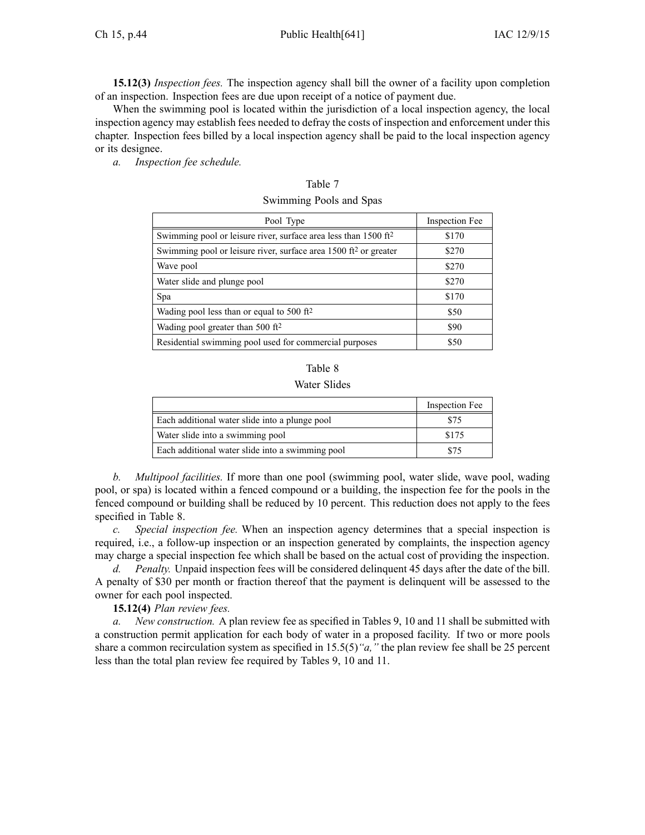**15.12(3)** *Inspection fees.* The inspection agency shall bill the owner of <sup>a</sup> facility upon completion of an inspection. Inspection fees are due upon receipt of <sup>a</sup> notice of paymen<sup>t</sup> due.

When the swimming pool is located within the jurisdiction of <sup>a</sup> local inspection agency, the local inspection agency may establish fees needed to defray the costs of inspection and enforcement under this chapter. Inspection fees billed by <sup>a</sup> local inspection agency shall be paid to the local inspection agency or its designee.

*a. Inspection fee schedule.*

| Pool Type                                                                   | Inspection Fee |
|-----------------------------------------------------------------------------|----------------|
| Swimming pool or leisure river, surface area less than 1500 ft <sup>2</sup> | \$170          |
| Swimming pool or leisure river, surface area $1500 \text{ ft}^2$ or greater | \$270          |
| Wave pool                                                                   | \$270          |
| Water slide and plunge pool                                                 | \$270          |
| Spa                                                                         | \$170          |
| Wading pool less than or equal to 500 $\mathrm{ft}^2$                       | \$50           |
| Wading pool greater than 500 ft <sup>2</sup>                                | \$90           |
| Residential swimming pool used for commercial purposes                      | \$50           |

| Table 7                 |  |
|-------------------------|--|
| Swimming Pools and Spas |  |

| n<br>а |  |
|--------|--|
|        |  |

#### Water Slides

|                                                  | Inspection Fee |
|--------------------------------------------------|----------------|
| Each additional water slide into a plunge pool   | \$75           |
| Water slide into a swimming pool                 | \$175          |
| Each additional water slide into a swimming pool | \$75           |

*b. Multipool facilities.* If more than one pool (swimming pool, water slide, wave pool, wading pool, or spa) is located within <sup>a</sup> fenced compound or <sup>a</sup> building, the inspection fee for the pools in the fenced compound or building shall be reduced by 10 percent. This reduction does not apply to the fees specified in Table 8.

*c. Special inspection fee.* When an inspection agency determines that <sup>a</sup> special inspection is required, i.e., <sup>a</sup> follow-up inspection or an inspection generated by complaints, the inspection agency may charge <sup>a</sup> special inspection fee which shall be based on the actual cost of providing the inspection.

*d. Penalty.* Unpaid inspection fees will be considered delinquent 45 days after the date of the bill. A penalty of \$30 per month or fraction thereof that the paymen<sup>t</sup> is delinquent will be assessed to the owner for each pool inspected.

## **15.12(4)** *Plan review fees.*

*a. New construction.* A plan review fee as specified in Tables 9, 10 and 11 shall be submitted with <sup>a</sup> construction permit application for each body of water in <sup>a</sup> proposed facility. If two or more pools share <sup>a</sup> common recirculation system as specified in 15.5(5)*"a,"* the plan review fee shall be 25 percen<sup>t</sup> less than the total plan review fee required by Tables 9, 10 and 11.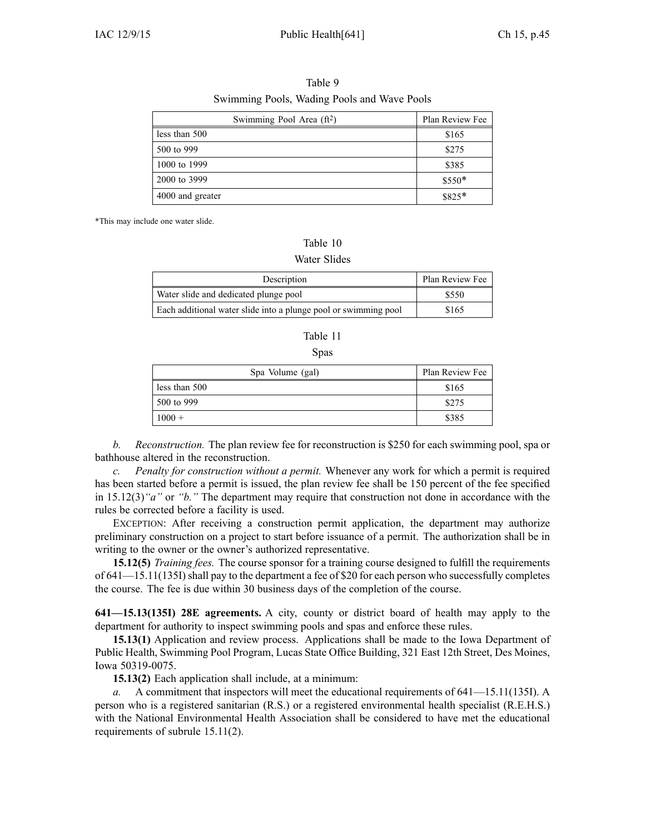| Swimming Pool Area (ft <sup>2</sup> ) | Plan Review Fee |
|---------------------------------------|-----------------|
| less than 500                         | \$165           |
| 500 to 999                            | \$275           |
| 1000 to 1999                          | \$385           |
| 2000 to 3999                          | \$550*          |
| 4000 and greater                      | \$825*          |

Table 9 Swimming Pools, Wading Pools and Wave Pools

\*This may include one water slide.

#### Table 10

#### Water Slides

| Description                                                     | Plan Review Fee |
|-----------------------------------------------------------------|-----------------|
| Water slide and dedicated plunge pool                           | \$550           |
| Each additional water slide into a plunge pool or swimming pool | \$165           |

#### Table 11

#### Spas

| Spa Volume (gal) | Plan Review Fee |
|------------------|-----------------|
| less than 500    | \$165           |
| 500 to 999       | \$275           |
| $1000 +$         | \$385           |

*b. Reconstruction.* The plan review fee for reconstruction is \$250 for each swimming pool, spa or bathhouse altered in the reconstruction.

*c. Penalty for construction without <sup>a</sup> permit.* Whenever any work for which <sup>a</sup> permit is required has been started before <sup>a</sup> permit is issued, the plan review fee shall be 150 percen<sup>t</sup> of the fee specified in 15.12(3)*"a"* or *"b."* The department may require that construction not done in accordance with the rules be corrected before <sup>a</sup> facility is used.

EXCEPTION: After receiving <sup>a</sup> construction permit application, the department may authorize preliminary construction on <sup>a</sup> project to start before issuance of <sup>a</sup> permit. The authorization shall be in writing to the owner or the owner's authorized representative.

**15.12(5)** *Training fees.* The course sponsor for <sup>a</sup> training course designed to fulfill the requirements of 641—15.11(135I) shall pay to the department a fee of \$20 for each person who successfully completes the course. The fee is due within 30 business days of the completion of the course.

**641—15.13(135I) 28E agreements.** A city, county or district board of health may apply to the department for authority to inspect swimming pools and spas and enforce these rules.

**15.13(1)** Application and review process. Applications shall be made to the Iowa Department of Public Health, Swimming Pool Program, Lucas State Office Building, 321 East 12th Street, Des Moines, Iowa 50319-0075.

**15.13(2)** Each application shall include, at <sup>a</sup> minimum:

*a.* A commitment that inspectors will meet the educational requirements of 641—15.11(135I). A person who is <sup>a</sup> registered sanitarian (R.S.) or <sup>a</sup> registered environmental health specialist (R.E.H.S.) with the National Environmental Health Association shall be considered to have met the educational requirements of subrule 15.11(2).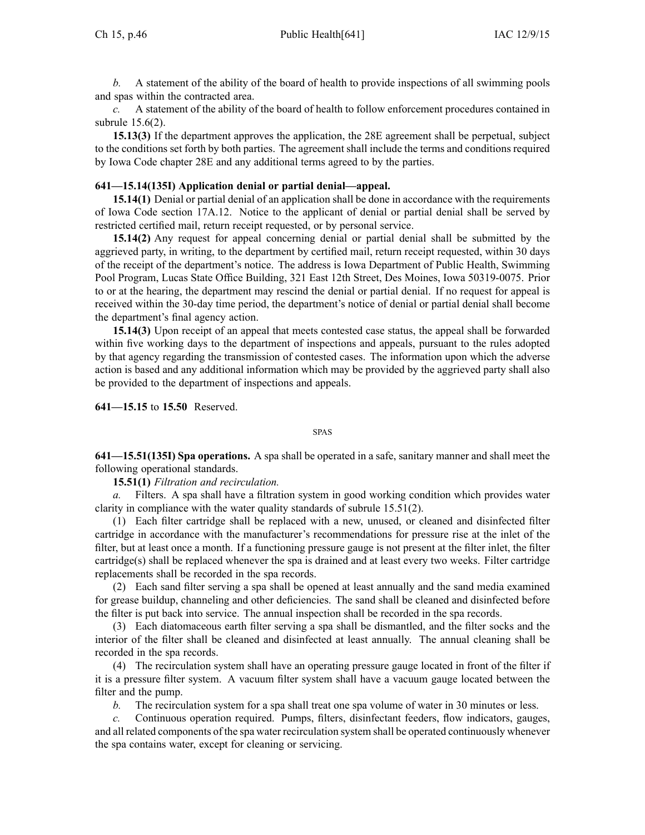*b.* A statement of the ability of the board of health to provide inspections of all swimming pools and spas within the contracted area.

*c.* A statement of the ability of the board of health to follow enforcement procedures contained in subrule 15.6(2).

**15.13(3)** If the department approves the application, the 28E agreemen<sup>t</sup> shall be perpetual, subject to the conditions set forth by both parties. The agreemen<sup>t</sup> shall include the terms and conditions required by Iowa Code chapter [28E](https://www.legis.iowa.gov/docs/ico/chapter/28E.pdf) and any additional terms agreed to by the parties.

## **641—15.14(135I) Application denial or partial denial—appeal.**

**15.14(1)** Denial or partial denial of an application shall be done in accordance with the requirements of Iowa Code section [17A.12](https://www.legis.iowa.gov/docs/ico/section/17A.12.pdf). Notice to the applicant of denial or partial denial shall be served by restricted certified mail, return receipt requested, or by personal service.

**15.14(2)** Any reques<sup>t</sup> for appeal concerning denial or partial denial shall be submitted by the aggrieved party, in writing, to the department by certified mail, return receipt requested, within 30 days of the receipt of the department's notice. The address is Iowa Department of Public Health, Swimming Pool Program, Lucas State Office Building, 321 East 12th Street, Des Moines, Iowa 50319-0075. Prior to or at the hearing, the department may rescind the denial or partial denial. If no reques<sup>t</sup> for appeal is received within the 30-day time period, the department's notice of denial or partial denial shall become the department's final agency action.

**15.14(3)** Upon receipt of an appeal that meets contested case status, the appeal shall be forwarded within five working days to the department of inspections and appeals, pursuan<sup>t</sup> to the rules adopted by that agency regarding the transmission of contested cases. The information upon which the adverse action is based and any additional information which may be provided by the aggrieved party shall also be provided to the department of inspections and appeals.

**641—15.15** to **15.50** Reserved.

SPAS

**641—15.51(135I) Spa operations.** A spa shall be operated in <sup>a</sup> safe, sanitary manner and shall meet the following operational standards.

**15.51(1)** *Filtration and recirculation.*

*a.* Filters. A spa shall have <sup>a</sup> filtration system in good working condition which provides water clarity in compliance with the water quality standards of subrule 15.51(2).

(1) Each filter cartridge shall be replaced with <sup>a</sup> new, unused, or cleaned and disinfected filter cartridge in accordance with the manufacturer's recommendations for pressure rise at the inlet of the filter, but at least once <sup>a</sup> month. If <sup>a</sup> functioning pressure gauge is not presen<sup>t</sup> at the filter inlet, the filter cartridge(s) shall be replaced whenever the spa is drained and at least every two weeks. Filter cartridge replacements shall be recorded in the spa records.

(2) Each sand filter serving <sup>a</sup> spa shall be opened at least annually and the sand media examined for grease buildup, channeling and other deficiencies. The sand shall be cleaned and disinfected before the filter is pu<sup>t</sup> back into service. The annual inspection shall be recorded in the spa records.

(3) Each diatomaceous earth filter serving <sup>a</sup> spa shall be dismantled, and the filter socks and the interior of the filter shall be cleaned and disinfected at least annually. The annual cleaning shall be recorded in the spa records.

(4) The recirculation system shall have an operating pressure gauge located in front of the filter if it is <sup>a</sup> pressure filter system. A vacuum filter system shall have <sup>a</sup> vacuum gauge located between the filter and the pump.

*b.* The recirculation system for <sup>a</sup> spa shall treat one spa volume of water in 30 minutes or less.

*c.* Continuous operation required. Pumps, filters, disinfectant feeders, flow indicators, gauges, and all related components of the spa water recirculation system shall be operated continuously whenever the spa contains water, excep<sup>t</sup> for cleaning or servicing.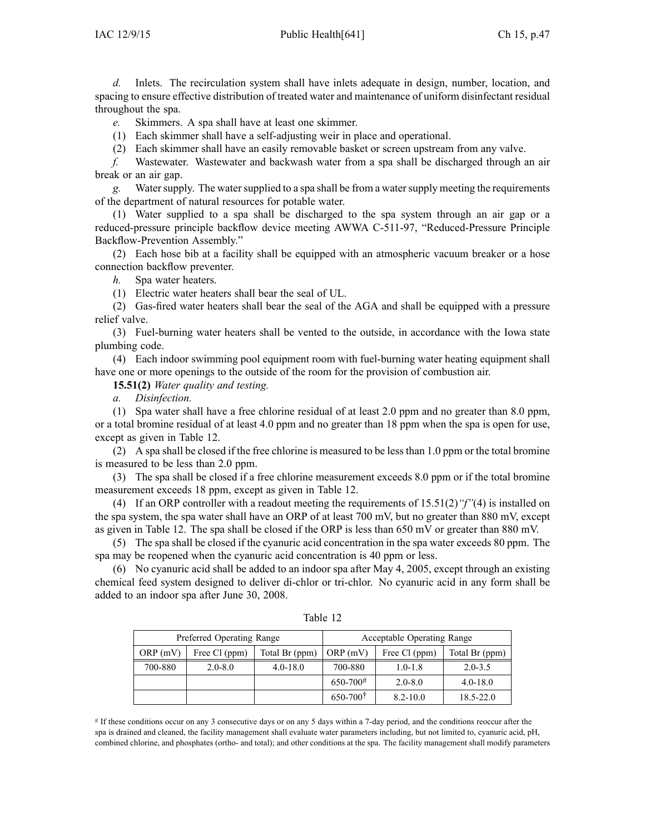*d.* Inlets. The recirculation system shall have inlets adequate in design, number, location, and spacing to ensure effective distribution of treated water and maintenance of uniform disinfectant residual throughout the spa.

*e.* Skimmers. A spa shall have at least one skimmer.

(1) Each skimmer shall have <sup>a</sup> self-adjusting weir in place and operational.

(2) Each skimmer shall have an easily removable basket or screen upstream from any valve.

*f.* Wastewater. Wastewater and backwash water from <sup>a</sup> spa shall be discharged through an air break or an air gap.

*g.* Watersupply. The watersupplied to <sup>a</sup> spa shall be from <sup>a</sup> watersupply meeting the requirements of the department of natural resources for potable water.

(1) Water supplied to <sup>a</sup> spa shall be discharged to the spa system through an air gap or <sup>a</sup> reduced-pressure principle backflow device meeting AWWA C-511-97, "Reduced-Pressure Principle Backflow-Prevention Assembly."

(2) Each hose bib at <sup>a</sup> facility shall be equipped with an atmospheric vacuum breaker or <sup>a</sup> hose connection backflow preventer.

*h.* Spa water heaters.

(1) Electric water heaters shall bear the seal of UL.

(2) Gas-fired water heaters shall bear the seal of the AGA and shall be equipped with <sup>a</sup> pressure relief valve.

(3) Fuel-burning water heaters shall be vented to the outside, in accordance with the Iowa state plumbing code.

(4) Each indoor swimming pool equipment room with fuel-burning water heating equipment shall have one or more openings to the outside of the room for the provision of combustion air.

**15.51(2)** *Water quality and testing.*

*a. Disinfection.*

(1) Spa water shall have <sup>a</sup> free chlorine residual of at least 2.0 ppm and no greater than 8.0 ppm, or <sup>a</sup> total bromine residual of at least 4.0 ppm and no greater than 18 ppm when the spa is open for use, excep<sup>t</sup> as given in Table 12.

(2) A spa shall be closed if the free chlorine is measured to be less than 1.0 ppm or the total bromine is measured to be less than 2.0 ppm.

(3) The spa shall be closed if <sup>a</sup> free chlorine measurement exceeds 8.0 ppm or if the total bromine measurement exceeds 18 ppm, excep<sup>t</sup> as given in Table 12.

(4) If an ORP controller with <sup>a</sup> readout meeting the requirements of 15.51(2)*"f"*(4) is installed on the spa system, the spa water shall have an ORP of at least 700 mV, but no greater than 880 mV, excep<sup>t</sup> as given in Table 12. The spa shall be closed if the ORP is less than 650 mV or greater than 880 mV.

(5) The spa shall be closed if the cyanuric acid concentration in the spa water exceeds 80 ppm. The spa may be reopened when the cyanuric acid concentration is 40 ppm or less.

(6) No cyanuric acid shall be added to an indoor spa after May 4, 2005, excep<sup>t</sup> through an existing chemical feed system designed to deliver di-chlor or tri-chlor. No cyanuric acid in any form shall be added to an indoor spa after June 30, 2008.

|         | Preferred Operating Range |                | Acceptable Operating Range |               |                |
|---------|---------------------------|----------------|----------------------------|---------------|----------------|
| ORP(mV) | Free Cl (ppm)             | Total Br (ppm) | ORP(mV)                    | Free Cl (ppm) | Total Br (ppm) |
| 700-880 | $2.0 - 8.0$               | $4.0 - 18.0$   | 700-880                    | $1.0 - 1.8$   | $2.0 - 3.5$    |
|         |                           |                | $650 - 700^{\#}$           | $2.0 - 8.0$   | $4.0 - 18.0$   |
|         |                           |                | $650 - 700^{\dagger}$      | $8.2 - 10.0$  | $18.5 - 22.0$  |

| г<br>۰.<br>г. |  |
|---------------|--|
|---------------|--|

# If these conditions occur on any 3 consecutive days or on any 5 days within <sup>a</sup> 7-day period, and the conditions reoccur after the spa is drained and cleaned, the facility managemen<sup>t</sup> shall evaluate water parameters including, but not limited to, cyanuric acid, pH, combined chlorine, and phosphates (ortho- and total); and other conditions at the spa. The facility managemen<sup>t</sup> shall modify parameters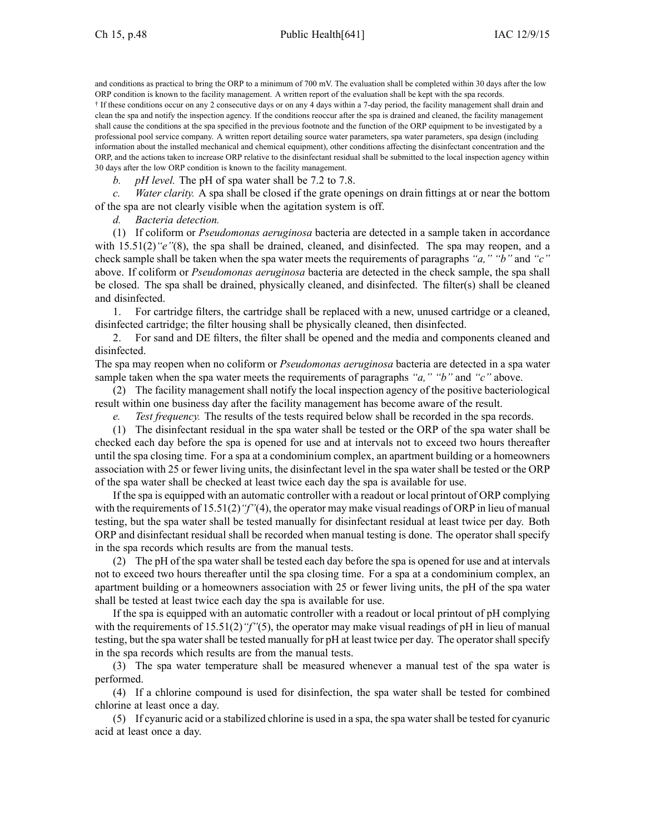and conditions as practical to bring the ORP to <sup>a</sup> minimum of 700 mV. The evaluation shall be completed within 30 days after the low ORP condition is known to the facility management. A written repor<sup>t</sup> of the evaluation shall be kept with the spa records.

† If these conditions occur on any 2 consecutive days or on any 4 days within <sup>a</sup> 7-day period, the facility managemen<sup>t</sup> shall drain and clean the spa and notify the inspection agency. If the conditions reoccur after the spa is drained and cleaned, the facility managemen<sup>t</sup> shall cause the conditions at the spa specified in the previous footnote and the function of the ORP equipment to be investigated by <sup>a</sup> professional pool service company. A written repor<sup>t</sup> detailing source water parameters, spa water parameters, spa design (including information about the installed mechanical and chemical equipment), other conditions affecting the disinfectant concentration and the ORP, and the actions taken to increase ORP relative to the disinfectant residual shall be submitted to the local inspection agency within 30 days after the low ORP condition is known to the facility management.

*b. pH level.* The pH of spa water shall be 7.2 to 7.8.

*c. Water clarity.* A spa shall be closed if the grate openings on drain fittings at or near the bottom of the spa are not clearly visible when the agitation system is off.

*d. Bacteria detection.*

(1) If coliform or *Pseudomonas aeruginosa* bacteria are detected in <sup>a</sup> sample taken in accordance with 15.51(2)<sup>*"e"*(8), the spa shall be drained, cleaned, and disinfected. The spa may reopen, and a</sup> check sample shall be taken when the spa water meets the requirements of paragraphs *"a," "b"* and *"c"* above. If coliform or *Pseudomonas aeruginosa* bacteria are detected in the check sample, the spa shall be closed. The spa shall be drained, physically cleaned, and disinfected. The filter(s) shall be cleaned and disinfected.

1. For cartridge filters, the cartridge shall be replaced with <sup>a</sup> new, unused cartridge or <sup>a</sup> cleaned, disinfected cartridge; the filter housing shall be physically cleaned, then disinfected.

2. For sand and DE filters, the filter shall be opened and the media and components cleaned and disinfected.

The spa may reopen when no coliform or *Pseudomonas aeruginosa* bacteria are detected in <sup>a</sup> spa water sample taken when the spa water meets the requirements of paragraphs *"a," "b"* and *"c"* above.

(2) The facility managemen<sup>t</sup> shall notify the local inspection agency of the positive bacteriological result within one business day after the facility managemen<sup>t</sup> has become aware of the result.

*e. Test frequency.* The results of the tests required below shall be recorded in the spa records.

(1) The disinfectant residual in the spa water shall be tested or the ORP of the spa water shall be checked each day before the spa is opened for use and at intervals not to exceed two hours thereafter until the spa closing time. For <sup>a</sup> spa at <sup>a</sup> condominium complex, an apartment building or <sup>a</sup> homeowners association with 25 or fewer living units, the disinfectant level in the spa water shall be tested or the ORP of the spa water shall be checked at least twice each day the spa is available for use.

If the spa is equipped with an automatic controller with <sup>a</sup> readout or local printout of ORP complying with the requirements of 15.51(2) "f"(4), the operator may make visual readings of ORP in lieu of manual testing, but the spa water shall be tested manually for disinfectant residual at least twice per day. Both ORP and disinfectant residual shall be recorded when manual testing is done. The operator shall specify in the spa records which results are from the manual tests.

(2) The pH of the spa water shall be tested each day before the spa is opened for use and at intervals not to exceed two hours thereafter until the spa closing time. For <sup>a</sup> spa at <sup>a</sup> condominium complex, an apartment building or <sup>a</sup> homeowners association with 25 or fewer living units, the pH of the spa water shall be tested at least twice each day the spa is available for use.

If the spa is equipped with an automatic controller with <sup>a</sup> readout or local printout of pH complying with the requirements of 15.51(2) "f"(5), the operator may make visual readings of pH in lieu of manual testing, but the spa water shall be tested manually for pH at least twice per day. The operator shall specify in the spa records which results are from the manual tests.

(3) The spa water temperature shall be measured whenever <sup>a</sup> manual test of the spa water is performed.

(4) If <sup>a</sup> chlorine compound is used for disinfection, the spa water shall be tested for combined chlorine at least once <sup>a</sup> day.

(5) If cyanuric acid or <sup>a</sup> stabilized chlorine is used in <sup>a</sup> spa, the spa watershall be tested for cyanuric acid at least once <sup>a</sup> day.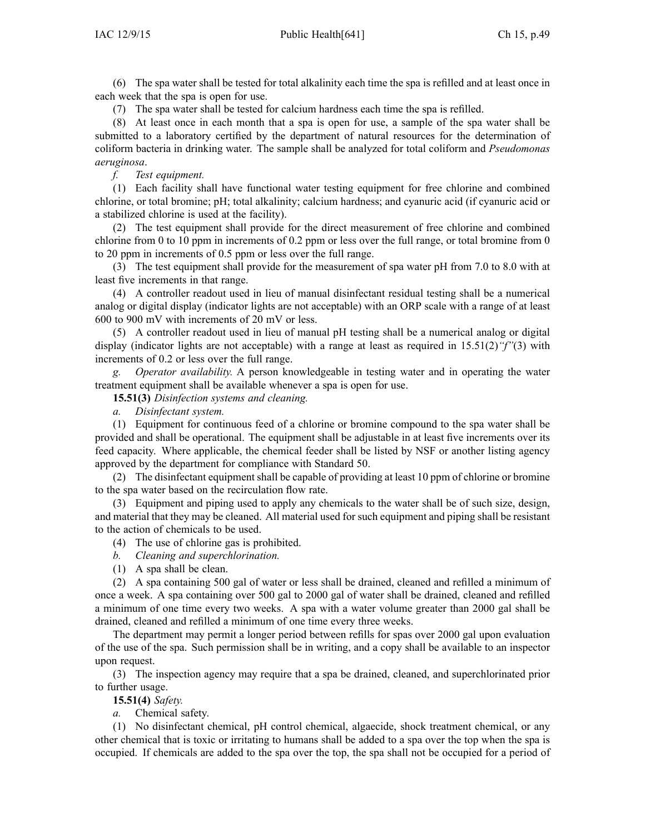(6) The spa water shall be tested for total alkalinity each time the spa is refilled and at least once in each week that the spa is open for use.

(7) The spa water shall be tested for calcium hardness each time the spa is refilled.

(8) At least once in each month that <sup>a</sup> spa is open for use, <sup>a</sup> sample of the spa water shall be submitted to <sup>a</sup> laboratory certified by the department of natural resources for the determination of coliform bacteria in drinking water. The sample shall be analyzed for total coliform and *Pseudomonas aeruginosa*.

*f. Test equipment.*

(1) Each facility shall have functional water testing equipment for free chlorine and combined chlorine, or total bromine; pH; total alkalinity; calcium hardness; and cyanuric acid (if cyanuric acid or <sup>a</sup> stabilized chlorine is used at the facility).

(2) The test equipment shall provide for the direct measurement of free chlorine and combined chlorine from 0 to 10 ppm in increments of 0.2 ppm or less over the full range, or total bromine from 0 to 20 ppm in increments of 0.5 ppm or less over the full range.

(3) The test equipment shall provide for the measurement of spa water pH from 7.0 to 8.0 with at least five increments in that range.

(4) A controller readout used in lieu of manual disinfectant residual testing shall be <sup>a</sup> numerical analog or digital display (indicator lights are not acceptable) with an ORP scale with <sup>a</sup> range of at least 600 to 900 mV with increments of 20 mV or less.

(5) A controller readout used in lieu of manual pH testing shall be <sup>a</sup> numerical analog or digital display (indicator lights are not acceptable) with <sup>a</sup> range at least as required in 15.51(2)*"f"*(3) with increments of 0.2 or less over the full range.

*g. Operator availability.* A person knowledgeable in testing water and in operating the water treatment equipment shall be available whenever <sup>a</sup> spa is open for use.

**15.51(3)** *Disinfection systems and cleaning.*

*a. Disinfectant system.*

(1) Equipment for continuous feed of <sup>a</sup> chlorine or bromine compound to the spa water shall be provided and shall be operational. The equipment shall be adjustable in at least five increments over its feed capacity. Where applicable, the chemical feeder shall be listed by NSF or another listing agency approved by the department for compliance with Standard 50.

(2) The disinfectant equipment shall be capable of providing at least 10 ppm of chlorine or bromine to the spa water based on the recirculation flow rate.

(3) Equipment and piping used to apply any chemicals to the water shall be of such size, design, and material that they may be cleaned. All material used for such equipment and piping shall be resistant to the action of chemicals to be used.

- (4) The use of chlorine gas is prohibited.
- *b. Cleaning and superchlorination.*
- (1) A spa shall be clean.

(2) A spa containing 500 gal of water or less shall be drained, cleaned and refilled <sup>a</sup> minimum of once <sup>a</sup> week. A spa containing over 500 gal to 2000 gal of water shall be drained, cleaned and refilled <sup>a</sup> minimum of one time every two weeks. A spa with <sup>a</sup> water volume greater than 2000 gal shall be drained, cleaned and refilled <sup>a</sup> minimum of one time every three weeks.

The department may permit <sup>a</sup> longer period between refills for spas over 2000 gal upon evaluation of the use of the spa. Such permission shall be in writing, and <sup>a</sup> copy shall be available to an inspector upon request.

(3) The inspection agency may require that <sup>a</sup> spa be drained, cleaned, and superchlorinated prior to further usage.

**15.51(4)** *Safety.*

*a.* Chemical safety.

(1) No disinfectant chemical, pH control chemical, algaecide, shock treatment chemical, or any other chemical that is toxic or irritating to humans shall be added to <sup>a</sup> spa over the top when the spa is occupied. If chemicals are added to the spa over the top, the spa shall not be occupied for <sup>a</sup> period of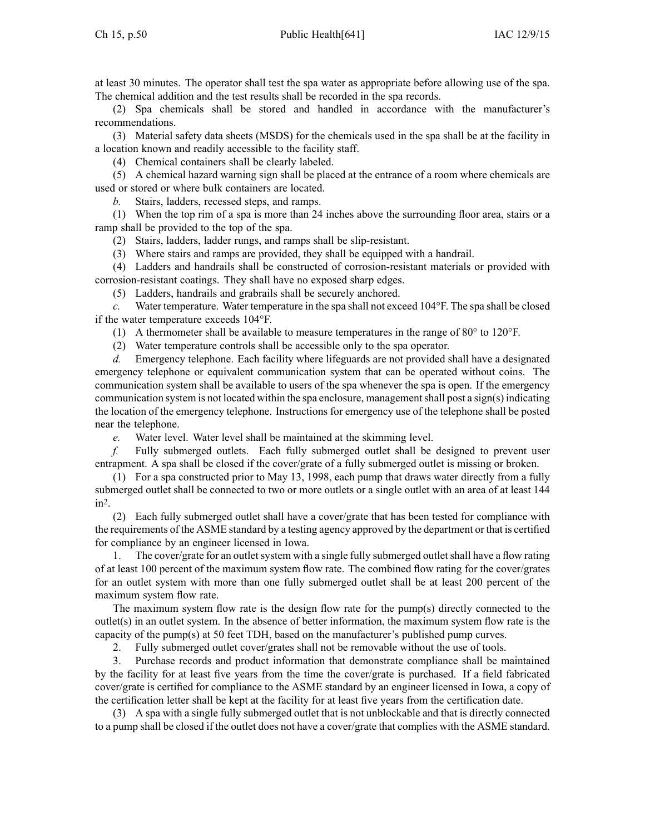at least 30 minutes. The operator shall test the spa water as appropriate before allowing use of the spa. The chemical addition and the test results shall be recorded in the spa records.

(2) Spa chemicals shall be stored and handled in accordance with the manufacturer's recommendations.

(3) Material safety data sheets (MSDS) for the chemicals used in the spa shall be at the facility in <sup>a</sup> location known and readily accessible to the facility staff.

(4) Chemical containers shall be clearly labeled.

(5) A chemical hazard warning sign shall be placed at the entrance of <sup>a</sup> room where chemicals are used or stored or where bulk containers are located.

*b.* Stairs, ladders, recessed steps, and ramps.

(1) When the top rim of <sup>a</sup> spa is more than 24 inches above the surrounding floor area, stairs or <sup>a</sup> ramp shall be provided to the top of the spa.

(2) Stairs, ladders, ladder rungs, and ramps shall be slip-resistant.

(3) Where stairs and ramps are provided, they shall be equipped with <sup>a</sup> handrail.

(4) Ladders and handrails shall be constructed of corrosion-resistant materials or provided with corrosion-resistant coatings. They shall have no exposed sharp edges.

(5) Ladders, handrails and grabrails shall be securely anchored.

*c.* Water temperature. Water temperature in the spa shall not exceed 104°F. The spa shall be closed if the water temperature exceeds 104°F.

(1) A thermometer shall be available to measure temperatures in the range of 80° to 120°F.

(2) Water temperature controls shall be accessible only to the spa operator.

*d.* Emergency telephone. Each facility where lifeguards are not provided shall have <sup>a</sup> designated emergency telephone or equivalent communication system that can be operated without coins. The communication system shall be available to users of the spa whenever the spa is open. If the emergency communication system is not located within the spa enclosure, management shall post a sign(s) indicating the location of the emergency telephone. Instructions for emergency use of the telephone shall be posted near the telephone.

*e.* Water level. Water level shall be maintained at the skimming level.

*f.* Fully submerged outlets. Each fully submerged outlet shall be designed to preven<sup>t</sup> user entrapment. A spa shall be closed if the cover/grate of <sup>a</sup> fully submerged outlet is missing or broken.

(1) For <sup>a</sup> spa constructed prior to May 13, 1998, each pump that draws water directly from <sup>a</sup> fully submerged outlet shall be connected to two or more outlets or <sup>a</sup> single outlet with an area of at least 144 in<sup>2</sup> .

(2) Each fully submerged outlet shall have <sup>a</sup> cover/grate that has been tested for compliance with the requirements of the ASME standard by <sup>a</sup> testing agency approved by the department or that is certified for compliance by an engineer licensed in Iowa.

1. The cover/grate for an outlet system with a single fully submerged outlet shall have a flow rating of at least 100 percen<sup>t</sup> of the maximum system flow rate. The combined flow rating for the cover/grates for an outlet system with more than one fully submerged outlet shall be at least 200 percen<sup>t</sup> of the maximum system flow rate.

The maximum system flow rate is the design flow rate for the pump(s) directly connected to the outlet(s) in an outlet system. In the absence of better information, the maximum system flow rate is the capacity of the pump(s) at 50 feet TDH, based on the manufacturer's published pump curves.

2. Fully submerged outlet cover/grates shall not be removable without the use of tools.

3. Purchase records and product information that demonstrate compliance shall be maintained by the facility for at least five years from the time the cover/grate is purchased. If <sup>a</sup> field fabricated cover/grate is certified for compliance to the ASME standard by an engineer licensed in Iowa, <sup>a</sup> copy of the certification letter shall be kept at the facility for at least five years from the certification date.

(3) A spa with <sup>a</sup> single fully submerged outlet that is not unblockable and that is directly connected to <sup>a</sup> pump shall be closed if the outlet does not have <sup>a</sup> cover/grate that complies with the ASME standard.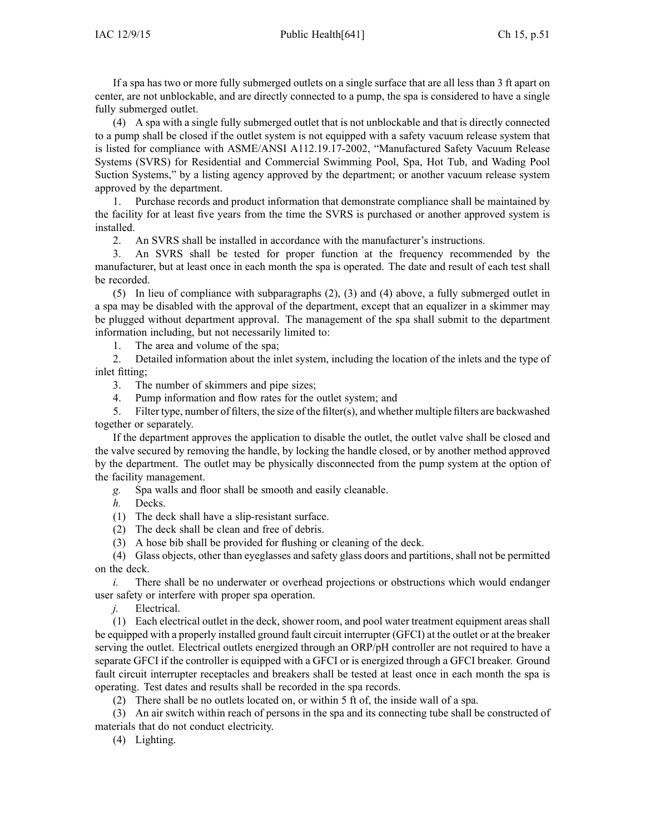If <sup>a</sup> spa has two or more fully submerged outlets on <sup>a</sup> single surface that are all less than 3 ft apar<sup>t</sup> on center, are not unblockable, and are directly connected to <sup>a</sup> pump, the spa is considered to have <sup>a</sup> single fully submerged outlet.

(4) A spa with <sup>a</sup> single fully submerged outlet that is not unblockable and that is directly connected to <sup>a</sup> pump shall be closed if the outlet system is not equipped with <sup>a</sup> safety vacuum release system that is listed for compliance with ASME/ANSI A112.19.17-2002, "Manufactured Safety Vacuum Release Systems (SVRS) for Residential and Commercial Swimming Pool, Spa, Hot Tub, and Wading Pool Suction Systems," by <sup>a</sup> listing agency approved by the department; or another vacuum release system approved by the department.

1. Purchase records and product information that demonstrate compliance shall be maintained by the facility for at least five years from the time the SVRS is purchased or another approved system is installed.

2. An SVRS shall be installed in accordance with the manufacturer's instructions.

3. An SVRS shall be tested for proper function at the frequency recommended by the manufacturer, but at least once in each month the spa is operated. The date and result of each test shall be recorded.

(5) In lieu of compliance with subparagraphs (2), (3) and (4) above, <sup>a</sup> fully submerged outlet in <sup>a</sup> spa may be disabled with the approval of the department, excep<sup>t</sup> that an equalizer in <sup>a</sup> skimmer may be plugged without department approval. The managemen<sup>t</sup> of the spa shall submit to the department information including, but not necessarily limited to:

1. The area and volume of the spa;

2. Detailed information about the inlet system, including the location of the inlets and the type of inlet fitting;

3. The number of skimmers and pipe sizes;

4. Pump information and flow rates for the outlet system; and

5. Filter type, number of filters, the size of the filter(s), and whether multiple filters are backwashed together or separately.

If the department approves the application to disable the outlet, the outlet valve shall be closed and the valve secured by removing the handle, by locking the handle closed, or by another method approved by the department. The outlet may be physically disconnected from the pump system at the option of the facility management.

*g.* Spa walls and floor shall be smooth and easily cleanable.

*h.* Decks.

- (1) The deck shall have <sup>a</sup> slip-resistant surface.
- (2) The deck shall be clean and free of debris.

(3) A hose bib shall be provided for flushing or cleaning of the deck.

(4) Glass objects, other than eyeglasses and safety glass doors and partitions, shall not be permitted on the deck.

*i.* There shall be no underwater or overhead projections or obstructions which would endanger user safety or interfere with proper spa operation.

*j.* Electrical.

(1) Each electrical outlet in the deck, shower room, and pool water treatment equipment areas shall be equipped with <sup>a</sup> properly installed ground fault circuit interrupter (GFCI) at the outlet or at the breaker serving the outlet. Electrical outlets energized through an ORP/pH controller are not required to have <sup>a</sup> separate GFCI if the controller is equipped with <sup>a</sup> GFCI or is energized through <sup>a</sup> GFCI breaker. Ground fault circuit interrupter receptacles and breakers shall be tested at least once in each month the spa is operating. Test dates and results shall be recorded in the spa records.

(2) There shall be no outlets located on, or within 5 ft of, the inside wall of <sup>a</sup> spa.

(3) An air switch within reach of persons in the spa and its connecting tube shall be constructed of materials that do not conduct electricity.

(4) Lighting.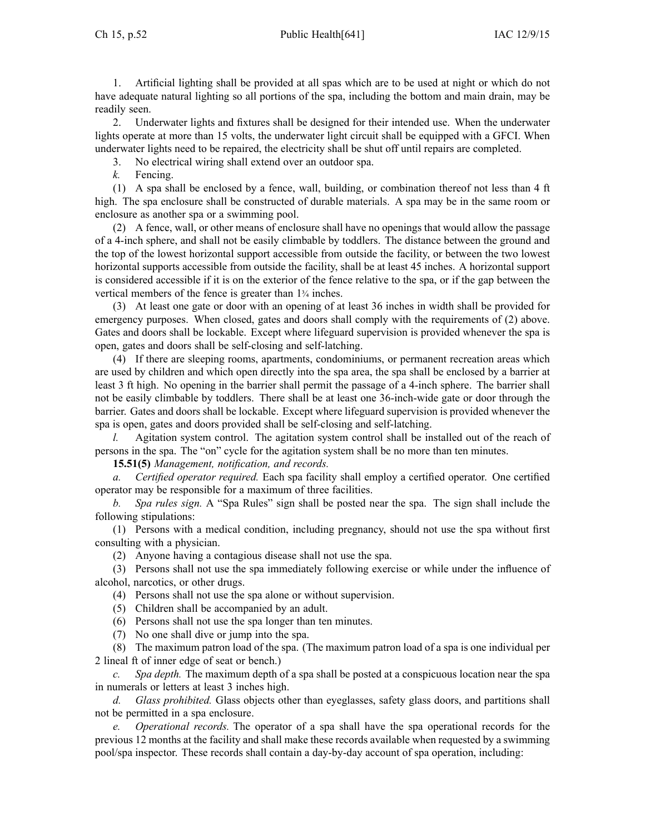1. Artificial lighting shall be provided at all spas which are to be used at night or which do not have adequate natural lighting so all portions of the spa, including the bottom and main drain, may be readily seen.

2. Underwater lights and fixtures shall be designed for their intended use. When the underwater lights operate at more than 15 volts, the underwater light circuit shall be equipped with <sup>a</sup> GFCI. When underwater lights need to be repaired, the electricity shall be shut off until repairs are completed.

3. No electrical wiring shall extend over an outdoor spa.

*k.* Fencing.

(1) A spa shall be enclosed by <sup>a</sup> fence, wall, building, or combination thereof not less than 4 ft high. The spa enclosure shall be constructed of durable materials. A spa may be in the same room or enclosure as another spa or <sup>a</sup> swimming pool.

(2) A fence, wall, or other means of enclosure shall have no openings that would allow the passage of <sup>a</sup> 4-inch sphere, and shall not be easily climbable by toddlers. The distance between the ground and the top of the lowest horizontal suppor<sup>t</sup> accessible from outside the facility, or between the two lowest horizontal supports accessible from outside the facility, shall be at least 45 inches. A horizontal suppor<sup>t</sup> is considered accessible if it is on the exterior of the fence relative to the spa, or if the gap between the vertical members of the fence is greater than 1<sup>¾</sup> inches.

(3) At least one gate or door with an opening of at least 36 inches in width shall be provided for emergency purposes. When closed, gates and doors shall comply with the requirements of (2) above. Gates and doors shall be lockable. Except where lifeguard supervision is provided whenever the spa is open, gates and doors shall be self-closing and self-latching.

(4) If there are sleeping rooms, apartments, condominiums, or permanen<sup>t</sup> recreation areas which are used by children and which open directly into the spa area, the spa shall be enclosed by <sup>a</sup> barrier at least 3 ft high. No opening in the barrier shall permit the passage of <sup>a</sup> 4-inch sphere. The barrier shall not be easily climbable by toddlers. There shall be at least one 36-inch-wide gate or door through the barrier. Gates and doors shall be lockable. Except where lifeguard supervision is provided whenever the spa is open, gates and doors provided shall be self-closing and self-latching.

*l.* Agitation system control. The agitation system control shall be installed out of the reach of persons in the spa. The "on" cycle for the agitation system shall be no more than ten minutes.

**15.51(5)** *Management, notification, and records.*

*a. Certified operator required.* Each spa facility shall employ <sup>a</sup> certified operator. One certified operator may be responsible for <sup>a</sup> maximum of three facilities.

*b. Spa rules sign.* A "Spa Rules" sign shall be posted near the spa. The sign shall include the following stipulations:

(1) Persons with <sup>a</sup> medical condition, including pregnancy, should not use the spa without first consulting with <sup>a</sup> physician.

(2) Anyone having <sup>a</sup> contagious disease shall not use the spa.

(3) Persons shall not use the spa immediately following exercise or while under the influence of alcohol, narcotics, or other drugs.

(4) Persons shall not use the spa alone or without supervision.

- (5) Children shall be accompanied by an adult.
- (6) Persons shall not use the spa longer than ten minutes.
- (7) No one shall dive or jump into the spa.

(8) The maximum patron load of the spa. (The maximum patron load of <sup>a</sup> spa is one individual per 2 lineal ft of inner edge of seat or bench.)

*c. Spa depth.* The maximum depth of <sup>a</sup> spa shall be posted at <sup>a</sup> conspicuous location near the spa in numerals or letters at least 3 inches high.

*d. Glass prohibited.* Glass objects other than eyeglasses, safety glass doors, and partitions shall not be permitted in <sup>a</sup> spa enclosure.

*e. Operational records.* The operator of <sup>a</sup> spa shall have the spa operational records for the previous 12 months at the facility and shall make these records available when requested by <sup>a</sup> swimming pool/spa inspector. These records shall contain <sup>a</sup> day-by-day account of spa operation, including: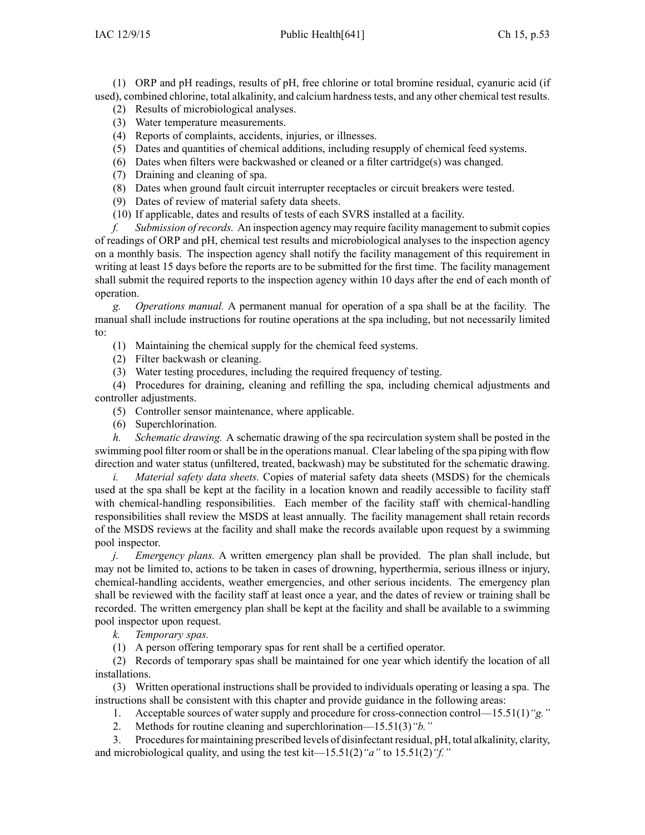(1) ORP and pH readings, results of pH, free chlorine or total bromine residual, cyanuric acid (if used), combined chlorine, total alkalinity, and calcium hardnesstests, and any other chemical test results.

- (2) Results of microbiological analyses.
- (3) Water temperature measurements.
- (4) Reports of complaints, accidents, injuries, or illnesses.
- (5) Dates and quantities of chemical additions, including resupply of chemical feed systems.
- (6) Dates when filters were backwashed or cleaned or <sup>a</sup> filter cartridge(s) was changed.
- (7) Draining and cleaning of spa.
- (8) Dates when ground fault circuit interrupter receptacles or circuit breakers were tested.
- (9) Dates of review of material safety data sheets.
- (10) If applicable, dates and results of tests of each SVRS installed at <sup>a</sup> facility.

*f. Submission ofrecords.* An inspection agency may require facility managemen<sup>t</sup> to submit copies of readings of ORP and pH, chemical test results and microbiological analyses to the inspection agency on <sup>a</sup> monthly basis. The inspection agency shall notify the facility managemen<sup>t</sup> of this requirement in writing at least 15 days before the reports are to be submitted for the first time. The facility managemen<sup>t</sup> shall submit the required reports to the inspection agency within 10 days after the end of each month of operation.

*g. Operations manual.* A permanen<sup>t</sup> manual for operation of <sup>a</sup> spa shall be at the facility. The manual shall include instructions for routine operations at the spa including, but not necessarily limited to:

- (1) Maintaining the chemical supply for the chemical feed systems.
- (2) Filter backwash or cleaning.
- (3) Water testing procedures, including the required frequency of testing.

(4) Procedures for draining, cleaning and refilling the spa, including chemical adjustments and controller adjustments.

- (5) Controller sensor maintenance, where applicable.
- (6) Superchlorination.

*h. Schematic drawing.* A schematic drawing of the spa recirculation system shall be posted in the swimming pool filter room orshall be in the operations manual. Clear labeling of the spa piping with flow direction and water status (unfiltered, treated, backwash) may be substituted for the schematic drawing.

*i. Material safety data sheets.* Copies of material safety data sheets (MSDS) for the chemicals used at the spa shall be kept at the facility in <sup>a</sup> location known and readily accessible to facility staff with chemical-handling responsibilities. Each member of the facility staff with chemical-handling responsibilities shall review the MSDS at least annually. The facility managemen<sup>t</sup> shall retain records of the MSDS reviews at the facility and shall make the records available upon reques<sup>t</sup> by <sup>a</sup> swimming pool inspector.

*j. Emergency plans.* A written emergency plan shall be provided. The plan shall include, but may not be limited to, actions to be taken in cases of drowning, hyperthermia, serious illness or injury, chemical-handling accidents, weather emergencies, and other serious incidents. The emergency plan shall be reviewed with the facility staff at least once <sup>a</sup> year, and the dates of review or training shall be recorded. The written emergency plan shall be kept at the facility and shall be available to <sup>a</sup> swimming pool inspector upon request.

*k. Temporary spas.*

(1) A person offering temporary spas for rent shall be <sup>a</sup> certified operator.

(2) Records of temporary spas shall be maintained for one year which identify the location of all installations.

(3) Written operational instructions shall be provided to individuals operating or leasing <sup>a</sup> spa. The instructions shall be consistent with this chapter and provide guidance in the following areas:

- 1. Acceptable sources of water supply and procedure for cross-connection control—15.51(1)*"g."*
- 2. Methods for routine cleaning and superchlorination—15.51(3)*"b."*

3. Proceduresfor maintaining prescribed levels of disinfectant residual, pH, total alkalinity, clarity, and microbiological quality, and using the test kit—15.51(2)*"a"* to 15.51(2)*"f."*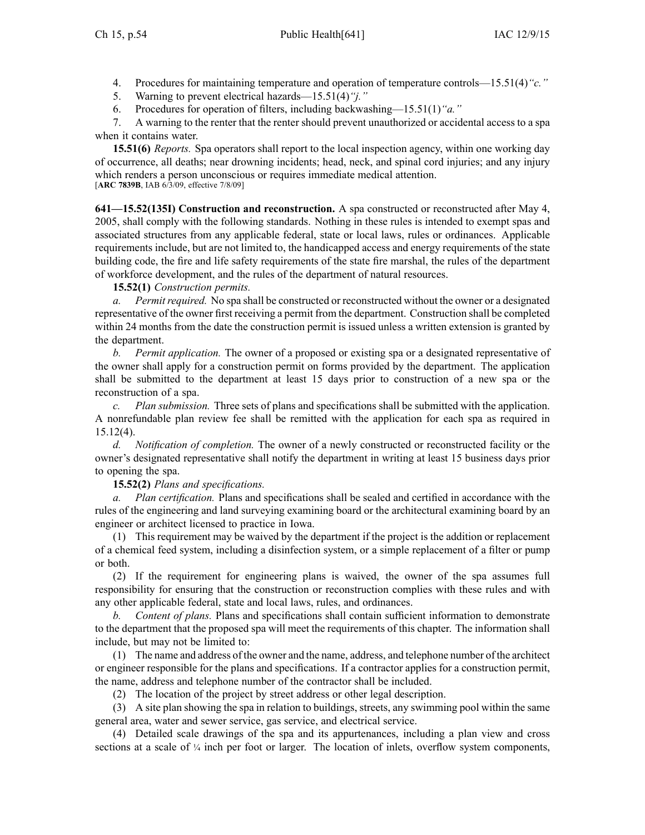- 4. Procedures for maintaining temperature and operation of temperature controls—15.51(4)*"c."*
- 5. Warning to preven<sup>t</sup> electrical hazards—15.51(4)*"j."*
- 6. Procedures for operation of filters, including backwashing—15.51(1)*"a."*

7. A warning to the renter that the renter should preven<sup>t</sup> unauthorized or accidental access to <sup>a</sup> spa when it contains water.

**15.51(6)** *Reports.* Spa operators shall repor<sup>t</sup> to the local inspection agency, within one working day of occurrence, all deaths; near drowning incidents; head, neck, and spinal cord injuries; and any injury which renders <sup>a</sup> person unconscious or requires immediate medical attention. [**ARC 7839B**, IAB 6/3/09, effective 7/8/09]

**641—15.52(135I) Construction and reconstruction.** A spa constructed or reconstructed after May 4, 2005, shall comply with the following standards. Nothing in these rules is intended to exemp<sup>t</sup> spas and associated structures from any applicable federal, state or local laws, rules or ordinances. Applicable requirements include, but are not limited to, the handicapped access and energy requirements of the state building code, the fire and life safety requirements of the state fire marshal, the rules of the department of workforce development, and the rules of the department of natural resources.

## **15.52(1)** *Construction permits.*

*a. Permitrequired.* No spa shall be constructed or reconstructed without the owner or <sup>a</sup> designated representative of the owner first receiving <sup>a</sup> permit from the department. Construction shall be completed within 24 months from the date the construction permit is issued unless a written extension is granted by the department.

*b. Permit application.* The owner of <sup>a</sup> proposed or existing spa or <sup>a</sup> designated representative of the owner shall apply for <sup>a</sup> construction permit on forms provided by the department. The application shall be submitted to the department at least 15 days prior to construction of <sup>a</sup> new spa or the reconstruction of <sup>a</sup> spa.

*c. Plan submission.* Three sets of plans and specifications shall be submitted with the application. A nonrefundable plan review fee shall be remitted with the application for each spa as required in 15.12(4).

*d. Notification of completion.* The owner of <sup>a</sup> newly constructed or reconstructed facility or the owner's designated representative shall notify the department in writing at least 15 business days prior to opening the spa.

**15.52(2)** *Plans and specifications.*

*Plan certification.* Plans and specifications shall be sealed and certified in accordance with the rules of the engineering and land surveying examining board or the architectural examining board by an engineer or architect licensed to practice in Iowa.

(1) This requirement may be waived by the department if the project is the addition or replacement of <sup>a</sup> chemical feed system, including <sup>a</sup> disinfection system, or <sup>a</sup> simple replacement of <sup>a</sup> filter or pump or both.

(2) If the requirement for engineering plans is waived, the owner of the spa assumes full responsibility for ensuring that the construction or reconstruction complies with these rules and with any other applicable federal, state and local laws, rules, and ordinances.

*b. Content of plans.* Plans and specifications shall contain sufficient information to demonstrate to the department that the proposed spa will meet the requirements of this chapter. The information shall include, but may not be limited to:

(1) The name and address of the owner and the name, address, and telephone number of the architect or engineer responsible for the plans and specifications. If <sup>a</sup> contractor applies for <sup>a</sup> construction permit, the name, address and telephone number of the contractor shall be included.

(2) The location of the project by street address or other legal description.

(3) A site plan showing the spa in relation to buildings, streets, any swimming pool within the same general area, water and sewer service, gas service, and electrical service.

(4) Detailed scale drawings of the spa and its appurtenances, including <sup>a</sup> plan view and cross sections at <sup>a</sup> scale of <sup>¼</sup> inch per foot or larger. The location of inlets, overflow system components,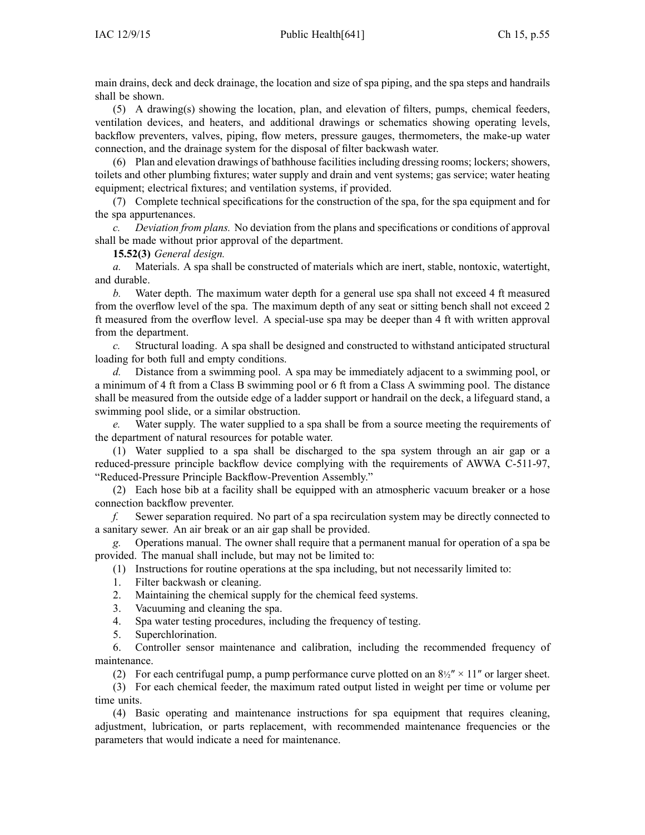main drains, deck and deck drainage, the location and size of spa piping, and the spa steps and handrails shall be shown.

(5) A drawing(s) showing the location, plan, and elevation of filters, pumps, chemical feeders, ventilation devices, and heaters, and additional drawings or schematics showing operating levels, backflow preventers, valves, piping, flow meters, pressure gauges, thermometers, the make-up water connection, and the drainage system for the disposal of filter backwash water.

(6) Plan and elevation drawings of bathhouse facilitiesincluding dressing rooms; lockers; showers, toilets and other plumbing fixtures; water supply and drain and vent systems; gas service; water heating equipment; electrical fixtures; and ventilation systems, if provided.

(7) Complete technical specifications for the construction of the spa, for the spa equipment and for the spa appurtenances.

*c. Deviation from plans.* No deviation from the plans and specifications or conditions of approval shall be made without prior approval of the department.

**15.52(3)** *General design.*

*a.* Materials. A spa shall be constructed of materials which are inert, stable, nontoxic, watertight, and durable.

*b.* Water depth. The maximum water depth for <sup>a</sup> general use spa shall not exceed 4 ft measured from the overflow level of the spa. The maximum depth of any seat or sitting bench shall not exceed 2 ft measured from the overflow level. A special-use spa may be deeper than 4 ft with written approval from the department.

*c.* Structural loading. A spa shall be designed and constructed to withstand anticipated structural loading for both full and empty conditions.

*d.* Distance from <sup>a</sup> swimming pool. A spa may be immediately adjacent to <sup>a</sup> swimming pool, or <sup>a</sup> minimum of 4 ft from <sup>a</sup> Class B swimming pool or 6 ft from <sup>a</sup> Class A swimming pool. The distance shall be measured from the outside edge of <sup>a</sup> ladder suppor<sup>t</sup> or handrail on the deck, <sup>a</sup> lifeguard stand, <sup>a</sup> swimming pool slide, or <sup>a</sup> similar obstruction.

*e.* Water supply. The water supplied to <sup>a</sup> spa shall be from <sup>a</sup> source meeting the requirements of the department of natural resources for potable water.

(1) Water supplied to <sup>a</sup> spa shall be discharged to the spa system through an air gap or <sup>a</sup> reduced-pressure principle backflow device complying with the requirements of AWWA C-511-97, "Reduced-Pressure Principle Backflow-Prevention Assembly."

(2) Each hose bib at <sup>a</sup> facility shall be equipped with an atmospheric vacuum breaker or <sup>a</sup> hose connection backflow preventer.

*f.* Sewer separation required. No par<sup>t</sup> of <sup>a</sup> spa recirculation system may be directly connected to <sup>a</sup> sanitary sewer. An air break or an air gap shall be provided.

*g.* Operations manual. The owner shall require that <sup>a</sup> permanen<sup>t</sup> manual for operation of <sup>a</sup> spa be provided. The manual shall include, but may not be limited to:

(1) Instructions for routine operations at the spa including, but not necessarily limited to:

- 1. Filter backwash or cleaning.
- 2. Maintaining the chemical supply for the chemical feed systems.
- 3. Vacuuming and cleaning the spa.
- 4. Spa water testing procedures, including the frequency of testing.
- 5. Superchlorination.

6. Controller sensor maintenance and calibration, including the recommended frequency of maintenance.

(2) For each centrifugal pump, a pump performance curve plotted on an  $8\frac{1}{2}$   $\times$  11" or larger sheet.

(3) For each chemical feeder, the maximum rated output listed in weight per time or volume per time units.

(4) Basic operating and maintenance instructions for spa equipment that requires cleaning, adjustment, lubrication, or parts replacement, with recommended maintenance frequencies or the parameters that would indicate <sup>a</sup> need for maintenance.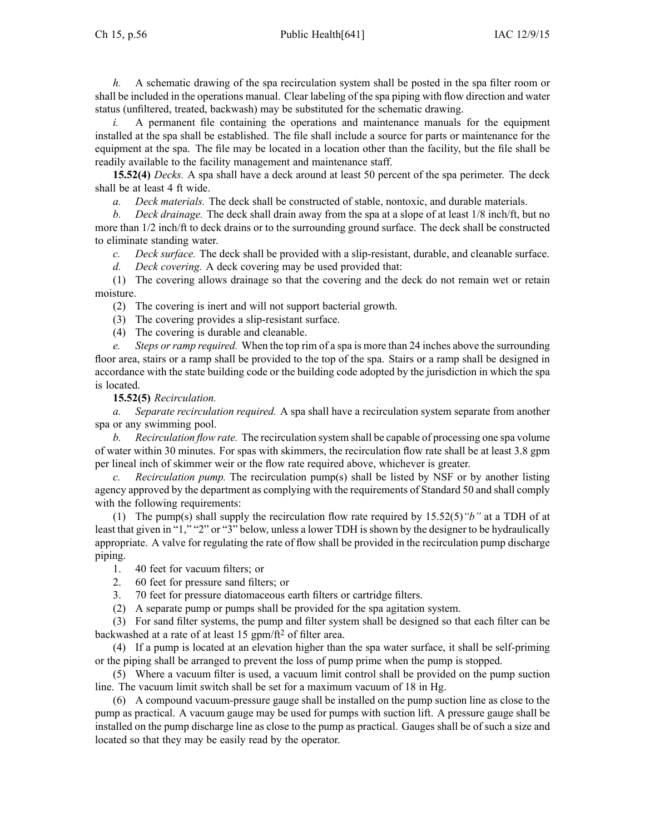*h.* A schematic drawing of the spa recirculation system shall be posted in the spa filter room or shall be included in the operations manual. Clear labeling of the spa piping with flow direction and water status (unfiltered, treated, backwash) may be substituted for the schematic drawing.

*i.* A permanent file containing the operations and maintenance manuals for the equipment installed at the spa shall be established. The file shall include <sup>a</sup> source for parts or maintenance for the equipment at the spa. The file may be located in <sup>a</sup> location other than the facility, but the file shall be readily available to the facility managemen<sup>t</sup> and maintenance staff.

**15.52(4)** *Decks.* A spa shall have <sup>a</sup> deck around at least 50 percen<sup>t</sup> of the spa perimeter. The deck shall be at least 4 ft wide.

*a. Deck materials.* The deck shall be constructed of stable, nontoxic, and durable materials.

*b. Deck drainage.* The deck shall drain away from the spa at <sup>a</sup> slope of at least 1/8 inch/ft, but no more than 1/2 inch/ft to deck drains or to the surrounding ground surface. The deck shall be constructed to eliminate standing water.

*c. Deck surface.* The deck shall be provided with <sup>a</sup> slip-resistant, durable, and cleanable surface.

*d. Deck covering.* A deck covering may be used provided that:

(1) The covering allows drainage so that the covering and the deck do not remain wet or retain moisture.

(2) The covering is inert and will not suppor<sup>t</sup> bacterial growth.

(3) The covering provides <sup>a</sup> slip-resistant surface.

(4) The covering is durable and cleanable.

*e. Steps orramp required.* When the top rim of <sup>a</sup> spa is more than 24 inches above the surrounding floor area, stairs or <sup>a</sup> ramp shall be provided to the top of the spa. Stairs or <sup>a</sup> ramp shall be designed in accordance with the state building code or the building code adopted by the jurisdiction in which the spa is located.

**15.52(5)** *Recirculation.*

*a. Separate recirculation required.* A spa shall have <sup>a</sup> recirculation system separate from another spa or any swimming pool.

*b. Recirculation flow rate.* The recirculation system shall be capable of processing one spa volume of water within 30 minutes. For spas with skimmers, the recirculation flow rate shall be at least 3.8 gpm per lineal inch of skimmer weir or the flow rate required above, whichever is greater.

*c. Recirculation pump.* The recirculation pump(s) shall be listed by NSF or by another listing agency approved by the department as complying with the requirements of Standard 50 and shall comply with the following requirements:

(1) The pump(s) shall supply the recirculation flow rate required by 15.52(5)*"b"* at <sup>a</sup> TDH of at least that given in "1," "2" or "3" below, unless <sup>a</sup> lower TDH is shown by the designer to be hydraulically appropriate. A valve for regulating the rate of flow shall be provided in the recirculation pump discharge piping.

1. 40 feet for vacuum filters; or

2. 60 feet for pressure sand filters; or

3. 70 feet for pressure diatomaceous earth filters or cartridge filters.

(2) A separate pump or pumps shall be provided for the spa agitation system.

(3) For sand filter systems, the pump and filter system shall be designed so that each filter can be backwashed at <sup>a</sup> rate of at least 15 gpm/ft<sup>2</sup> of filter area.

(4) If <sup>a</sup> pump is located at an elevation higher than the spa water surface, it shall be self-priming or the piping shall be arranged to preven<sup>t</sup> the loss of pump prime when the pump is stopped.

(5) Where <sup>a</sup> vacuum filter is used, <sup>a</sup> vacuum limit control shall be provided on the pump suction line. The vacuum limit switch shall be set for <sup>a</sup> maximum vacuum of 18 in Hg.

(6) A compound vacuum-pressure gauge shall be installed on the pump suction line as close to the pump as practical. A vacuum gauge may be used for pumps with suction lift. A pressure gauge shall be installed on the pump discharge line as close to the pump as practical. Gauges shall be of such <sup>a</sup> size and located so that they may be easily read by the operator.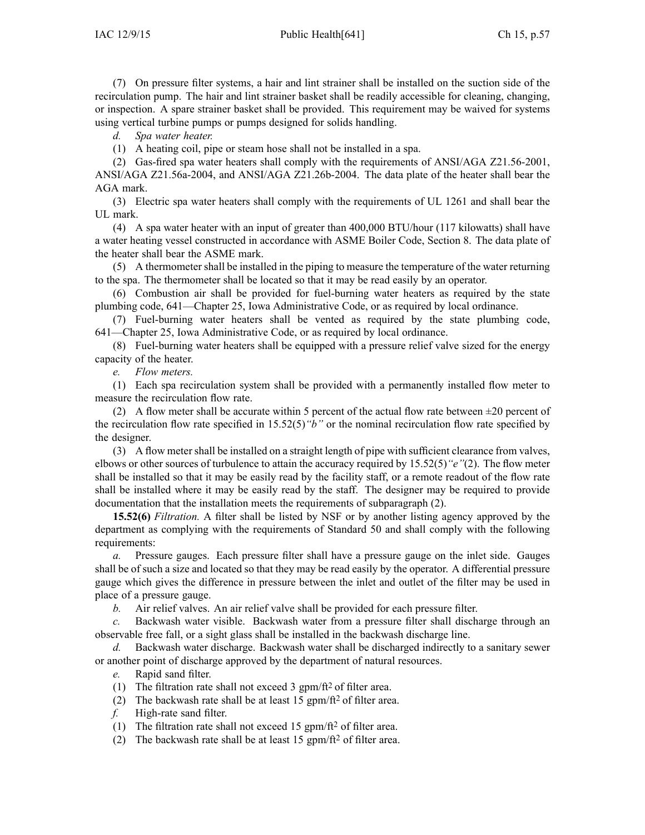(7) On pressure filter systems, <sup>a</sup> hair and lint strainer shall be installed on the suction side of the recirculation pump. The hair and lint strainer basket shall be readily accessible for cleaning, changing, or inspection. A spare strainer basket shall be provided. This requirement may be waived for systems using vertical turbine pumps or pumps designed for solids handling.

*d. Spa water heater.*

(1) A heating coil, pipe or steam hose shall not be installed in <sup>a</sup> spa.

(2) Gas-fired spa water heaters shall comply with the requirements of ANSI/AGA Z21.56-2001,

ANSI/AGA Z21.56a-2004, and ANSI/AGA Z21.26b-2004. The data plate of the heater shall bear the AGA mark.

(3) Electric spa water heaters shall comply with the requirements of UL 1261 and shall bear the UL mark.

(4) A spa water heater with an input of greater than 400,000 BTU/hour (117 kilowatts) shall have <sup>a</sup> water heating vessel constructed in accordance with ASME Boiler Code, Section 8. The data plate of the heater shall bear the ASME mark.

(5) A thermometer shall be installed in the piping to measure the temperature of the water returning to the spa. The thermometer shall be located so that it may be read easily by an operator.

(6) Combustion air shall be provided for fuel-burning water heaters as required by the state plumbing code, 641—Chapter 25, Iowa Administrative Code, or as required by local ordinance.

(7) Fuel-burning water heaters shall be vented as required by the state plumbing code, 641—Chapter 25, Iowa Administrative Code, or as required by local ordinance.

(8) Fuel-burning water heaters shall be equipped with <sup>a</sup> pressure relief valve sized for the energy capacity of the heater.

*e. Flow meters.*

(1) Each spa recirculation system shall be provided with <sup>a</sup> permanently installed flow meter to measure the recirculation flow rate.

(2) A flow meter shall be accurate within 5 percent of the actual flow rate between  $\pm 20$  percent of the recirculation flow rate specified in 15.52(5)*"b"* or the nominal recirculation flow rate specified by the designer.

(3) A flow meter shall be installed on <sup>a</sup> straight length of pipe with sufficient clearance from valves, elbows or other sources of turbulence to attain the accuracy required by 15.52(5)*"e"*(2). The flow meter shall be installed so that it may be easily read by the facility staff, or <sup>a</sup> remote readout of the flow rate shall be installed where it may be easily read by the staff. The designer may be required to provide documentation that the installation meets the requirements of subparagraph (2).

**15.52(6)** *Filtration.* A filter shall be listed by NSF or by another listing agency approved by the department as complying with the requirements of Standard 50 and shall comply with the following requirements:

*a.* Pressure gauges. Each pressure filter shall have <sup>a</sup> pressure gauge on the inlet side. Gauges shall be of such <sup>a</sup> size and located so that they may be read easily by the operator. A differential pressure gauge which gives the difference in pressure between the inlet and outlet of the filter may be used in place of <sup>a</sup> pressure gauge.

*b.* Air relief valves. An air relief valve shall be provided for each pressure filter.

*c.* Backwash water visible. Backwash water from <sup>a</sup> pressure filter shall discharge through an observable free fall, or <sup>a</sup> sight glass shall be installed in the backwash discharge line.

*d.* Backwash water discharge. Backwash water shall be discharged indirectly to <sup>a</sup> sanitary sewer or another point of discharge approved by the department of natural resources.

*e.* Rapid sand filter.

- (1) The filtration rate shall not exceed 3 gpm/ft<sup>2</sup> of filter area.
- (2) The backwash rate shall be at least 15 gpm/ft<sup>2</sup> of filter area.
- *f.* High-rate sand filter.
- (1) The filtration rate shall not exceed 15 gpm/ft<sup>2</sup> of filter area.
- (2) The backwash rate shall be at least 15 gpm/ft<sup>2</sup> of filter area.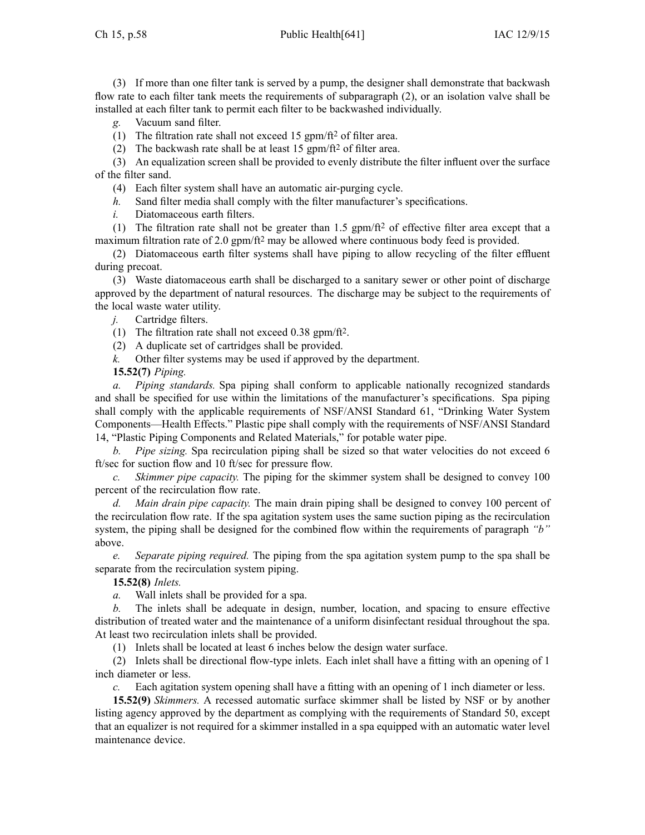(3) If more than one filter tank is served by <sup>a</sup> pump, the designer shall demonstrate that backwash flow rate to each filter tank meets the requirements of subparagraph (2), or an isolation valve shall be installed at each filter tank to permit each filter to be backwashed individually.

*g.* Vacuum sand filter.

(1) The filtration rate shall not exceed 15 gpm/ft<sup>2</sup> of filter area.

(2) The backwash rate shall be at least 15 gpm/ft<sup>2</sup> of filter area.

(3) An equalization screen shall be provided to evenly distribute the filter influent over the surface of the filter sand.

(4) Each filter system shall have an automatic air-purging cycle.

*h.* Sand filter media shall comply with the filter manufacturer's specifications.

*i.* Diatomaceous earth filters.

(1) The filtration rate shall not be greater than 1.5 gpm/ft<sup>2</sup> of effective filter area except that a maximum filtration rate of 2.0 gpm/ft<sup>2</sup> may be allowed where continuous body feed is provided.

(2) Diatomaceous earth filter systems shall have piping to allow recycling of the filter effluent during precoat.

(3) Waste diatomaceous earth shall be discharged to <sup>a</sup> sanitary sewer or other point of discharge approved by the department of natural resources. The discharge may be subject to the requirements of the local waste water utility.

*j.* Cartridge filters.

(1) The filtration rate shall not exceed 0.38 gpm/ft<sup>2</sup> .

- (2) A duplicate set of cartridges shall be provided.
- *k.* Other filter systems may be used if approved by the department.

**15.52(7)** *Piping.*

*a. Piping standards.* Spa piping shall conform to applicable nationally recognized standards and shall be specified for use within the limitations of the manufacturer's specifications. Spa piping shall comply with the applicable requirements of NSF/ANSI Standard 61, "Drinking Water System Components—Health Effects." Plastic pipe shall comply with the requirements of NSF/ANSI Standard 14, "Plastic Piping Components and Related Materials," for potable water pipe.

*b. Pipe sizing.* Spa recirculation piping shall be sized so that water velocities do not exceed 6 ft/sec for suction flow and 10 ft/sec for pressure flow.

*c. Skimmer pipe capacity.* The piping for the skimmer system shall be designed to convey 100 percen<sup>t</sup> of the recirculation flow rate.

*d. Main drain pipe capacity.* The main drain piping shall be designed to convey 100 percen<sup>t</sup> of the recirculation flow rate. If the spa agitation system uses the same suction piping as the recirculation system, the piping shall be designed for the combined flow within the requirements of paragraph *"b"* above.

*e. Separate piping required.* The piping from the spa agitation system pump to the spa shall be separate from the recirculation system piping.

**15.52(8)** *Inlets.*

*a.* Wall inlets shall be provided for <sup>a</sup> spa.

*b.* The inlets shall be adequate in design, number, location, and spacing to ensure effective distribution of treated water and the maintenance of <sup>a</sup> uniform disinfectant residual throughout the spa. At least two recirculation inlets shall be provided.

(1) Inlets shall be located at least 6 inches below the design water surface.

(2) Inlets shall be directional flow-type inlets. Each inlet shall have <sup>a</sup> fitting with an opening of 1 inch diameter or less.

*c.* Each agitation system opening shall have <sup>a</sup> fitting with an opening of 1 inch diameter or less.

**15.52(9)** *Skimmers.* A recessed automatic surface skimmer shall be listed by NSF or by another listing agency approved by the department as complying with the requirements of Standard 50, excep<sup>t</sup> that an equalizer is not required for <sup>a</sup> skimmer installed in <sup>a</sup> spa equipped with an automatic water level maintenance device.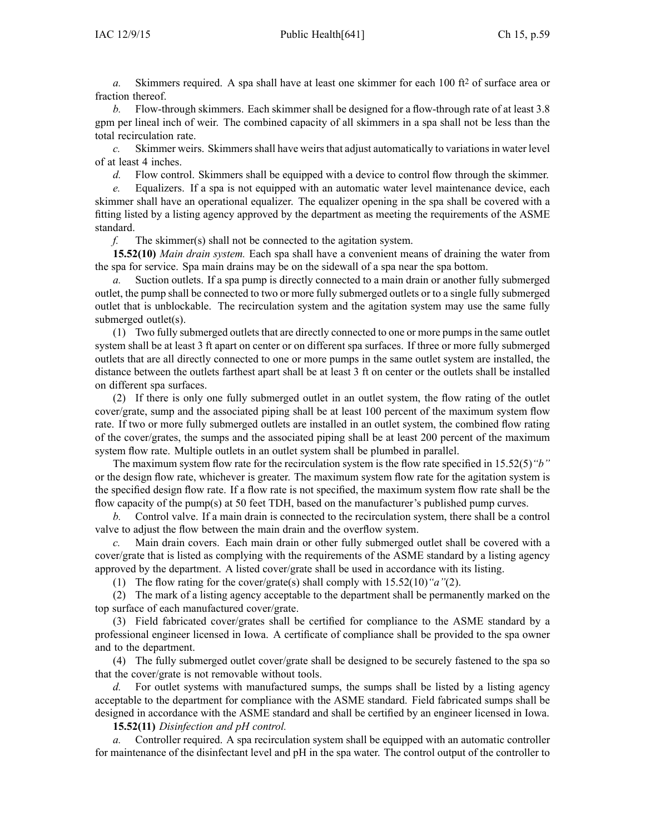*a.* Skimmers required. A spa shall have at least one skimmer for each 100 ft<sup>2</sup> of surface area or fraction thereof.

*b.* Flow-through skimmers. Each skimmer shall be designed for <sup>a</sup> flow-through rate of at least 3.8 gpm per lineal inch of weir. The combined capacity of all skimmers in <sup>a</sup> spa shall not be less than the total recirculation rate.

*c.* Skimmer weirs. Skimmers shall have weirs that adjust automatically to variations in water level of at least 4 inches.

*d.* Flow control. Skimmers shall be equipped with <sup>a</sup> device to control flow through the skimmer.

*e.* Equalizers. If <sup>a</sup> spa is not equipped with an automatic water level maintenance device, each skimmer shall have an operational equalizer. The equalizer opening in the spa shall be covered with <sup>a</sup> fitting listed by <sup>a</sup> listing agency approved by the department as meeting the requirements of the ASME standard.

*f.* The skimmer(s) shall not be connected to the agitation system.

**15.52(10)** *Main drain system.* Each spa shall have <sup>a</sup> convenient means of draining the water from the spa for service. Spa main drains may be on the sidewall of <sup>a</sup> spa near the spa bottom.

*a.* Suction outlets. If <sup>a</sup> spa pump is directly connected to <sup>a</sup> main drain or another fully submerged outlet, the pump shall be connected to two or more fully submerged outlets or to <sup>a</sup> single fully submerged outlet that is unblockable. The recirculation system and the agitation system may use the same fully submerged outlet(s).

(1) Two fully submerged outlets that are directly connected to one or more pumps in the same outlet system shall be at least 3 ft apar<sup>t</sup> on center or on different spa surfaces. If three or more fully submerged outlets that are all directly connected to one or more pumps in the same outlet system are installed, the distance between the outlets farthest apar<sup>t</sup> shall be at least 3 ft on center or the outlets shall be installed on different spa surfaces.

(2) If there is only one fully submerged outlet in an outlet system, the flow rating of the outlet cover/grate, sump and the associated piping shall be at least 100 percen<sup>t</sup> of the maximum system flow rate. If two or more fully submerged outlets are installed in an outlet system, the combined flow rating of the cover/grates, the sumps and the associated piping shall be at least 200 percen<sup>t</sup> of the maximum system flow rate. Multiple outlets in an outlet system shall be plumbed in parallel.

The maximum system flow rate for the recirculation system is the flow rate specified in 15.52(5)*"b"* or the design flow rate, whichever is greater. The maximum system flow rate for the agitation system is the specified design flow rate. If <sup>a</sup> flow rate is not specified, the maximum system flow rate shall be the flow capacity of the pump(s) at 50 feet TDH, based on the manufacturer's published pump curves.

*b.* Control valve. If <sup>a</sup> main drain is connected to the recirculation system, there shall be <sup>a</sup> control valve to adjust the flow between the main drain and the overflow system.

*c.* Main drain covers. Each main drain or other fully submerged outlet shall be covered with <sup>a</sup> cover/grate that is listed as complying with the requirements of the ASME standard by <sup>a</sup> listing agency approved by the department. A listed cover/grate shall be used in accordance with its listing.

(1) The flow rating for the cover/grate(s) shall comply with 15.52(10)*"a"*(2).

(2) The mark of <sup>a</sup> listing agency acceptable to the department shall be permanently marked on the top surface of each manufactured cover/grate.

(3) Field fabricated cover/grates shall be certified for compliance to the ASME standard by <sup>a</sup> professional engineer licensed in Iowa. A certificate of compliance shall be provided to the spa owner and to the department.

(4) The fully submerged outlet cover/grate shall be designed to be securely fastened to the spa so that the cover/grate is not removable without tools.

*d.* For outlet systems with manufactured sumps, the sumps shall be listed by a listing agency acceptable to the department for compliance with the ASME standard. Field fabricated sumps shall be designed in accordance with the ASME standard and shall be certified by an engineer licensed in Iowa. **15.52(11)** *Disinfection and pH control.*

*a.* Controller required. A spa recirculation system shall be equipped with an automatic controller for maintenance of the disinfectant level and pH in the spa water. The control output of the controller to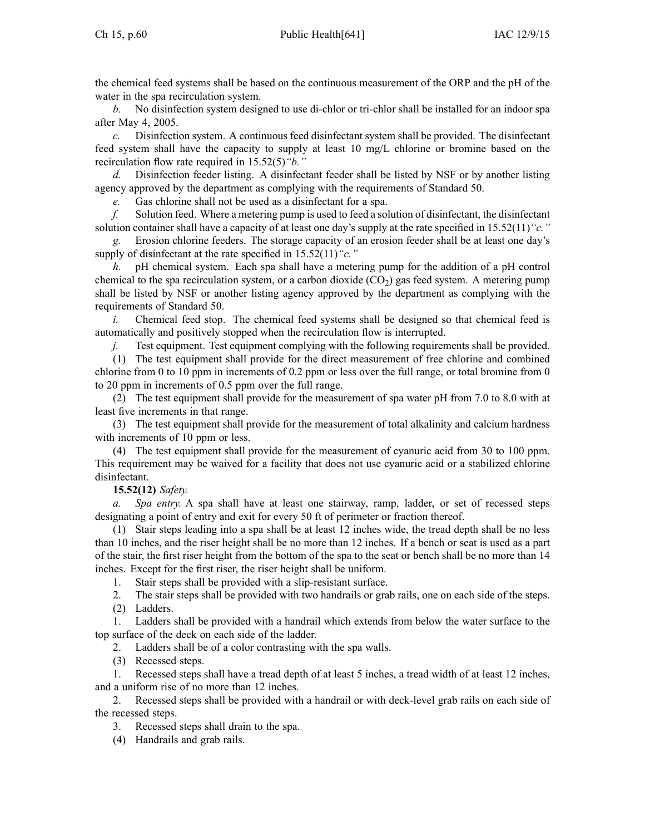the chemical feed systems shall be based on the continuous measurement of the ORP and the pH of the water in the spa recirculation system.

*b.* No disinfection system designed to use di-chlor or tri-chlor shall be installed for an indoor spa after May 4, 2005.

*c.* Disinfection system. A continuous feed disinfectant system shall be provided. The disinfectant feed system shall have the capacity to supply at least 10 mg/L chlorine or bromine based on the recirculation flow rate required in 15.52(5)*"b."*

Disinfection feeder listing. A disinfectant feeder shall be listed by NSF or by another listing agency approved by the department as complying with the requirements of Standard 50.

*e.* Gas chlorine shall not be used as <sup>a</sup> disinfectant for <sup>a</sup> spa.

*f.* Solution feed. Where <sup>a</sup> metering pump is used to feed <sup>a</sup> solution of disinfectant, the disinfectant solution container shall have <sup>a</sup> capacity of at least one day's supply at the rate specified in 15.52(11)*"c."*

*g.* Erosion chlorine feeders. The storage capacity of an erosion feeder shall be at least one day's supply of disinfectant at the rate specified in 15.52(11)*"c."*

*h.* pH chemical system. Each spa shall have <sup>a</sup> metering pump for the addition of <sup>a</sup> pH control chemical to the spa recirculation system, or a carbon dioxide  $(CO<sub>2</sub>)$  gas feed system. A metering pump shall be listed by NSF or another listing agency approved by the department as complying with the requirements of Standard 50.

*i.* Chemical feed stop. The chemical feed systems shall be designed so that chemical feed is automatically and positively stopped when the recirculation flow is interrupted.

*j.* Test equipment. Test equipment complying with the following requirements shall be provided.

(1) The test equipment shall provide for the direct measurement of free chlorine and combined chlorine from 0 to 10 ppm in increments of 0.2 ppm or less over the full range, or total bromine from 0 to 20 ppm in increments of 0.5 ppm over the full range.

(2) The test equipment shall provide for the measurement of spa water pH from 7.0 to 8.0 with at least five increments in that range.

(3) The test equipment shall provide for the measurement of total alkalinity and calcium hardness with increments of 10 ppm or less.

(4) The test equipment shall provide for the measurement of cyanuric acid from 30 to 100 ppm. This requirement may be waived for <sup>a</sup> facility that does not use cyanuric acid or <sup>a</sup> stabilized chlorine disinfectant.

## **15.52(12)** *Safety.*

*a. Spa entry.* A spa shall have at least one stairway, ramp, ladder, or set of recessed steps designating <sup>a</sup> point of entry and exit for every 50 ft of perimeter or fraction thereof.

(1) Stair steps leading into <sup>a</sup> spa shall be at least 12 inches wide, the tread depth shall be no less than 10 inches, and the riser height shall be no more than 12 inches. If <sup>a</sup> bench or seat is used as <sup>a</sup> par<sup>t</sup> of the stair, the first riser height from the bottom of the spa to the seat or bench shall be no more than 14 inches. Except for the first riser, the riser height shall be uniform.

1. Stair steps shall be provided with <sup>a</sup> slip-resistant surface.

- 2. The stair steps shall be provided with two handrails or grab rails, one on each side of the steps.
- (2) Ladders.

1. Ladders shall be provided with <sup>a</sup> handrail which extends from below the water surface to the top surface of the deck on each side of the ladder.

2. Ladders shall be of <sup>a</sup> color contrasting with the spa walls.

(3) Recessed steps.

1. Recessed steps shall have <sup>a</sup> tread depth of at least 5 inches, <sup>a</sup> tread width of at least 12 inches, and <sup>a</sup> uniform rise of no more than 12 inches.

2. Recessed steps shall be provided with <sup>a</sup> handrail or with deck-level grab rails on each side of the recessed steps.

3. Recessed steps shall drain to the spa.

(4) Handrails and grab rails.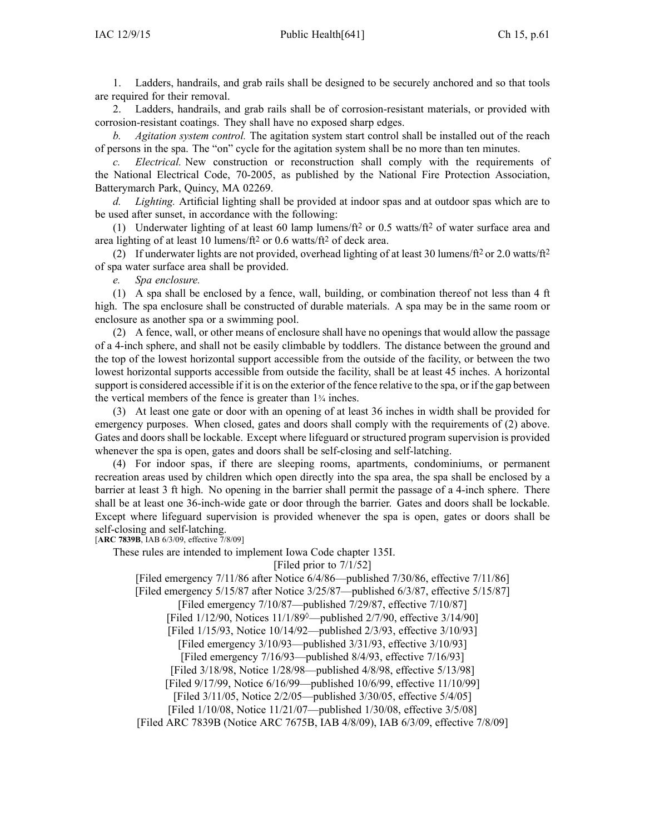1. Ladders, handrails, and grab rails shall be designed to be securely anchored and so that tools are required for their removal.

2. Ladders, handrails, and grab rails shall be of corrosion-resistant materials, or provided with corrosion-resistant coatings. They shall have no exposed sharp edges.

*b. Agitation system control.* The agitation system start control shall be installed out of the reach of persons in the spa. The "on" cycle for the agitation system shall be no more than ten minutes.

*c. Electrical.* New construction or reconstruction shall comply with the requirements of the National Electrical Code, 70-2005, as published by the National Fire Protection Association, Batterymarch Park, Quincy, MA 02269.

*d. Lighting.* Artificial lighting shall be provided at indoor spas and at outdoor spas which are to be used after sunset, in accordance with the following:

(1) Underwater lighting of at least 60 lamp lumens/ft<sup>2</sup> or 0.5 watts/ft<sup>2</sup> of water surface area and area lighting of at least 10 lumens/ft<sup>2</sup> or 0.6 watts/ft<sup>2</sup> of deck area.

(2) If underwater lights are not provided, overhead lighting of at least 30 lumens/ft<sup>2</sup> or 2.0 watts/ft<sup>2</sup> of spa water surface area shall be provided.

*e. Spa enclosure.*

(1) A spa shall be enclosed by <sup>a</sup> fence, wall, building, or combination thereof not less than 4 ft high. The spa enclosure shall be constructed of durable materials. A spa may be in the same room or enclosure as another spa or <sup>a</sup> swimming pool.

(2) A fence, wall, or other means of enclosure shall have no openings that would allow the passage of <sup>a</sup> 4-inch sphere, and shall not be easily climbable by toddlers. The distance between the ground and the top of the lowest horizontal suppor<sup>t</sup> accessible from the outside of the facility, or between the two lowest horizontal supports accessible from outside the facility, shall be at least 45 inches. A horizontal suppor<sup>t</sup> is considered accessible if it is on the exterior of the fence relative to the spa, or if the gap between the vertical members of the fence is greater than 1<sup>¾</sup> inches.

(3) At least one gate or door with an opening of at least 36 inches in width shall be provided for emergency purposes. When closed, gates and doors shall comply with the requirements of (2) above. Gates and doors shall be lockable. Except where lifeguard or structured program supervision is provided whenever the spa is open, gates and doors shall be self-closing and self-latching.

(4) For indoor spas, if there are sleeping rooms, apartments, condominiums, or permanen<sup>t</sup> recreation areas used by children which open directly into the spa area, the spa shall be enclosed by <sup>a</sup> barrier at least 3 ft high. No opening in the barrier shall permit the passage of <sup>a</sup> 4-inch sphere. There shall be at least one 36-inch-wide gate or door through the barrier. Gates and doors shall be lockable. Except where lifeguard supervision is provided whenever the spa is open, gates or doors shall be self-closing and self-latching.

[**ARC 7839B**, IAB 6/3/09, effective 7/8/09]

These rules are intended to implement Iowa Code chapter [135I](https://www.legis.iowa.gov/docs/ico/chapter/135I.pdf).

[Filed prior to 7/1/52]

[Filed emergency 7/11/86 after Notice 6/4/86—published 7/30/86, effective 7/11/86]

[Filed emergency 5/15/87 after Notice 3/25/87—published 6/3/87, effective 5/15/87]

[Filed emergency 7/10/87—published 7/29/87, effective 7/10/87]

[Filed 1/12/90, Notices 11/1/89◊—published 2/7/90, effective 3/14/90]

[Filed 1/15/93, Notice 10/14/92—published 2/3/93, effective 3/10/93]

[Filed emergency 3/10/93—published 3/31/93, effective 3/10/93]

[Filed emergency 7/16/93—published 8/4/93, effective 7/16/93]

[Filed 3/18/98, Notice 1/28/98—published 4/8/98, effective 5/13/98]

[Filed 9/17/99, Notice 6/16/99—published 10/6/99, effective 11/10/99]

[Filed 3/11/05, Notice 2/2/05—published 3/30/05, effective 5/4/05]

[Filed 1/10/08, Notice 11/21/07—published 1/30/08, effective 3/5/08]

[Filed ARC 7839B (Notice ARC 7675B, IAB 4/8/09), IAB 6/3/09, effective 7/8/09]